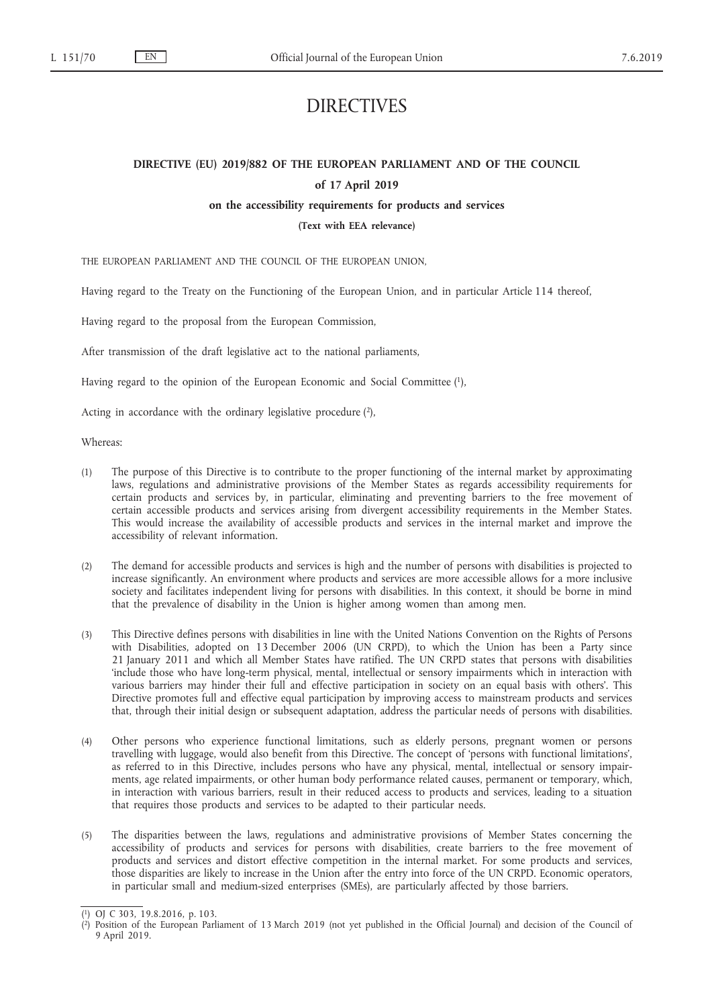# DIRECTIVES

# **DIRECTIVE (EU) 2019/882 OF THE EUROPEAN PARLIAMENT AND OF THE COUNCIL of 17 April 2019**

#### **on the accessibility requirements for products and services**

**(Text with EEA relevance)**

THE EUROPEAN PARLIAMENT AND THE COUNCIL OF THE EUROPEAN UNION,

Having regard to the Treaty on the Functioning of the European Union, and in particular Article 114 thereof,

Having regard to the proposal from the European Commission,

After transmission of the draft legislative act to the national parliaments,

Having regard to the opinion of the European Economic and Social Committee (1),

Acting in accordance with the ordinary legislative procedure (2),

Whereas:

- (1) The purpose of this Directive is to contribute to the proper functioning of the internal market by approximating laws, regulations and administrative provisions of the Member States as regards accessibility requirements for certain products and services by, in particular, eliminating and preventing barriers to the free movement of certain accessible products and services arising from divergent accessibility requirements in the Member States. This would increase the availability of accessible products and services in the internal market and improve the accessibility of relevant information.
- (2) The demand for accessible products and services is high and the number of persons with disabilities is projected to increase significantly. An environment where products and services are more accessible allows for a more inclusive society and facilitates independent living for persons with disabilities. In this context, it should be borne in mind that the prevalence of disability in the Union is higher among women than among men.
- (3) This Directive defines persons with disabilities in line with the United Nations Convention on the Rights of Persons with Disabilities, adopted on 13 December 2006 (UN CRPD), to which the Union has been a Party since 21 January 2011 and which all Member States have ratified. The UN CRPD states that persons with disabilities 'include those who have long-term physical, mental, intellectual or sensory impairments which in interaction with various barriers may hinder their full and effective participation in society on an equal basis with others'. This Directive promotes full and effective equal participation by improving access to mainstream products and services that, through their initial design or subsequent adaptation, address the particular needs of persons with disabilities.
- (4) Other persons who experience functional limitations, such as elderly persons, pregnant women or persons travelling with luggage, would also benefit from this Directive. The concept of 'persons with functional limitations', as referred to in this Directive, includes persons who have any physical, mental, intellectual or sensory impairments, age related impairments, or other human body performance related causes, permanent or temporary, which, in interaction with various barriers, result in their reduced access to products and services, leading to a situation that requires those products and services to be adapted to their particular needs.
- (5) The disparities between the laws, regulations and administrative provisions of Member States concerning the accessibility of products and services for persons with disabilities, create barriers to the free movement of products and services and distort effective competition in the internal market. For some products and services, those disparities are likely to increase in the Union after the entry into force of the UN CRPD. Economic operators, in particular small and medium-sized enterprises (SMEs), are particularly affected by those barriers.

<sup>(</sup> 1) OJ C 303, 19.8.2016, p. 103.

<sup>(</sup> 2) Position of the European Parliament of 13 March 2019 (not yet published in the Official Journal) and decision of the Council of 9 April 2019.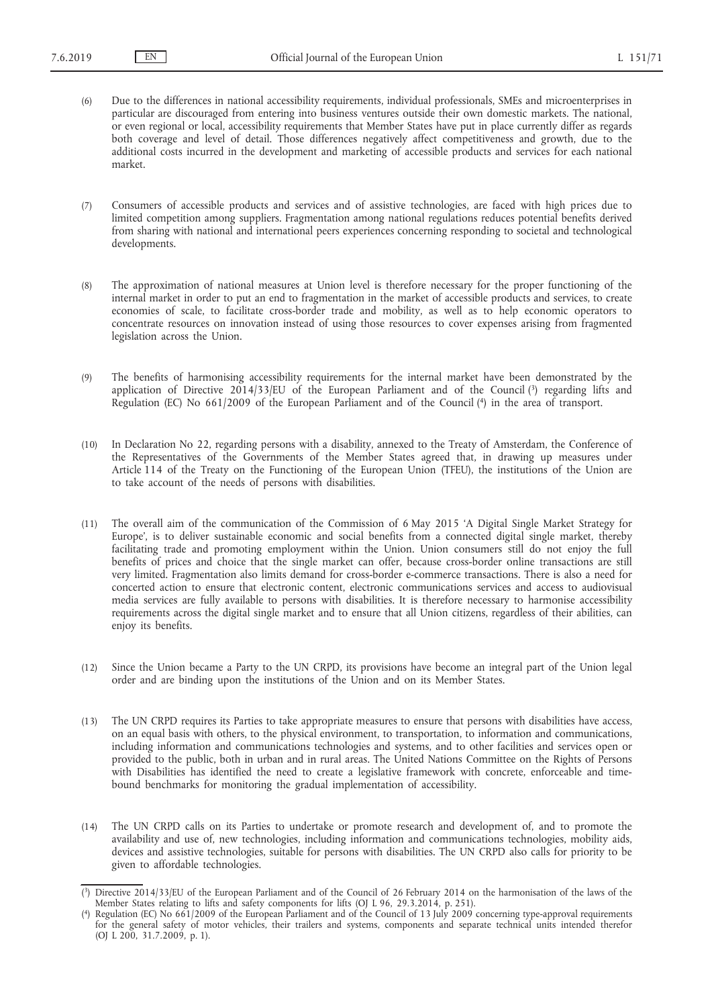- (6) Due to the differences in national accessibility requirements, individual professionals, SMEs and microenterprises in particular are discouraged from entering into business ventures outside their own domestic markets. The national, or even regional or local, accessibility requirements that Member States have put in place currently differ as regards both coverage and level of detail. Those differences negatively affect competitiveness and growth, due to the additional costs incurred in the development and marketing of accessible products and services for each national market.
- (7) Consumers of accessible products and services and of assistive technologies, are faced with high prices due to limited competition among suppliers. Fragmentation among national regulations reduces potential benefits derived from sharing with national and international peers experiences concerning responding to societal and technological developments.
- (8) The approximation of national measures at Union level is therefore necessary for the proper functioning of the internal market in order to put an end to fragmentation in the market of accessible products and services, to create economies of scale, to facilitate cross-border trade and mobility, as well as to help economic operators to concentrate resources on innovation instead of using those resources to cover expenses arising from fragmented legislation across the Union.
- (9) The benefits of harmonising accessibility requirements for the internal market have been demonstrated by the application of Directive 2014/33/EU of the European Parliament and of the Council (3) regarding lifts and Regulation (EC) No 661/2009 of the European Parliament and of the Council (4) in the area of transport.
- (10) In Declaration No 22, regarding persons with a disability, annexed to the Treaty of Amsterdam, the Conference of the Representatives of the Governments of the Member States agreed that, in drawing up measures under Article 114 of the Treaty on the Functioning of the European Union (TFEU), the institutions of the Union are to take account of the needs of persons with disabilities.
- (11) The overall aim of the communication of the Commission of 6 May 2015 'A Digital Single Market Strategy for Europe', is to deliver sustainable economic and social benefits from a connected digital single market, thereby facilitating trade and promoting employment within the Union. Union consumers still do not enjoy the full benefits of prices and choice that the single market can offer, because cross-border online transactions are still very limited. Fragmentation also limits demand for cross-border e-commerce transactions. There is also a need for concerted action to ensure that electronic content, electronic communications services and access to audiovisual media services are fully available to persons with disabilities. It is therefore necessary to harmonise accessibility requirements across the digital single market and to ensure that all Union citizens, regardless of their abilities, can enjoy its benefits.
- (12) Since the Union became a Party to the UN CRPD, its provisions have become an integral part of the Union legal order and are binding upon the institutions of the Union and on its Member States.
- (13) The UN CRPD requires its Parties to take appropriate measures to ensure that persons with disabilities have access, on an equal basis with others, to the physical environment, to transportation, to information and communications, including information and communications technologies and systems, and to other facilities and services open or provided to the public, both in urban and in rural areas. The United Nations Committee on the Rights of Persons with Disabilities has identified the need to create a legislative framework with concrete, enforceable and timebound benchmarks for monitoring the gradual implementation of accessibility.
- (14) The UN CRPD calls on its Parties to undertake or promote research and development of, and to promote the availability and use of, new technologies, including information and communications technologies, mobility aids, devices and assistive technologies, suitable for persons with disabilities. The UN CRPD also calls for priority to be given to affordable technologies.

<sup>(</sup> 3) Directive 2014/33/EU of the European Parliament and of the Council of 26 February 2014 on the harmonisation of the laws of the Member States relating to lifts and safety components for lifts (OJ L 96, 29.3.2014, p. 251).

<sup>(</sup> Regulation (EC) No 661/2009 of the European Parliament and of the Council of 13 July 2009 concerning type-approval requirements for the general safety of motor vehicles, their trailers and systems, components and separate technical units intended therefor (OJ L 200, 31.7.2009, p. 1).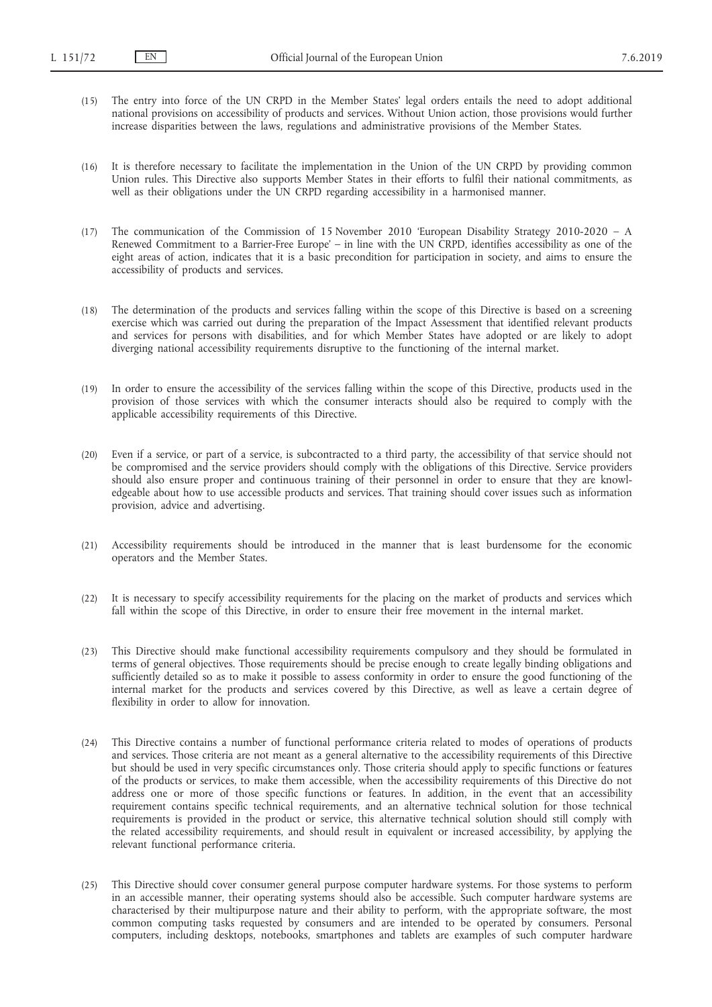- (15) The entry into force of the UN CRPD in the Member States' legal orders entails the need to adopt additional national provisions on accessibility of products and services. Without Union action, those provisions would further increase disparities between the laws, regulations and administrative provisions of the Member States.
- (16) It is therefore necessary to facilitate the implementation in the Union of the UN CRPD by providing common Union rules. This Directive also supports Member States in their efforts to fulfil their national commitments, as well as their obligations under the UN CRPD regarding accessibility in a harmonised manner.
- (17) The communication of the Commission of 15 November 2010 'European Disability Strategy 2010-2020 A Renewed Commitment to a Barrier-Free Europe' – in line with the UN CRPD, identifies accessibility as one of the eight areas of action, indicates that it is a basic precondition for participation in society, and aims to ensure the accessibility of products and services.
- (18) The determination of the products and services falling within the scope of this Directive is based on a screening exercise which was carried out during the preparation of the Impact Assessment that identified relevant products and services for persons with disabilities, and for which Member States have adopted or are likely to adopt diverging national accessibility requirements disruptive to the functioning of the internal market.
- (19) In order to ensure the accessibility of the services falling within the scope of this Directive, products used in the provision of those services with which the consumer interacts should also be required to comply with the applicable accessibility requirements of this Directive.
- (20) Even if a service, or part of a service, is subcontracted to a third party, the accessibility of that service should not be compromised and the service providers should comply with the obligations of this Directive. Service providers should also ensure proper and continuous training of their personnel in order to ensure that they are knowledgeable about how to use accessible products and services. That training should cover issues such as information provision, advice and advertising.
- (21) Accessibility requirements should be introduced in the manner that is least burdensome for the economic operators and the Member States.
- (22) It is necessary to specify accessibility requirements for the placing on the market of products and services which fall within the scope of this Directive, in order to ensure their free movement in the internal market.
- (23) This Directive should make functional accessibility requirements compulsory and they should be formulated in terms of general objectives. Those requirements should be precise enough to create legally binding obligations and sufficiently detailed so as to make it possible to assess conformity in order to ensure the good functioning of the internal market for the products and services covered by this Directive, as well as leave a certain degree of flexibility in order to allow for innovation.
- (24) This Directive contains a number of functional performance criteria related to modes of operations of products and services. Those criteria are not meant as a general alternative to the accessibility requirements of this Directive but should be used in very specific circumstances only. Those criteria should apply to specific functions or features of the products or services, to make them accessible, when the accessibility requirements of this Directive do not address one or more of those specific functions or features. In addition, in the event that an accessibility requirement contains specific technical requirements, and an alternative technical solution for those technical requirements is provided in the product or service, this alternative technical solution should still comply with the related accessibility requirements, and should result in equivalent or increased accessibility, by applying the relevant functional performance criteria.
- (25) This Directive should cover consumer general purpose computer hardware systems. For those systems to perform in an accessible manner, their operating systems should also be accessible. Such computer hardware systems are characterised by their multipurpose nature and their ability to perform, with the appropriate software, the most common computing tasks requested by consumers and are intended to be operated by consumers. Personal computers, including desktops, notebooks, smartphones and tablets are examples of such computer hardware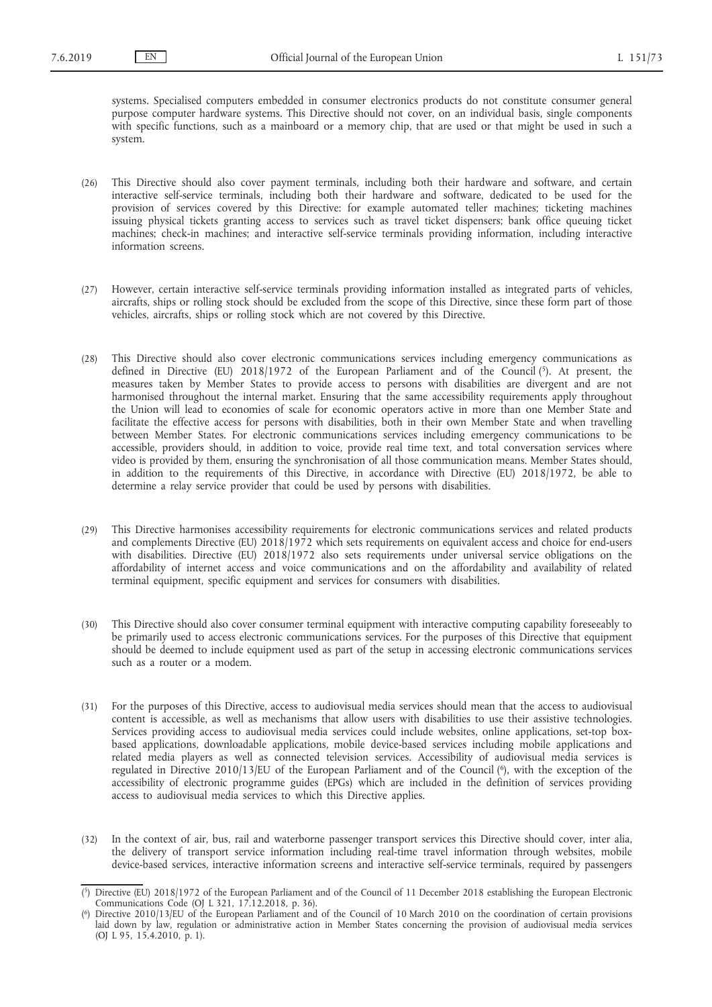systems. Specialised computers embedded in consumer electronics products do not constitute consumer general purpose computer hardware systems. This Directive should not cover, on an individual basis, single components with specific functions, such as a mainboard or a memory chip, that are used or that might be used in such a system.

- (26) This Directive should also cover payment terminals, including both their hardware and software, and certain interactive self-service terminals, including both their hardware and software, dedicated to be used for the provision of services covered by this Directive: for example automated teller machines; ticketing machines issuing physical tickets granting access to services such as travel ticket dispensers; bank office queuing ticket machines; check-in machines; and interactive self-service terminals providing information, including interactive information screens.
- (27) However, certain interactive self-service terminals providing information installed as integrated parts of vehicles, aircrafts, ships or rolling stock should be excluded from the scope of this Directive, since these form part of those vehicles, aircrafts, ships or rolling stock which are not covered by this Directive.
- (28) This Directive should also cover electronic communications services including emergency communications as defined in Directive (EU) 2018/1972 of the European Parliament and of the Council (5). At present, the measures taken by Member States to provide access to persons with disabilities are divergent and are not harmonised throughout the internal market. Ensuring that the same accessibility requirements apply throughout the Union will lead to economies of scale for economic operators active in more than one Member State and facilitate the effective access for persons with disabilities, both in their own Member State and when travelling between Member States. For electronic communications services including emergency communications to be accessible, providers should, in addition to voice, provide real time text, and total conversation services where video is provided by them, ensuring the synchronisation of all those communication means. Member States should, in addition to the requirements of this Directive, in accordance with Directive (EU) 2018/1972, be able to determine a relay service provider that could be used by persons with disabilities.
- (29) This Directive harmonises accessibility requirements for electronic communications services and related products and complements Directive (EU) 2018/1972 which sets requirements on equivalent access and choice for end-users with disabilities. Directive (EU) 2018/1972 also sets requirements under universal service obligations on the affordability of internet access and voice communications and on the affordability and availability of related terminal equipment, specific equipment and services for consumers with disabilities.
- (30) This Directive should also cover consumer terminal equipment with interactive computing capability foreseeably to be primarily used to access electronic communications services. For the purposes of this Directive that equipment should be deemed to include equipment used as part of the setup in accessing electronic communications services such as a router or a modem.
- (31) For the purposes of this Directive, access to audiovisual media services should mean that the access to audiovisual content is accessible, as well as mechanisms that allow users with disabilities to use their assistive technologies. Services providing access to audiovisual media services could include websites, online applications, set-top boxbased applications, downloadable applications, mobile device-based services including mobile applications and related media players as well as connected television services. Accessibility of audiovisual media services is regulated in Directive 2010/13/EU of the European Parliament and of the Council (6), with the exception of the accessibility of electronic programme guides (EPGs) which are included in the definition of services providing access to audiovisual media services to which this Directive applies.
- (32) In the context of air, bus, rail and waterborne passenger transport services this Directive should cover, inter alia, the delivery of transport service information including real-time travel information through websites, mobile device-based services, interactive information screens and interactive self-service terminals, required by passengers

<sup>(</sup> 5) Directive (EU) 2018/1972 of the European Parliament and of the Council of 11 December 2018 establishing the European Electronic Communications Code (OJ L 321, 17.12.2018, p. 36).

<sup>(</sup> Directive 2010/13/EU of the European Parliament and of the Council of 10 March 2010 on the coordination of certain provisions laid down by law, regulation or administrative action in Member States concerning the provision of audiovisual media services (OJ L 95, 15.4.2010, p. 1).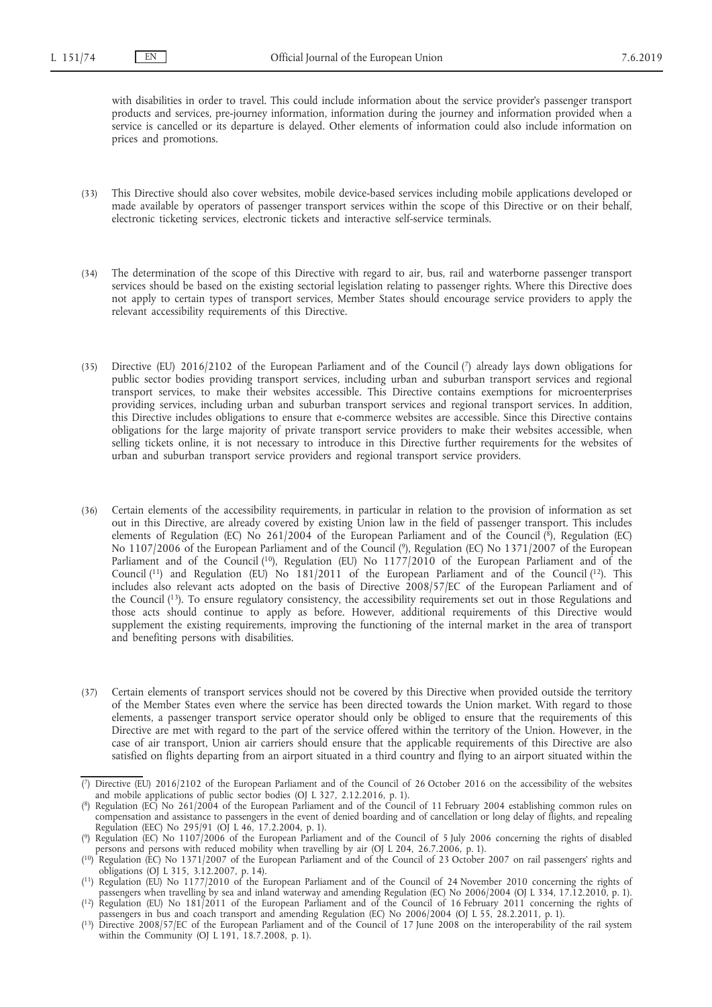with disabilities in order to travel. This could include information about the service provider's passenger transport products and services, pre-journey information, information during the journey and information provided when a service is cancelled or its departure is delayed. Other elements of information could also include information on prices and promotions.

- (33) This Directive should also cover websites, mobile device-based services including mobile applications developed or made available by operators of passenger transport services within the scope of this Directive or on their behalf, electronic ticketing services, electronic tickets and interactive self-service terminals.
- (34) The determination of the scope of this Directive with regard to air, bus, rail and waterborne passenger transport services should be based on the existing sectorial legislation relating to passenger rights. Where this Directive does not apply to certain types of transport services, Member States should encourage service providers to apply the relevant accessibility requirements of this Directive.
- (35) Directive (EU) 2016/2102 of the European Parliament and of the Council (7) already lays down obligations for public sector bodies providing transport services, including urban and suburban transport services and regional transport services, to make their websites accessible. This Directive contains exemptions for microenterprises providing services, including urban and suburban transport services and regional transport services. In addition, this Directive includes obligations to ensure that e-commerce websites are accessible. Since this Directive contains obligations for the large majority of private transport service providers to make their websites accessible, when selling tickets online, it is not necessary to introduce in this Directive further requirements for the websites of urban and suburban transport service providers and regional transport service providers.
- (36) Certain elements of the accessibility requirements, in particular in relation to the provision of information as set out in this Directive, are already covered by existing Union law in the field of passenger transport. This includes elements of Regulation (EC) No 261/2004 of the European Parliament and of the Council (8), Regulation (EC) No 1107/2006 of the European Parliament and of the Council (9), Regulation (EC) No 1371/2007 of the European Parliament and of the Council (<sup>10</sup>), Regulation (EU) No 1177/2010 of the European Parliament and of the Council (11) and Regulation (EU) No 181/2011 of the European Parliament and of the Council (12). This includes also relevant acts adopted on the basis of Directive 2008/57/EC of the European Parliament and of the Council (13). To ensure regulatory consistency, the accessibility requirements set out in those Regulations and those acts should continue to apply as before. However, additional requirements of this Directive would supplement the existing requirements, improving the functioning of the internal market in the area of transport and benefiting persons with disabilities.
- (37) Certain elements of transport services should not be covered by this Directive when provided outside the territory of the Member States even where the service has been directed towards the Union market. With regard to those elements, a passenger transport service operator should only be obliged to ensure that the requirements of this Directive are met with regard to the part of the service offered within the territory of the Union. However, in the case of air transport, Union air carriers should ensure that the applicable requirements of this Directive are also satisfied on flights departing from an airport situated in a third country and flying to an airport situated within the

<sup>(</sup> 7) Directive (EU) 2016/2102 of the European Parliament and of the Council of 26 October 2016 on the accessibility of the websites and mobile applications of public sector bodies (OJ L 327, 2.12.2016, p. 1).

<sup>(</sup> 8) Regulation (EC) No 261/2004 of the European Parliament and of the Council of 11 February 2004 establishing common rules on compensation and assistance to passengers in the event of denied boarding and of cancellation or long delay of flights, and repealing Regulation (EEC) No 295/91 (OJ L 46, 17.2.2004, p. 1).

<sup>(</sup> 9) Regulation (EC) No 1107/2006 of the European Parliament and of the Council of 5 July 2006 concerning the rights of disabled persons and persons with reduced mobility when travelling by air (OJ L 204, 26.7.2006, p. 1).

<sup>(</sup> 10) Regulation (EC) No 1371/2007 of the European Parliament and of the Council of 23 October 2007 on rail passengers' rights and obligations (OJ L 315, 3.12.2007, p. 14).

<sup>(</sup> 11) Regulation (EU) No 1177/2010 of the European Parliament and of the Council of 24 November 2010 concerning the rights of passengers when travelling by sea and inland waterway and amending Regulation (EC) No 2006/2004 (OJ L 334, 17.12.2010, p. 1).

<sup>(</sup> 12) Regulation (EU) No 181/2011 of the European Parliament and of the Council of 16 February 2011 concerning the rights of passengers in bus and coach transport and amending Regulation (EC) No 2006/2004 (OJ L 55, 28.2.2011, p. 1).

<sup>(</sup> 13) Directive 2008/57/EC of the European Parliament and of the Council of 17 June 2008 on the interoperability of the rail system within the Community (OJ L 191, 18.7.2008, p. 1).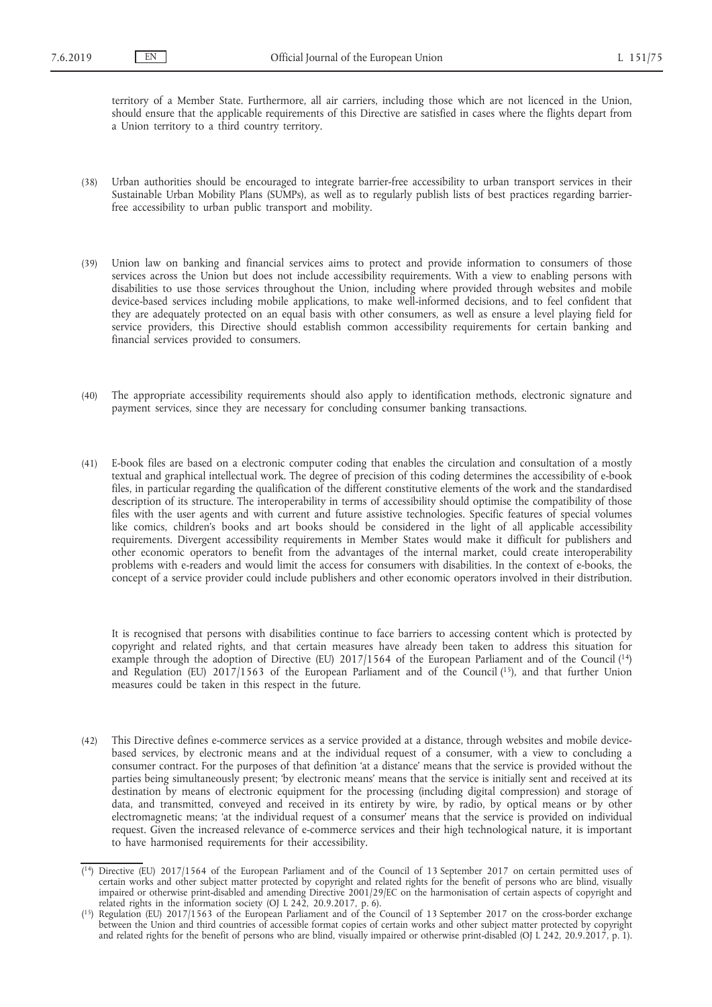territory of a Member State. Furthermore, all air carriers, including those which are not licenced in the Union, should ensure that the applicable requirements of this Directive are satisfied in cases where the flights depart from a Union territory to a third country territory.

- (38) Urban authorities should be encouraged to integrate barrier-free accessibility to urban transport services in their Sustainable Urban Mobility Plans (SUMPs), as well as to regularly publish lists of best practices regarding barrierfree accessibility to urban public transport and mobility.
- (39) Union law on banking and financial services aims to protect and provide information to consumers of those services across the Union but does not include accessibility requirements. With a view to enabling persons with disabilities to use those services throughout the Union, including where provided through websites and mobile device-based services including mobile applications, to make well-informed decisions, and to feel confident that they are adequately protected on an equal basis with other consumers, as well as ensure a level playing field for service providers, this Directive should establish common accessibility requirements for certain banking and financial services provided to consumers.
- (40) The appropriate accessibility requirements should also apply to identification methods, electronic signature and payment services, since they are necessary for concluding consumer banking transactions.
- (41) E-book files are based on a electronic computer coding that enables the circulation and consultation of a mostly textual and graphical intellectual work. The degree of precision of this coding determines the accessibility of e-book files, in particular regarding the qualification of the different constitutive elements of the work and the standardised description of its structure. The interoperability in terms of accessibility should optimise the compatibility of those files with the user agents and with current and future assistive technologies. Specific features of special volumes like comics, children's books and art books should be considered in the light of all applicable accessibility requirements. Divergent accessibility requirements in Member States would make it difficult for publishers and other economic operators to benefit from the advantages of the internal market, could create interoperability problems with e-readers and would limit the access for consumers with disabilities. In the context of e-books, the concept of a service provider could include publishers and other economic operators involved in their distribution.

It is recognised that persons with disabilities continue to face barriers to accessing content which is protected by copyright and related rights, and that certain measures have already been taken to address this situation for example through the adoption of Directive (EU) 2017/1564 of the European Parliament and of the Council (14) and Regulation (EU) 2017/1563 of the European Parliament and of the Council (15), and that further Union measures could be taken in this respect in the future.

(42) This Directive defines e-commerce services as a service provided at a distance, through websites and mobile devicebased services, by electronic means and at the individual request of a consumer, with a view to concluding a consumer contract. For the purposes of that definition 'at a distance' means that the service is provided without the parties being simultaneously present; 'by electronic means' means that the service is initially sent and received at its destination by means of electronic equipment for the processing (including digital compression) and storage of data, and transmitted, conveyed and received in its entirety by wire, by radio, by optical means or by other electromagnetic means; 'at the individual request of a consumer' means that the service is provided on individual request. Given the increased relevance of e-commerce services and their high technological nature, it is important to have harmonised requirements for their accessibility.

<sup>(</sup> 14) Directive (EU) 2017/1564 of the European Parliament and of the Council of 13 September 2017 on certain permitted uses of certain works and other subject matter protected by copyright and related rights for the benefit of persons who are blind, visually impaired or otherwise print-disabled and amending Directive 2001/29/EC on the harmonisation of certain aspects of copyright and related rights in the information society (OJ L 242, 20.9.2017, p. 6).

<sup>(</sup> 15) Regulation (EU) 2017/1563 of the European Parliament and of the Council of 13 September 2017 on the cross-border exchange between the Union and third countries of accessible format copies of certain works and other subject matter protected by copyright and related rights for the benefit of persons who are blind, visually impaired or otherwise print-disabled (OJ L 242, 20.9.2017, p. 1).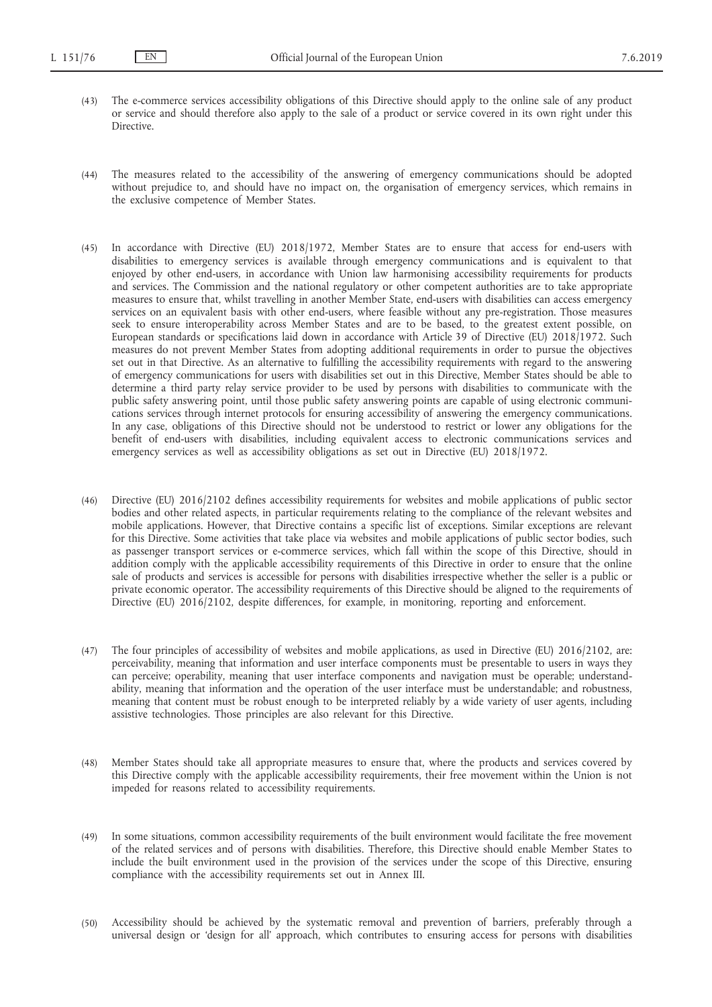- (43) The e-commerce services accessibility obligations of this Directive should apply to the online sale of any product or service and should therefore also apply to the sale of a product or service covered in its own right under this Directive.
- (44) The measures related to the accessibility of the answering of emergency communications should be adopted without prejudice to, and should have no impact on, the organisation of emergency services, which remains in the exclusive competence of Member States.
- (45) In accordance with Directive (EU) 2018/1972, Member States are to ensure that access for end-users with disabilities to emergency services is available through emergency communications and is equivalent to that enjoyed by other end-users, in accordance with Union law harmonising accessibility requirements for products and services. The Commission and the national regulatory or other competent authorities are to take appropriate measures to ensure that, whilst travelling in another Member State, end-users with disabilities can access emergency services on an equivalent basis with other end-users, where feasible without any pre-registration. Those measures seek to ensure interoperability across Member States and are to be based, to the greatest extent possible, on European standards or specifications laid down in accordance with Article 39 of Directive (EU) 2018/1972. Such measures do not prevent Member States from adopting additional requirements in order to pursue the objectives set out in that Directive. As an alternative to fulfilling the accessibility requirements with regard to the answering of emergency communications for users with disabilities set out in this Directive, Member States should be able to determine a third party relay service provider to be used by persons with disabilities to communicate with the public safety answering point, until those public safety answering points are capable of using electronic communications services through internet protocols for ensuring accessibility of answering the emergency communications. In any case, obligations of this Directive should not be understood to restrict or lower any obligations for the benefit of end-users with disabilities, including equivalent access to electronic communications services and emergency services as well as accessibility obligations as set out in Directive (EU) 2018/1972.
- (46) Directive (EU) 2016/2102 defines accessibility requirements for websites and mobile applications of public sector bodies and other related aspects, in particular requirements relating to the compliance of the relevant websites and mobile applications. However, that Directive contains a specific list of exceptions. Similar exceptions are relevant for this Directive. Some activities that take place via websites and mobile applications of public sector bodies, such as passenger transport services or e-commerce services, which fall within the scope of this Directive, should in addition comply with the applicable accessibility requirements of this Directive in order to ensure that the online sale of products and services is accessible for persons with disabilities irrespective whether the seller is a public or private economic operator. The accessibility requirements of this Directive should be aligned to the requirements of Directive (EU) 2016/2102, despite differences, for example, in monitoring, reporting and enforcement.
- (47) The four principles of accessibility of websites and mobile applications, as used in Directive (EU) 2016/2102, are: perceivability, meaning that information and user interface components must be presentable to users in ways they can perceive; operability, meaning that user interface components and navigation must be operable; understandability, meaning that information and the operation of the user interface must be understandable; and robustness, meaning that content must be robust enough to be interpreted reliably by a wide variety of user agents, including assistive technologies. Those principles are also relevant for this Directive.
- (48) Member States should take all appropriate measures to ensure that, where the products and services covered by this Directive comply with the applicable accessibility requirements, their free movement within the Union is not impeded for reasons related to accessibility requirements.
- (49) In some situations, common accessibility requirements of the built environment would facilitate the free movement of the related services and of persons with disabilities. Therefore, this Directive should enable Member States to include the built environment used in the provision of the services under the scope of this Directive, ensuring compliance with the accessibility requirements set out in Annex III.
- (50) Accessibility should be achieved by the systematic removal and prevention of barriers, preferably through a universal design or 'design for all' approach, which contributes to ensuring access for persons with disabilities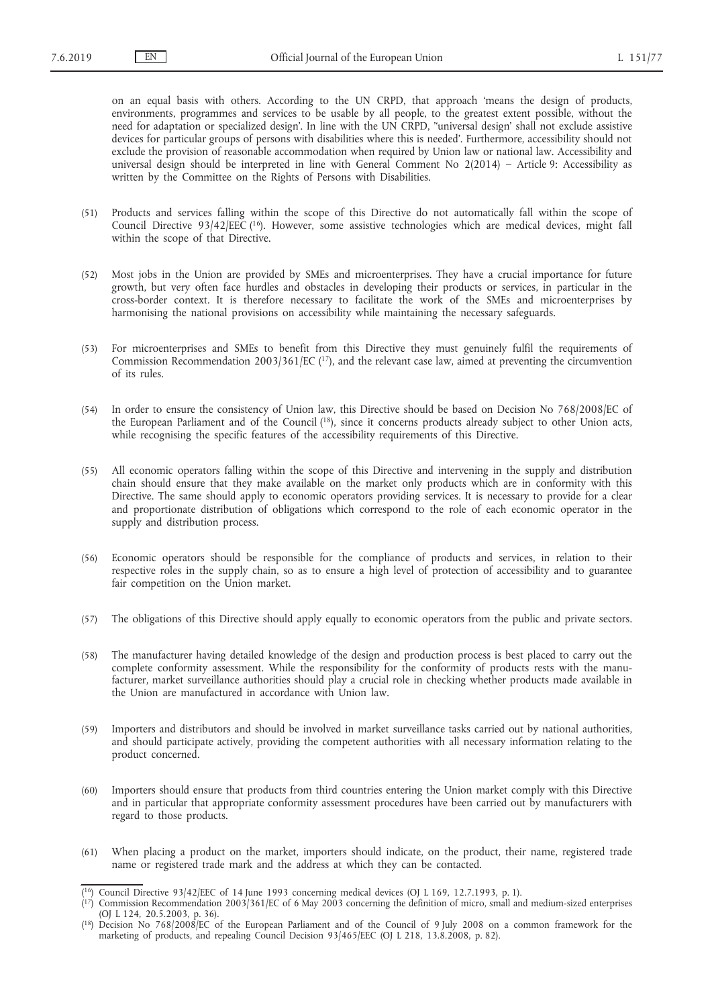on an equal basis with others. According to the UN CRPD, that approach 'means the design of products, environments, programmes and services to be usable by all people, to the greatest extent possible, without the need for adaptation or specialized design'. In line with the UN CRPD, ''universal design' shall not exclude assistive devices for particular groups of persons with disabilities where this is needed'. Furthermore, accessibility should not exclude the provision of reasonable accommodation when required by Union law or national law. Accessibility and universal design should be interpreted in line with General Comment No 2(2014) – Article 9: Accessibility as written by the Committee on the Rights of Persons with Disabilities.

- (51) Products and services falling within the scope of this Directive do not automatically fall within the scope of Council Directive 93/42/EEC (16). However, some assistive technologies which are medical devices, might fall within the scope of that Directive.
- (52) Most jobs in the Union are provided by SMEs and microenterprises. They have a crucial importance for future growth, but very often face hurdles and obstacles in developing their products or services, in particular in the cross-border context. It is therefore necessary to facilitate the work of the SMEs and microenterprises by harmonising the national provisions on accessibility while maintaining the necessary safeguards.
- (53) For microenterprises and SMEs to benefit from this Directive they must genuinely fulfil the requirements of Commission Recommendation 2003/361/EC (17), and the relevant case law, aimed at preventing the circumvention of its rules.
- (54) In order to ensure the consistency of Union law, this Directive should be based on Decision No 768/2008/EC of the European Parliament and of the Council (18), since it concerns products already subject to other Union acts, while recognising the specific features of the accessibility requirements of this Directive.
- (55) All economic operators falling within the scope of this Directive and intervening in the supply and distribution chain should ensure that they make available on the market only products which are in conformity with this Directive. The same should apply to economic operators providing services. It is necessary to provide for a clear and proportionate distribution of obligations which correspond to the role of each economic operator in the supply and distribution process.
- (56) Economic operators should be responsible for the compliance of products and services, in relation to their respective roles in the supply chain, so as to ensure a high level of protection of accessibility and to guarantee fair competition on the Union market.
- (57) The obligations of this Directive should apply equally to economic operators from the public and private sectors.
- (58) The manufacturer having detailed knowledge of the design and production process is best placed to carry out the complete conformity assessment. While the responsibility for the conformity of products rests with the manufacturer, market surveillance authorities should play a crucial role in checking whether products made available in the Union are manufactured in accordance with Union law.
- (59) Importers and distributors and should be involved in market surveillance tasks carried out by national authorities, and should participate actively, providing the competent authorities with all necessary information relating to the product concerned.
- (60) Importers should ensure that products from third countries entering the Union market comply with this Directive and in particular that appropriate conformity assessment procedures have been carried out by manufacturers with regard to those products.
- (61) When placing a product on the market, importers should indicate, on the product, their name, registered trade name or registered trade mark and the address at which they can be contacted.

 $(16)$  Council Directive 93/42/EEC of 14 June 1993 concerning medical devices (OJ L 169, 12.7.1993, p. 1).

<sup>(</sup> 17) Commission Recommendation 2003/361/EC of 6 May 2003 concerning the definition of micro, small and medium-sized enterprises (OJ L 124, 20.5.2003, p. 36).

<sup>(</sup> 18) Decision No 768/2008/EC of the European Parliament and of the Council of 9 July 2008 on a common framework for the marketing of products, and repealing Council Decision 93/465/EEC (OJ L 218, 13.8.2008, p. 82).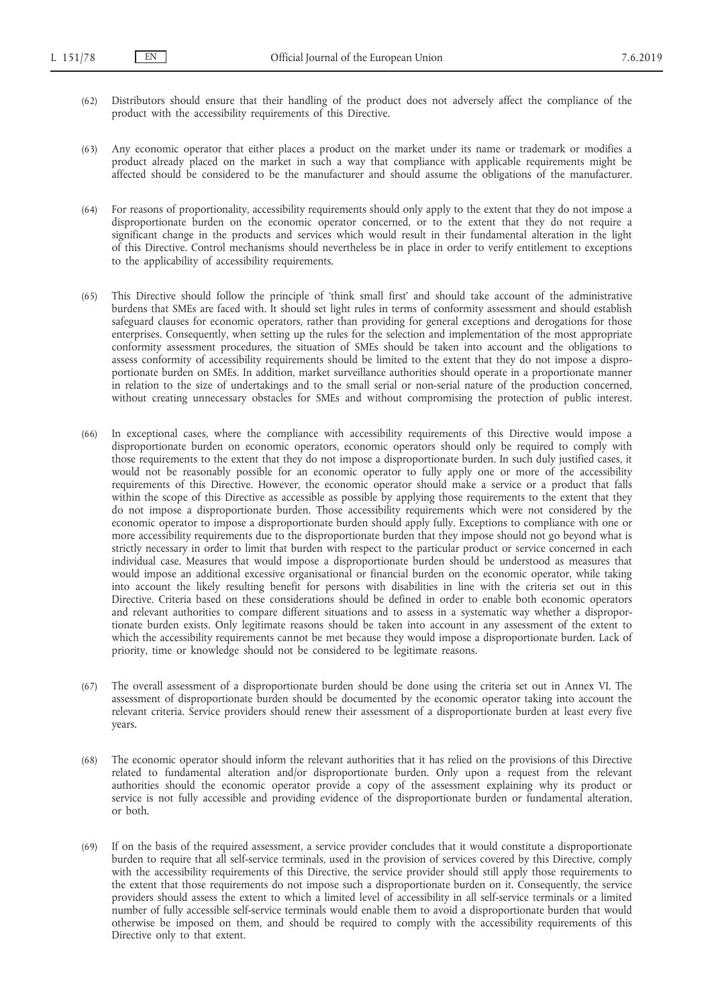- (62) Distributors should ensure that their handling of the product does not adversely affect the compliance of the product with the accessibility requirements of this Directive.
- (63) Any economic operator that either places a product on the market under its name or trademark or modifies a product already placed on the market in such a way that compliance with applicable requirements might be affected should be considered to be the manufacturer and should assume the obligations of the manufacturer.
- (64) For reasons of proportionality, accessibility requirements should only apply to the extent that they do not impose a disproportionate burden on the economic operator concerned, or to the extent that they do not require a significant change in the products and services which would result in their fundamental alteration in the light of this Directive. Control mechanisms should nevertheless be in place in order to verify entitlement to exceptions to the applicability of accessibility requirements.
- (65) This Directive should follow the principle of 'think small first' and should take account of the administrative burdens that SMEs are faced with. It should set light rules in terms of conformity assessment and should establish safeguard clauses for economic operators, rather than providing for general exceptions and derogations for those enterprises. Consequently, when setting up the rules for the selection and implementation of the most appropriate conformity assessment procedures, the situation of SMEs should be taken into account and the obligations to assess conformity of accessibility requirements should be limited to the extent that they do not impose a disproportionate burden on SMEs. In addition, market surveillance authorities should operate in a proportionate manner in relation to the size of undertakings and to the small serial or non-serial nature of the production concerned, without creating unnecessary obstacles for SMEs and without compromising the protection of public interest.
- (66) In exceptional cases, where the compliance with accessibility requirements of this Directive would impose a disproportionate burden on economic operators, economic operators should only be required to comply with those requirements to the extent that they do not impose a disproportionate burden. In such duly justified cases, it would not be reasonably possible for an economic operator to fully apply one or more of the accessibility requirements of this Directive. However, the economic operator should make a service or a product that falls within the scope of this Directive as accessible as possible by applying those requirements to the extent that they do not impose a disproportionate burden. Those accessibility requirements which were not considered by the economic operator to impose a disproportionate burden should apply fully. Exceptions to compliance with one or more accessibility requirements due to the disproportionate burden that they impose should not go beyond what is strictly necessary in order to limit that burden with respect to the particular product or service concerned in each individual case. Measures that would impose a disproportionate burden should be understood as measures that would impose an additional excessive organisational or financial burden on the economic operator, while taking into account the likely resulting benefit for persons with disabilities in line with the criteria set out in this Directive. Criteria based on these considerations should be defined in order to enable both economic operators and relevant authorities to compare different situations and to assess in a systematic way whether a disproportionate burden exists. Only legitimate reasons should be taken into account in any assessment of the extent to which the accessibility requirements cannot be met because they would impose a disproportionate burden. Lack of priority, time or knowledge should not be considered to be legitimate reasons.
- (67) The overall assessment of a disproportionate burden should be done using the criteria set out in Annex VI. The assessment of disproportionate burden should be documented by the economic operator taking into account the relevant criteria. Service providers should renew their assessment of a disproportionate burden at least every five years.
- (68) The economic operator should inform the relevant authorities that it has relied on the provisions of this Directive related to fundamental alteration and/or disproportionate burden. Only upon a request from the relevant authorities should the economic operator provide a copy of the assessment explaining why its product or service is not fully accessible and providing evidence of the disproportionate burden or fundamental alteration, or both.
- (69) If on the basis of the required assessment, a service provider concludes that it would constitute a disproportionate burden to require that all self-service terminals, used in the provision of services covered by this Directive, comply with the accessibility requirements of this Directive, the service provider should still apply those requirements to the extent that those requirements do not impose such a disproportionate burden on it. Consequently, the service providers should assess the extent to which a limited level of accessibility in all self-service terminals or a limited number of fully accessible self-service terminals would enable them to avoid a disproportionate burden that would otherwise be imposed on them, and should be required to comply with the accessibility requirements of this Directive only to that extent.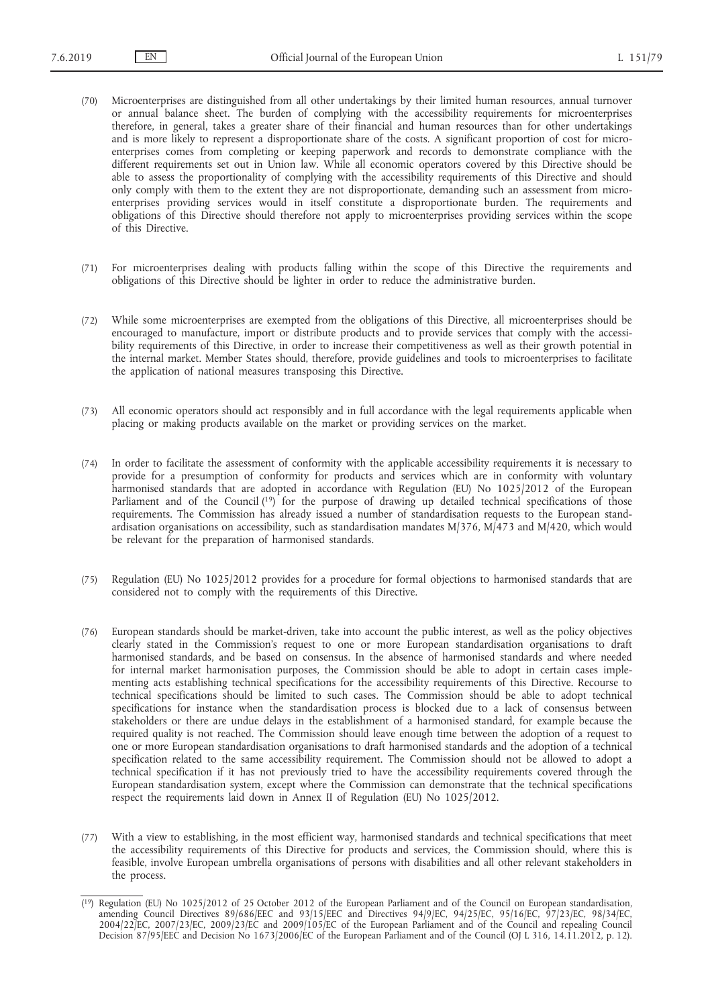- (70) Microenterprises are distinguished from all other undertakings by their limited human resources, annual turnover or annual balance sheet. The burden of complying with the accessibility requirements for microenterprises therefore, in general, takes a greater share of their financial and human resources than for other undertakings and is more likely to represent a disproportionate share of the costs. A significant proportion of cost for microenterprises comes from completing or keeping paperwork and records to demonstrate compliance with the different requirements set out in Union law. While all economic operators covered by this Directive should be able to assess the proportionality of complying with the accessibility requirements of this Directive and should only comply with them to the extent they are not disproportionate, demanding such an assessment from microenterprises providing services would in itself constitute a disproportionate burden. The requirements and obligations of this Directive should therefore not apply to microenterprises providing services within the scope of this Directive.
- (71) For microenterprises dealing with products falling within the scope of this Directive the requirements and obligations of this Directive should be lighter in order to reduce the administrative burden.
- (72) While some microenterprises are exempted from the obligations of this Directive, all microenterprises should be encouraged to manufacture, import or distribute products and to provide services that comply with the accessibility requirements of this Directive, in order to increase their competitiveness as well as their growth potential in the internal market. Member States should, therefore, provide guidelines and tools to microenterprises to facilitate the application of national measures transposing this Directive.
- (73) All economic operators should act responsibly and in full accordance with the legal requirements applicable when placing or making products available on the market or providing services on the market.
- (74) In order to facilitate the assessment of conformity with the applicable accessibility requirements it is necessary to provide for a presumption of conformity for products and services which are in conformity with voluntary harmonised standards that are adopted in accordance with Regulation (EU) No 1025/2012 of the European Parliament and of the Council (19) for the purpose of drawing up detailed technical specifications of those requirements. The Commission has already issued a number of standardisation requests to the European standardisation organisations on accessibility, such as standardisation mandates M/376, M/473 and M/420, which would be relevant for the preparation of harmonised standards.
- (75) Regulation (EU) No 1025/2012 provides for a procedure for formal objections to harmonised standards that are considered not to comply with the requirements of this Directive.
- (76) European standards should be market-driven, take into account the public interest, as well as the policy objectives clearly stated in the Commission's request to one or more European standardisation organisations to draft harmonised standards, and be based on consensus. In the absence of harmonised standards and where needed for internal market harmonisation purposes, the Commission should be able to adopt in certain cases implementing acts establishing technical specifications for the accessibility requirements of this Directive. Recourse to technical specifications should be limited to such cases. The Commission should be able to adopt technical specifications for instance when the standardisation process is blocked due to a lack of consensus between stakeholders or there are undue delays in the establishment of a harmonised standard, for example because the required quality is not reached. The Commission should leave enough time between the adoption of a request to one or more European standardisation organisations to draft harmonised standards and the adoption of a technical specification related to the same accessibility requirement. The Commission should not be allowed to adopt a technical specification if it has not previously tried to have the accessibility requirements covered through the European standardisation system, except where the Commission can demonstrate that the technical specifications respect the requirements laid down in Annex II of Regulation (EU) No 1025/2012.
- (77) With a view to establishing, in the most efficient way, harmonised standards and technical specifications that meet the accessibility requirements of this Directive for products and services, the Commission should, where this is feasible, involve European umbrella organisations of persons with disabilities and all other relevant stakeholders in the process.

<sup>(</sup> 19) Regulation (EU) No 1025/2012 of 25 October 2012 of the European Parliament and of the Council on European standardisation, amending Council Directives 89/686/EEC and 93/15/EEC and Directives 94/9/EC, 94/25/EC, 95/16/EC, 97/23/EC, 98/34/EC, 2004/22/EC, 2007/23/EC, 2009/23/EC and 2009/105/EC of the European Parliament and of the Council and repealing Council Decision 87/95/EEC and Decision No 1673/2006/EC of the European Parliament and of the Council (OJ L 316, 14.11.2012, p. 12).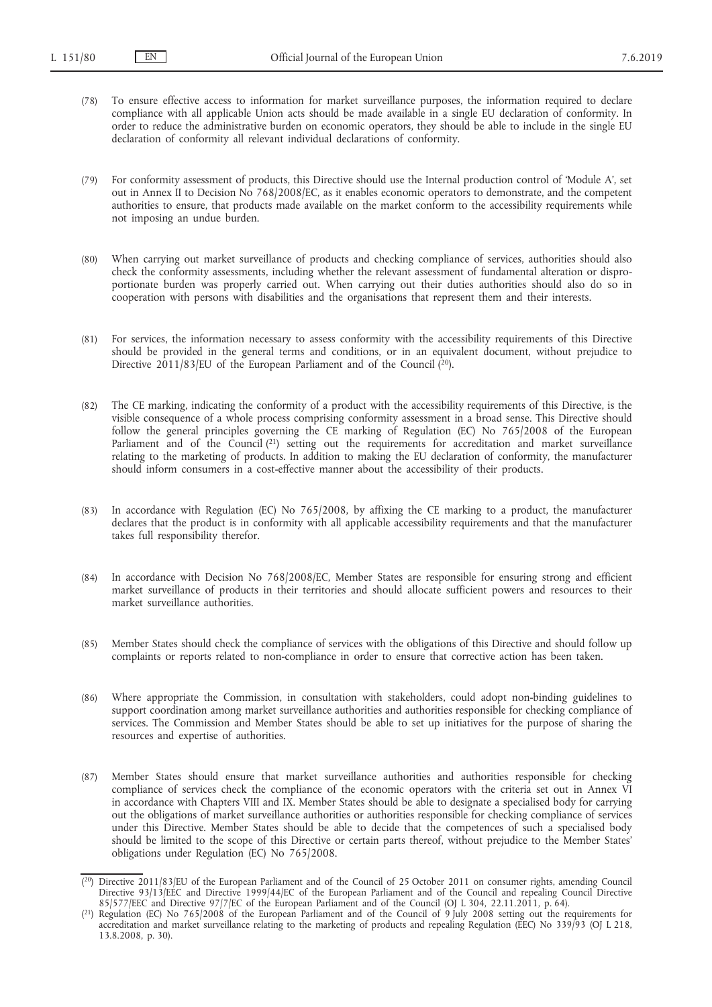- (78) To ensure effective access to information for market surveillance purposes, the information required to declare compliance with all applicable Union acts should be made available in a single EU declaration of conformity. In order to reduce the administrative burden on economic operators, they should be able to include in the single EU declaration of conformity all relevant individual declarations of conformity.
- (79) For conformity assessment of products, this Directive should use the Internal production control of 'Module A', set out in Annex II to Decision No 768/2008/EC, as it enables economic operators to demonstrate, and the competent authorities to ensure, that products made available on the market conform to the accessibility requirements while not imposing an undue burden.
- (80) When carrying out market surveillance of products and checking compliance of services, authorities should also check the conformity assessments, including whether the relevant assessment of fundamental alteration or disproportionate burden was properly carried out. When carrying out their duties authorities should also do so in cooperation with persons with disabilities and the organisations that represent them and their interests.
- (81) For services, the information necessary to assess conformity with the accessibility requirements of this Directive should be provided in the general terms and conditions, or in an equivalent document, without prejudice to Directive  $2011/83/EU$  of the European Parliament and of the Council  $(^{20}$ ).
- (82) The CE marking, indicating the conformity of a product with the accessibility requirements of this Directive, is the visible consequence of a whole process comprising conformity assessment in a broad sense. This Directive should follow the general principles governing the CE marking of Regulation (EC) No 765/2008 of the European Parliament and of the Council (21) setting out the requirements for accreditation and market surveillance relating to the marketing of products. In addition to making the EU declaration of conformity, the manufacturer should inform consumers in a cost-effective manner about the accessibility of their products.
- (83) In accordance with Regulation (EC) No 765/2008, by affixing the CE marking to a product, the manufacturer declares that the product is in conformity with all applicable accessibility requirements and that the manufacturer takes full responsibility therefor.
- (84) In accordance with Decision No 768/2008/EC, Member States are responsible for ensuring strong and efficient market surveillance of products in their territories and should allocate sufficient powers and resources to their market surveillance authorities.
- (85) Member States should check the compliance of services with the obligations of this Directive and should follow up complaints or reports related to non-compliance in order to ensure that corrective action has been taken.
- (86) Where appropriate the Commission, in consultation with stakeholders, could adopt non-binding guidelines to support coordination among market surveillance authorities and authorities responsible for checking compliance of services. The Commission and Member States should be able to set up initiatives for the purpose of sharing the resources and expertise of authorities.
- (87) Member States should ensure that market surveillance authorities and authorities responsible for checking compliance of services check the compliance of the economic operators with the criteria set out in Annex VI in accordance with Chapters VIII and IX. Member States should be able to designate a specialised body for carrying out the obligations of market surveillance authorities or authorities responsible for checking compliance of services under this Directive. Member States should be able to decide that the competences of such a specialised body should be limited to the scope of this Directive or certain parts thereof, without prejudice to the Member States' obligations under Regulation (EC) No 765/2008.

<sup>(</sup> 20) Directive 2011/83/EU of the European Parliament and of the Council of 25 October 2011 on consumer rights, amending Council Directive 93/13/EEC and Directive 1999/44/EC of the European Parliament and of the Council and repealing Council Directive 85/577/EEC and Directive 97/7/EC of the European Parliament and of the Council (OJ L 304, 22.11.2011, p. 64).

<sup>(</sup> 21) Regulation (EC) No 765/2008 of the European Parliament and of the Council of 9 July 2008 setting out the requirements for accreditation and market surveillance relating to the marketing of products and repealing Regulation (EEC) No 339/93 (OJ L 218, 13.8.2008, p. 30).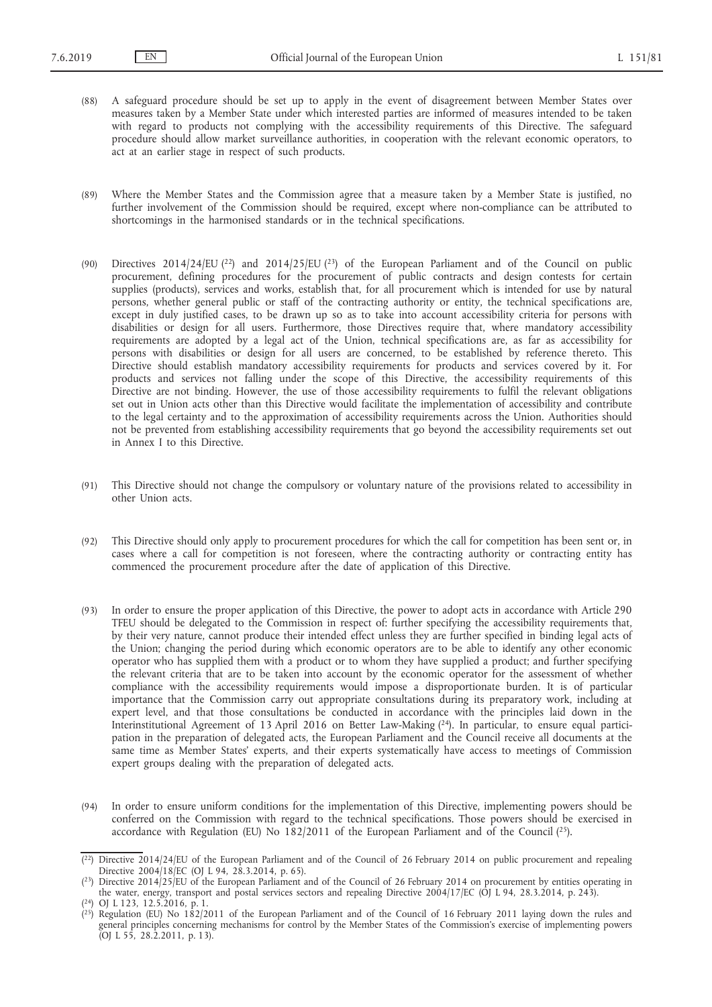- (88) A safeguard procedure should be set up to apply in the event of disagreement between Member States over measures taken by a Member State under which interested parties are informed of measures intended to be taken with regard to products not complying with the accessibility requirements of this Directive. The safeguard procedure should allow market surveillance authorities, in cooperation with the relevant economic operators, to act at an earlier stage in respect of such products.
- (89) Where the Member States and the Commission agree that a measure taken by a Member State is justified, no further involvement of the Commission should be required, except where non-compliance can be attributed to shortcomings in the harmonised standards or in the technical specifications.
- (90) Directives 2014/24/EU (22) and 2014/25/EU (23) of the European Parliament and of the Council on public procurement, defining procedures for the procurement of public contracts and design contests for certain supplies (products), services and works, establish that, for all procurement which is intended for use by natural persons, whether general public or staff of the contracting authority or entity, the technical specifications are, except in duly justified cases, to be drawn up so as to take into account accessibility criteria for persons with disabilities or design for all users. Furthermore, those Directives require that, where mandatory accessibility requirements are adopted by a legal act of the Union, technical specifications are, as far as accessibility for persons with disabilities or design for all users are concerned, to be established by reference thereto. This Directive should establish mandatory accessibility requirements for products and services covered by it. For products and services not falling under the scope of this Directive, the accessibility requirements of this Directive are not binding. However, the use of those accessibility requirements to fulfil the relevant obligations set out in Union acts other than this Directive would facilitate the implementation of accessibility and contribute to the legal certainty and to the approximation of accessibility requirements across the Union. Authorities should not be prevented from establishing accessibility requirements that go beyond the accessibility requirements set out in Annex I to this Directive.
- (91) This Directive should not change the compulsory or voluntary nature of the provisions related to accessibility in other Union acts.
- (92) This Directive should only apply to procurement procedures for which the call for competition has been sent or, in cases where a call for competition is not foreseen, where the contracting authority or contracting entity has commenced the procurement procedure after the date of application of this Directive.
- (93) In order to ensure the proper application of this Directive, the power to adopt acts in accordance with Article 290 TFEU should be delegated to the Commission in respect of: further specifying the accessibility requirements that, by their very nature, cannot produce their intended effect unless they are further specified in binding legal acts of the Union; changing the period during which economic operators are to be able to identify any other economic operator who has supplied them with a product or to whom they have supplied a product; and further specifying the relevant criteria that are to be taken into account by the economic operator for the assessment of whether compliance with the accessibility requirements would impose a disproportionate burden. It is of particular importance that the Commission carry out appropriate consultations during its preparatory work, including at expert level, and that those consultations be conducted in accordance with the principles laid down in the Interinstitutional Agreement of 13 April 2016 on Better Law-Making (24). In particular, to ensure equal participation in the preparation of delegated acts, the European Parliament and the Council receive all documents at the same time as Member States' experts, and their experts systematically have access to meetings of Commission expert groups dealing with the preparation of delegated acts.
- (94) In order to ensure uniform conditions for the implementation of this Directive, implementing powers should be conferred on the Commission with regard to the technical specifications. Those powers should be exercised in accordance with Regulation (EU) No  $182/2011$  of the European Parliament and of the Council  $(^{25})$ .

 $(2^2)$  Directive 2014/24/EU of the European Parliament and of the Council of 26 February 2014 on public procurement and repealing Directive 2004/18/EC (OJ L 94, 28.3.2014, p. 65).

 $(2^3)$  Directive 2014/25/EU of the European Parliament and of the Council of 26 February 2014 on procurement by entities operating in the water, energy, transport and postal services sectors and repealing Directive 2004/17/EC (OJ L 94, 28.3.2014, p. 243). ( 24) OJ L 123, 12.5.2016, p. 1.

<sup>(</sup> 25) Regulation (EU) No 182/2011 of the European Parliament and of the Council of 16 February 2011 laying down the rules and general principles concerning mechanisms for control by the Member States of the Commission's exercise of implementing powers  $[O]$  L 55, 28.2.2011, p. 13).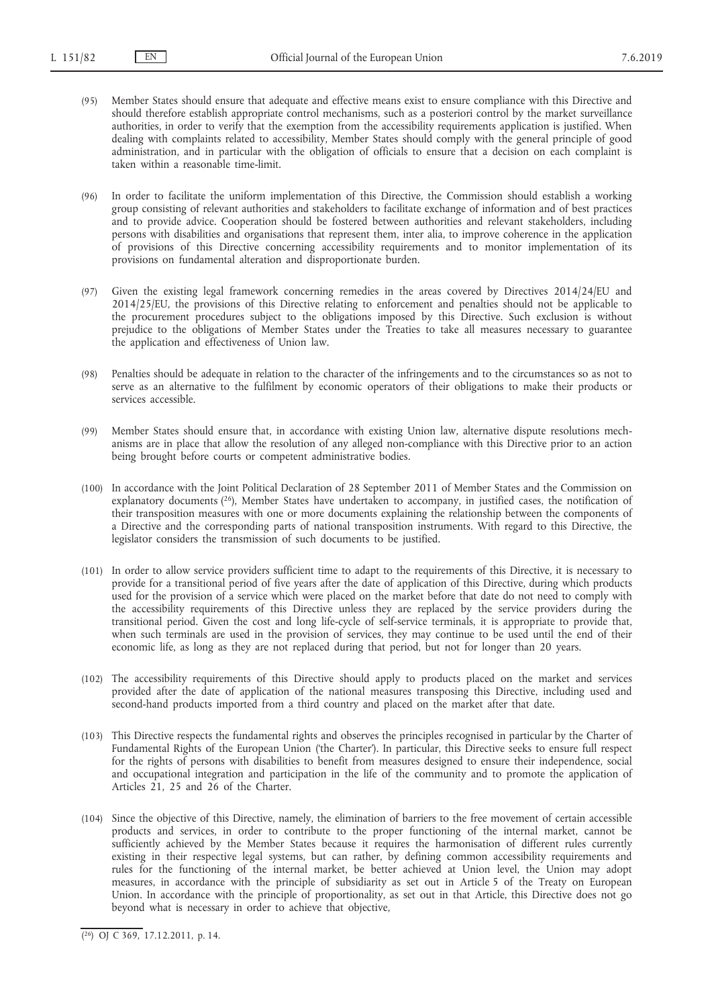- (95) Member States should ensure that adequate and effective means exist to ensure compliance with this Directive and should therefore establish appropriate control mechanisms, such as a posteriori control by the market surveillance authorities, in order to verify that the exemption from the accessibility requirements application is justified. When dealing with complaints related to accessibility, Member States should comply with the general principle of good administration, and in particular with the obligation of officials to ensure that a decision on each complaint is taken within a reasonable time-limit.
- (96) In order to facilitate the uniform implementation of this Directive, the Commission should establish a working group consisting of relevant authorities and stakeholders to facilitate exchange of information and of best practices and to provide advice. Cooperation should be fostered between authorities and relevant stakeholders, including persons with disabilities and organisations that represent them, inter alia, to improve coherence in the application of provisions of this Directive concerning accessibility requirements and to monitor implementation of its provisions on fundamental alteration and disproportionate burden.
- (97) Given the existing legal framework concerning remedies in the areas covered by Directives 2014/24/EU and 2014/25/EU, the provisions of this Directive relating to enforcement and penalties should not be applicable to the procurement procedures subject to the obligations imposed by this Directive. Such exclusion is without prejudice to the obligations of Member States under the Treaties to take all measures necessary to guarantee the application and effectiveness of Union law.
- (98) Penalties should be adequate in relation to the character of the infringements and to the circumstances so as not to serve as an alternative to the fulfilment by economic operators of their obligations to make their products or services accessible.
- (99) Member States should ensure that, in accordance with existing Union law, alternative dispute resolutions mechanisms are in place that allow the resolution of any alleged non-compliance with this Directive prior to an action being brought before courts or competent administrative bodies.
- (100) In accordance with the Joint Political Declaration of 28 September 2011 of Member States and the Commission on explanatory documents (26), Member States have undertaken to accompany, in justified cases, the notification of their transposition measures with one or more documents explaining the relationship between the components of a Directive and the corresponding parts of national transposition instruments. With regard to this Directive, the legislator considers the transmission of such documents to be justified.
- (101) In order to allow service providers sufficient time to adapt to the requirements of this Directive, it is necessary to provide for a transitional period of five years after the date of application of this Directive, during which products used for the provision of a service which were placed on the market before that date do not need to comply with the accessibility requirements of this Directive unless they are replaced by the service providers during the transitional period. Given the cost and long life-cycle of self-service terminals, it is appropriate to provide that, when such terminals are used in the provision of services, they may continue to be used until the end of their economic life, as long as they are not replaced during that period, but not for longer than 20 years.
- (102) The accessibility requirements of this Directive should apply to products placed on the market and services provided after the date of application of the national measures transposing this Directive, including used and second-hand products imported from a third country and placed on the market after that date.
- (103) This Directive respects the fundamental rights and observes the principles recognised in particular by the Charter of Fundamental Rights of the European Union ('the Charter'). In particular, this Directive seeks to ensure full respect for the rights of persons with disabilities to benefit from measures designed to ensure their independence, social and occupational integration and participation in the life of the community and to promote the application of Articles 21, 25 and 26 of the Charter.
- (104) Since the objective of this Directive, namely, the elimination of barriers to the free movement of certain accessible products and services, in order to contribute to the proper functioning of the internal market, cannot be sufficiently achieved by the Member States because it requires the harmonisation of different rules currently existing in their respective legal systems, but can rather, by defining common accessibility requirements and rules for the functioning of the internal market, be better achieved at Union level, the Union may adopt measures, in accordance with the principle of subsidiarity as set out in Article 5 of the Treaty on European Union. In accordance with the principle of proportionality, as set out in that Article, this Directive does not go beyond what is necessary in order to achieve that objective,

<sup>(</sup> 26) OJ C 369, 17.12.2011, p. 14.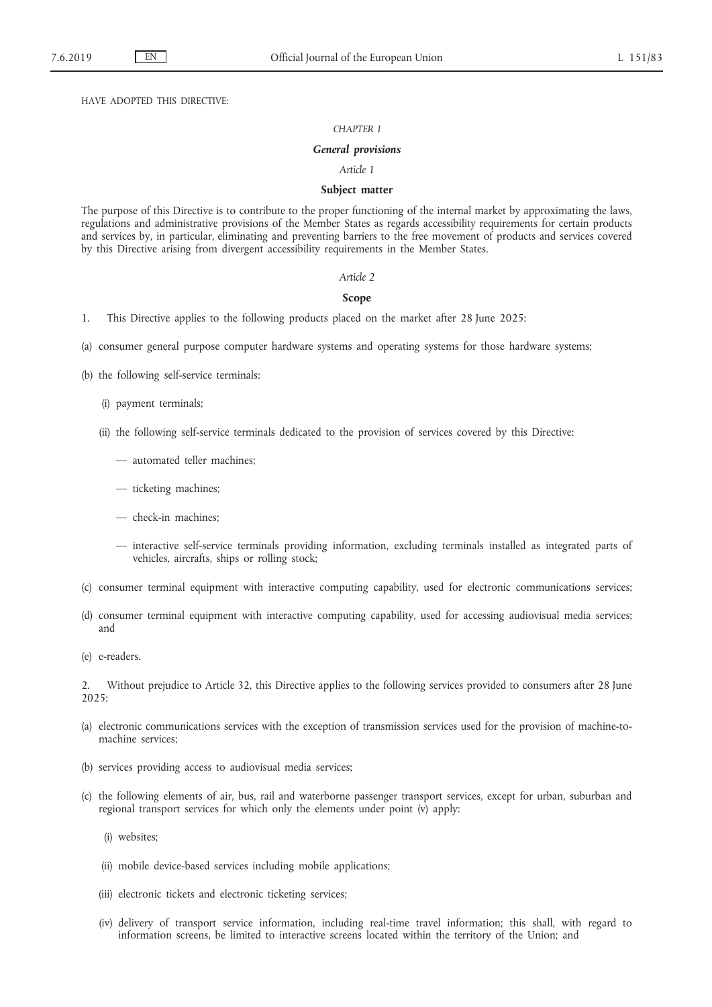HAVE ADOPTED THIS DIRECTIVE:

#### *CHAPTER I*

#### *General provisions*

#### *Article 1*

### **Subject matter**

The purpose of this Directive is to contribute to the proper functioning of the internal market by approximating the laws, regulations and administrative provisions of the Member States as regards accessibility requirements for certain products and services by, in particular, eliminating and preventing barriers to the free movement of products and services covered by this Directive arising from divergent accessibility requirements in the Member States.

#### *Article 2*

#### **Scope**

- 1. This Directive applies to the following products placed on the market after 28 June 2025:
- (a) consumer general purpose computer hardware systems and operating systems for those hardware systems;
- (b) the following self-service terminals:
	- (i) payment terminals;
	- (ii) the following self-service terminals dedicated to the provision of services covered by this Directive:
		- automated teller machines;
		- ticketing machines;
		- check-in machines;
		- interactive self-service terminals providing information, excluding terminals installed as integrated parts of vehicles, aircrafts, ships or rolling stock;
- (c) consumer terminal equipment with interactive computing capability, used for electronic communications services;
- (d) consumer terminal equipment with interactive computing capability, used for accessing audiovisual media services; and
- (e) e-readers.

2. Without prejudice to Article 32, this Directive applies to the following services provided to consumers after 28 June 2025:

- (a) electronic communications services with the exception of transmission services used for the provision of machine-tomachine services;
- (b) services providing access to audiovisual media services;
- (c) the following elements of air, bus, rail and waterborne passenger transport services, except for urban, suburban and regional transport services for which only the elements under point (v) apply:
	- (i) websites;
	- (ii) mobile device-based services including mobile applications;
	- (iii) electronic tickets and electronic ticketing services;
	- (iv) delivery of transport service information, including real-time travel information; this shall, with regard to information screens, be limited to interactive screens located within the territory of the Union; and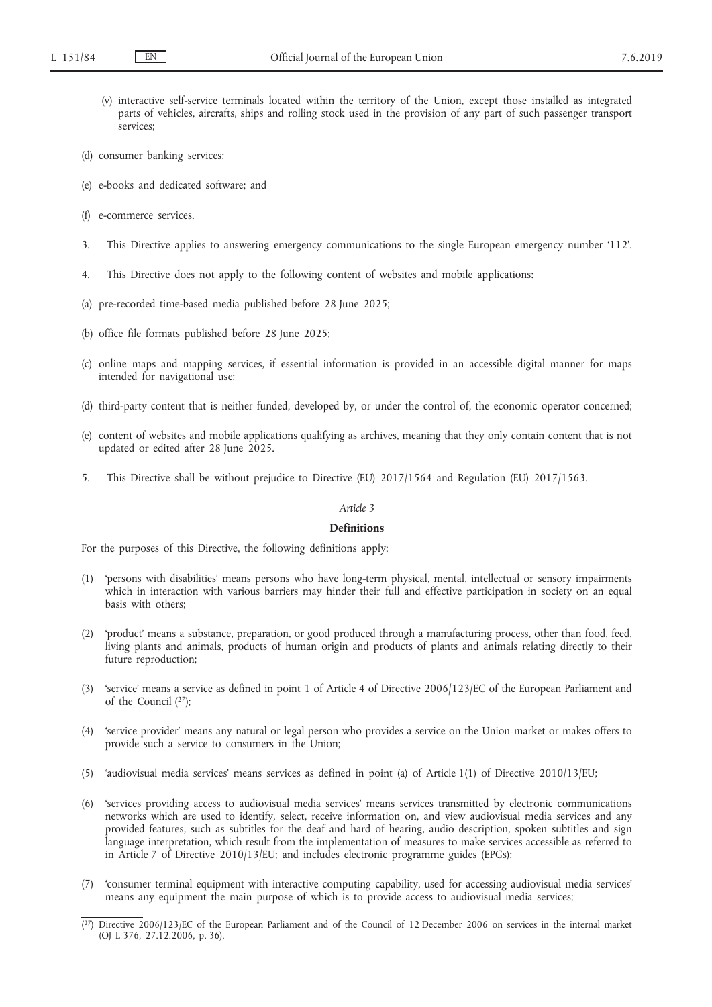- (v) interactive self-service terminals located within the territory of the Union, except those installed as integrated parts of vehicles, aircrafts, ships and rolling stock used in the provision of any part of such passenger transport services;
- (d) consumer banking services;
- (e) e-books and dedicated software; and
- (f) e-commerce services.
- 3. This Directive applies to answering emergency communications to the single European emergency number '112'.
- 4. This Directive does not apply to the following content of websites and mobile applications:
- (a) pre-recorded time-based media published before 28 June 2025;
- (b) office file formats published before 28 June 2025;
- (c) online maps and mapping services, if essential information is provided in an accessible digital manner for maps intended for navigational use;
- (d) third-party content that is neither funded, developed by, or under the control of, the economic operator concerned;
- (e) content of websites and mobile applications qualifying as archives, meaning that they only contain content that is not updated or edited after 28 June 2025.
- 5. This Directive shall be without prejudice to Directive (EU) 2017/1564 and Regulation (EU) 2017/1563.

## *Article 3*

#### **Definitions**

For the purposes of this Directive, the following definitions apply:

- (1) 'persons with disabilities' means persons who have long-term physical, mental, intellectual or sensory impairments which in interaction with various barriers may hinder their full and effective participation in society on an equal basis with others;
- (2) 'product' means a substance, preparation, or good produced through a manufacturing process, other than food, feed, living plants and animals, products of human origin and products of plants and animals relating directly to their future reproduction;
- (3) 'service' means a service as defined in point 1 of Article 4 of Directive 2006/123/EC of the European Parliament and of the Council (27);
- (4) 'service provider' means any natural or legal person who provides a service on the Union market or makes offers to provide such a service to consumers in the Union;
- (5) 'audiovisual media services' means services as defined in point (a) of Article 1(1) of Directive 2010/13/EU;
- (6) 'services providing access to audiovisual media services' means services transmitted by electronic communications networks which are used to identify, select, receive information on, and view audiovisual media services and any provided features, such as subtitles for the deaf and hard of hearing, audio description, spoken subtitles and sign language interpretation, which result from the implementation of measures to make services accessible as referred to in Article 7 of Directive 2010/13/EU; and includes electronic programme guides (EPGs);
- (7) 'consumer terminal equipment with interactive computing capability, used for accessing audiovisual media services' means any equipment the main purpose of which is to provide access to audiovisual media services;

<sup>(</sup> 27) Directive 2006/123/EC of the European Parliament and of the Council of 12 December 2006 on services in the internal market (OJ L 376, 27.12.2006, p. 36).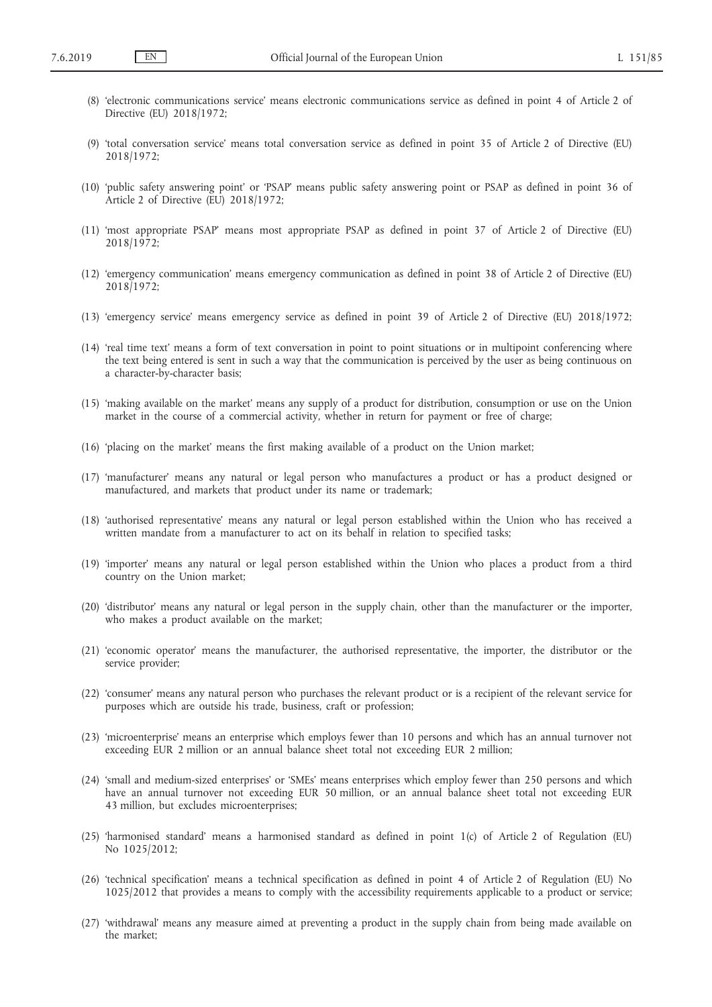- (8) 'electronic communications service' means electronic communications service as defined in point 4 of Article 2 of Directive (EU) 2018/1972;
- (9) 'total conversation service' means total conversation service as defined in point 35 of Article 2 of Directive (EU) 2018/1972;
- (10) 'public safety answering point' or 'PSAP' means public safety answering point or PSAP as defined in point 36 of Article 2 of Directive (EU) 2018/1972;
- (11) 'most appropriate PSAP' means most appropriate PSAP as defined in point 37 of Article 2 of Directive (EU) 2018/1972;
- (12) 'emergency communication' means emergency communication as defined in point 38 of Article 2 of Directive (EU) 2018/1972;
- (13) 'emergency service' means emergency service as defined in point 39 of Article 2 of Directive (EU) 2018/1972;
- (14) 'real time text' means a form of text conversation in point to point situations or in multipoint conferencing where the text being entered is sent in such a way that the communication is perceived by the user as being continuous on a character-by-character basis;
- (15) 'making available on the market' means any supply of a product for distribution, consumption or use on the Union market in the course of a commercial activity, whether in return for payment or free of charge;
- (16) 'placing on the market' means the first making available of a product on the Union market;
- (17) 'manufacturer' means any natural or legal person who manufactures a product or has a product designed or manufactured, and markets that product under its name or trademark;
- (18) 'authorised representative' means any natural or legal person established within the Union who has received a written mandate from a manufacturer to act on its behalf in relation to specified tasks;
- (19) 'importer' means any natural or legal person established within the Union who places a product from a third country on the Union market;
- (20) 'distributor' means any natural or legal person in the supply chain, other than the manufacturer or the importer, who makes a product available on the market;
- (21) 'economic operator' means the manufacturer, the authorised representative, the importer, the distributor or the service provider;
- (22) 'consumer' means any natural person who purchases the relevant product or is a recipient of the relevant service for purposes which are outside his trade, business, craft or profession;
- (23) 'microenterprise' means an enterprise which employs fewer than 10 persons and which has an annual turnover not exceeding EUR 2 million or an annual balance sheet total not exceeding EUR 2 million;
- (24) 'small and medium-sized enterprises' or 'SMEs' means enterprises which employ fewer than 250 persons and which have an annual turnover not exceeding EUR 50 million, or an annual balance sheet total not exceeding EUR 43 million, but excludes microenterprises;
- (25) 'harmonised standard' means a harmonised standard as defined in point 1(c) of Article 2 of Regulation (EU) No 1025/2012;
- (26) 'technical specification' means a technical specification as defined in point 4 of Article 2 of Regulation (EU) No 1025/2012 that provides a means to comply with the accessibility requirements applicable to a product or service;
- (27) 'withdrawal' means any measure aimed at preventing a product in the supply chain from being made available on the market;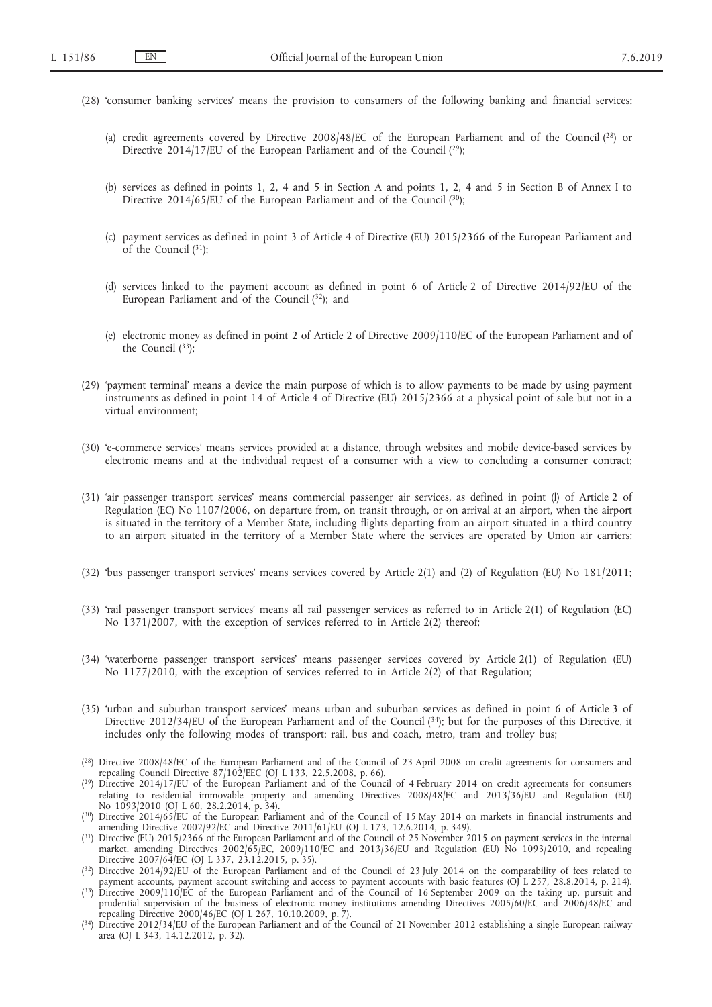- (28) 'consumer banking services' means the provision to consumers of the following banking and financial services:
	- (a) credit agreements covered by Directive 2008/48/EC of the European Parliament and of the Council (28) or Directive 2014/17/EU of the European Parliament and of the Council (29);
	- (b) services as defined in points 1, 2, 4 and 5 in Section A and points 1, 2, 4 and 5 in Section B of Annex I to Directive 2014/65/EU of the European Parliament and of the Council  $(30)$ ;
	- (c) payment services as defined in point 3 of Article 4 of Directive (EU) 2015/2366 of the European Parliament and of the Council  $(^{31})$ :
	- (d) services linked to the payment account as defined in point 6 of Article 2 of Directive 2014/92/EU of the European Parliament and of the Council (32); and
	- (e) electronic money as defined in point 2 of Article 2 of Directive 2009/110/EC of the European Parliament and of the Council  $(^{33})$ ;
- (29) 'payment terminal' means a device the main purpose of which is to allow payments to be made by using payment instruments as defined in point 14 of Article 4 of Directive (EU) 2015/2366 at a physical point of sale but not in a virtual environment;
- (30) 'e-commerce services' means services provided at a distance, through websites and mobile device-based services by electronic means and at the individual request of a consumer with a view to concluding a consumer contract;
- (31) 'air passenger transport services' means commercial passenger air services, as defined in point (l) of Article 2 of Regulation (EC) No 1107/2006, on departure from, on transit through, or on arrival at an airport, when the airport is situated in the territory of a Member State, including flights departing from an airport situated in a third country to an airport situated in the territory of a Member State where the services are operated by Union air carriers;
- (32) 'bus passenger transport services' means services covered by Article 2(1) and (2) of Regulation (EU) No 181/2011;
- (33) 'rail passenger transport services' means all rail passenger services as referred to in Article 2(1) of Regulation (EC) No 1371/2007, with the exception of services referred to in Article 2(2) thereof;
- (34) 'waterborne passenger transport services' means passenger services covered by Article 2(1) of Regulation (EU) No 1177/2010, with the exception of services referred to in Article 2(2) of that Regulation;
- (35) 'urban and suburban transport services' means urban and suburban services as defined in point 6 of Article 3 of Directive 2012/34/EU of the European Parliament and of the Council (34); but for the purposes of this Directive, it includes only the following modes of transport: rail, bus and coach, metro, tram and trolley bus;

<sup>(</sup> 28) Directive 2008/48/EC of the European Parliament and of the Council of 23 April 2008 on credit agreements for consumers and repealing Council Directive 87/102/EEC (OJ L 133, 22.5.2008, p. 66).

<sup>(</sup> 29) Directive 2014/17/EU of the European Parliament and of the Council of 4 February 2014 on credit agreements for consumers relating to residential immovable property and amending Directives 2008/48/EC and 2013/36/EU and Regulation (EU) No  $1093/2010$  (OJ L 60, 28.2.2014, p. 34).

<sup>(30)</sup> Directive 2014/65/EU of the European Parliament and of the Council of 15 May 2014 on markets in financial instruments and amending Directive 2002/92/EC and Directive 2011/61/EU (OJ L 173, 12.6.2014, p. 349).

 $(31)$  Directive (EU) 2015/2366 of the European Parliament and of the Council of 25 November 2015 on payment services in the internal market, amending Directives 2002/65/EC, 2009/110/EC and 2013/36/EU and Regulation (EU) No 1093/2010, and repealing Directive 2007/64/EC (OJ L 337, 23.12.2015, p. 35).

 $(32)$  Directive 2014/92/EU of the European Parliament and of the Council of 23 July 2014 on the comparability of fees related to payment accounts, payment account switching and access to payment accounts with basic features (OJ L 257, 28.8.2014, p. 214).

<sup>(</sup> 33) Directive 2009/110/EC of the European Parliament and of the Council of 16 September 2009 on the taking up, pursuit and prudential supervision of the business of electronic money institutions amending Directives 2005/60/EC and 2006/48/EC and repealing Directive 2000/46/EC (OJ L 267, 10.10.2009, p. 7).

<sup>(</sup> 34) Directive 2012/34/EU of the European Parliament and of the Council of 21 November 2012 establishing a single European railway area (OJ L 343, 14.12.2012, p. 32).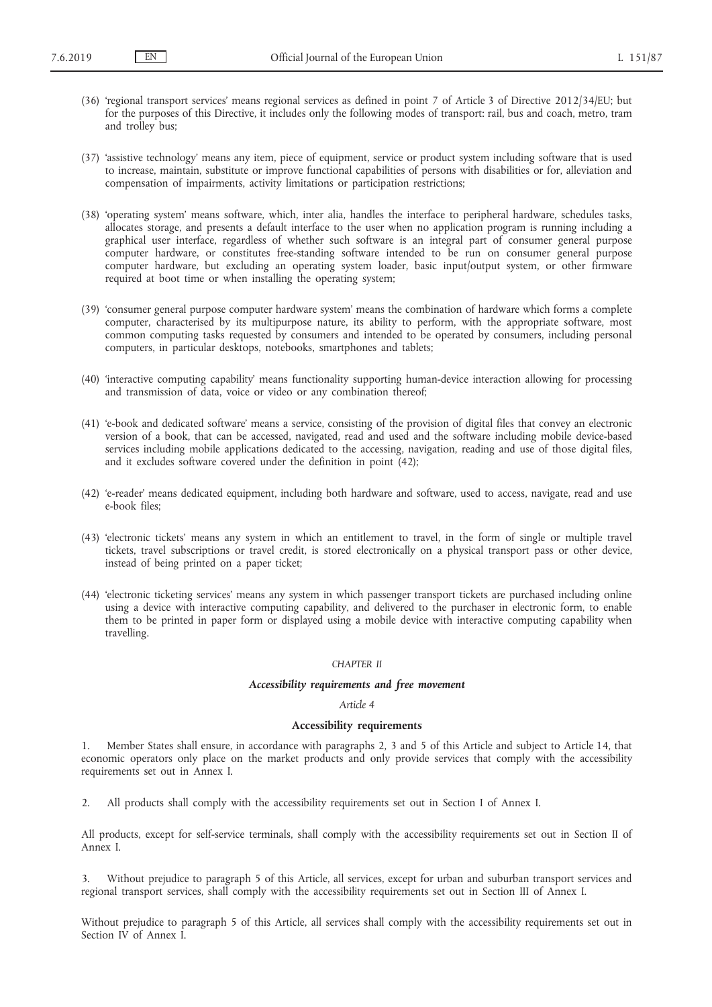- (36) 'regional transport services' means regional services as defined in point 7 of Article 3 of Directive 2012/34/EU; but for the purposes of this Directive, it includes only the following modes of transport: rail, bus and coach, metro, tram and trolley bus;
- (37) 'assistive technology' means any item, piece of equipment, service or product system including software that is used to increase, maintain, substitute or improve functional capabilities of persons with disabilities or for, alleviation and compensation of impairments, activity limitations or participation restrictions;
- (38) 'operating system' means software, which, inter alia, handles the interface to peripheral hardware, schedules tasks, allocates storage, and presents a default interface to the user when no application program is running including a graphical user interface, regardless of whether such software is an integral part of consumer general purpose computer hardware, or constitutes free-standing software intended to be run on consumer general purpose computer hardware, but excluding an operating system loader, basic input/output system, or other firmware required at boot time or when installing the operating system;
- (39) 'consumer general purpose computer hardware system' means the combination of hardware which forms a complete computer, characterised by its multipurpose nature, its ability to perform, with the appropriate software, most common computing tasks requested by consumers and intended to be operated by consumers, including personal computers, in particular desktops, notebooks, smartphones and tablets;
- (40) 'interactive computing capability' means functionality supporting human-device interaction allowing for processing and transmission of data, voice or video or any combination thereof;
- (41) 'e-book and dedicated software' means a service, consisting of the provision of digital files that convey an electronic version of a book, that can be accessed, navigated, read and used and the software including mobile device-based services including mobile applications dedicated to the accessing, navigation, reading and use of those digital files, and it excludes software covered under the definition in point (42);
- (42) 'e-reader' means dedicated equipment, including both hardware and software, used to access, navigate, read and use e-book files;
- (43) 'electronic tickets' means any system in which an entitlement to travel, in the form of single or multiple travel tickets, travel subscriptions or travel credit, is stored electronically on a physical transport pass or other device, instead of being printed on a paper ticket;
- (44) 'electronic ticketing services' means any system in which passenger transport tickets are purchased including online using a device with interactive computing capability, and delivered to the purchaser in electronic form, to enable them to be printed in paper form or displayed using a mobile device with interactive computing capability when travelling.

### *CHAPTER II*

#### *Accessibility requirements and free movement*

#### *Article 4*

## **Accessibility requirements**

1. Member States shall ensure, in accordance with paragraphs 2, 3 and 5 of this Article and subject to Article 14, that economic operators only place on the market products and only provide services that comply with the accessibility requirements set out in Annex I.

2. All products shall comply with the accessibility requirements set out in Section I of Annex I.

All products, except for self-service terminals, shall comply with the accessibility requirements set out in Section II of Annex I.

3. Without prejudice to paragraph 5 of this Article, all services, except for urban and suburban transport services and regional transport services, shall comply with the accessibility requirements set out in Section III of Annex I.

Without prejudice to paragraph 5 of this Article, all services shall comply with the accessibility requirements set out in Section IV of Annex I.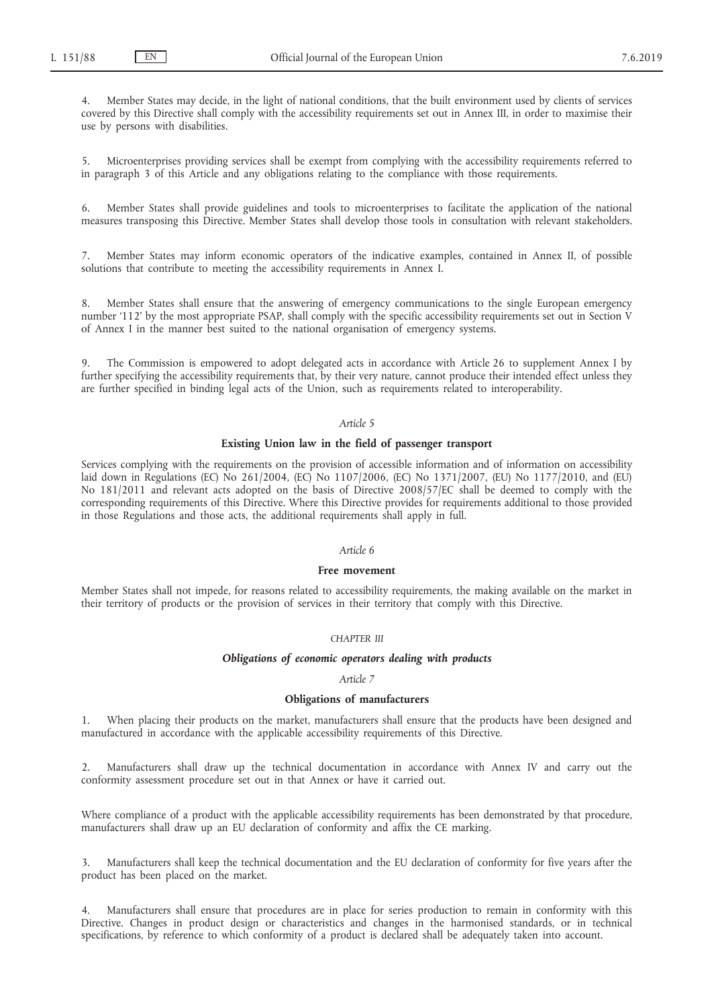Member States may decide, in the light of national conditions, that the built environment used by clients of services covered by this Directive shall comply with the accessibility requirements set out in Annex III, in order to maximise their use by persons with disabilities.

5. Microenterprises providing services shall be exempt from complying with the accessibility requirements referred to in paragraph 3 of this Article and any obligations relating to the compliance with those requirements.

6. Member States shall provide guidelines and tools to microenterprises to facilitate the application of the national measures transposing this Directive. Member States shall develop those tools in consultation with relevant stakeholders.

7. Member States may inform economic operators of the indicative examples, contained in Annex II, of possible solutions that contribute to meeting the accessibility requirements in Annex I.

8. Member States shall ensure that the answering of emergency communications to the single European emergency number '112' by the most appropriate PSAP, shall comply with the specific accessibility requirements set out in Section V of Annex I in the manner best suited to the national organisation of emergency systems.

9. The Commission is empowered to adopt delegated acts in accordance with Article 26 to supplement Annex I by further specifying the accessibility requirements that, by their very nature, cannot produce their intended effect unless they are further specified in binding legal acts of the Union, such as requirements related to interoperability.

## *Article 5*

## **Existing Union law in the field of passenger transport**

Services complying with the requirements on the provision of accessible information and of information on accessibility laid down in Regulations (EC) No 261/2004, (EC) No 1107/2006, (EC) No 1371/2007, (EU) No 1177/2010, and (EU) No 181/2011 and relevant acts adopted on the basis of Directive 2008/57/EC shall be deemed to comply with the corresponding requirements of this Directive. Where this Directive provides for requirements additional to those provided in those Regulations and those acts, the additional requirements shall apply in full.

### *Article 6*

#### **Free movement**

Member States shall not impede, for reasons related to accessibility requirements, the making available on the market in their territory of products or the provision of services in their territory that comply with this Directive.

## *CHAPTER III*

## *Obligations of economic operators dealing with products*

### *Article 7*

## **Obligations of manufacturers**

1. When placing their products on the market, manufacturers shall ensure that the products have been designed and manufactured in accordance with the applicable accessibility requirements of this Directive.

2. Manufacturers shall draw up the technical documentation in accordance with Annex IV and carry out the conformity assessment procedure set out in that Annex or have it carried out.

Where compliance of a product with the applicable accessibility requirements has been demonstrated by that procedure, manufacturers shall draw up an EU declaration of conformity and affix the CE marking.

3. Manufacturers shall keep the technical documentation and the EU declaration of conformity for five years after the product has been placed on the market.

4. Manufacturers shall ensure that procedures are in place for series production to remain in conformity with this Directive. Changes in product design or characteristics and changes in the harmonised standards, or in technical specifications, by reference to which conformity of a product is declared shall be adequately taken into account.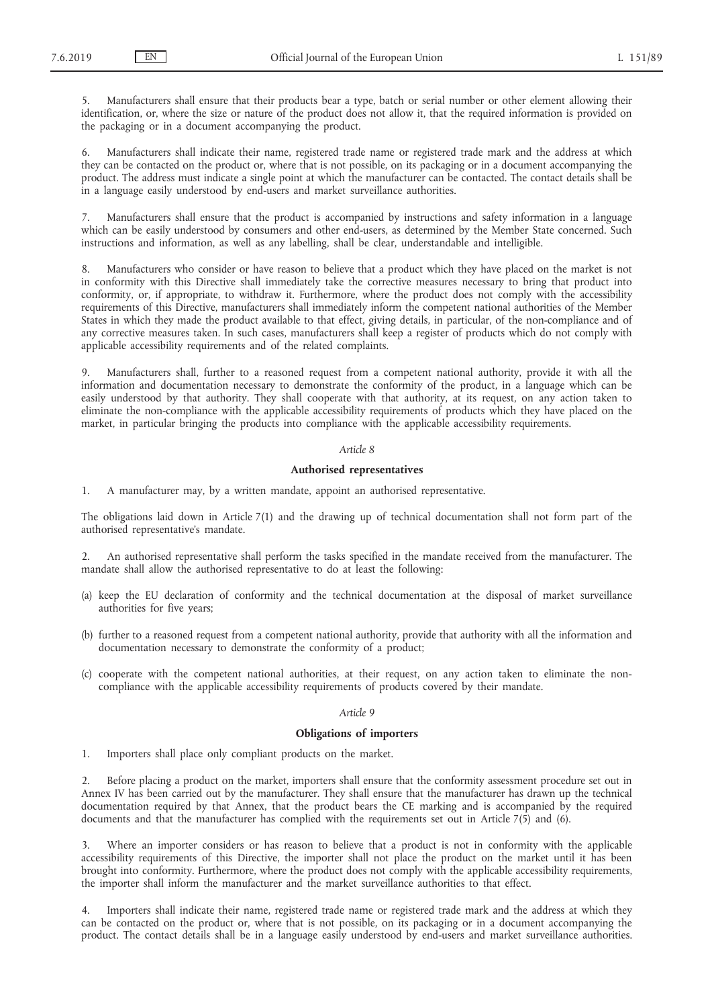5. Manufacturers shall ensure that their products bear a type, batch or serial number or other element allowing their identification, or, where the size or nature of the product does not allow it, that the required information is provided on the packaging or in a document accompanying the product.

6. Manufacturers shall indicate their name, registered trade name or registered trade mark and the address at which they can be contacted on the product or, where that is not possible, on its packaging or in a document accompanying the product. The address must indicate a single point at which the manufacturer can be contacted. The contact details shall be in a language easily understood by end-users and market surveillance authorities.

7. Manufacturers shall ensure that the product is accompanied by instructions and safety information in a language which can be easily understood by consumers and other end-users, as determined by the Member State concerned. Such instructions and information, as well as any labelling, shall be clear, understandable and intelligible.

8. Manufacturers who consider or have reason to believe that a product which they have placed on the market is not in conformity with this Directive shall immediately take the corrective measures necessary to bring that product into conformity, or, if appropriate, to withdraw it. Furthermore, where the product does not comply with the accessibility requirements of this Directive, manufacturers shall immediately inform the competent national authorities of the Member States in which they made the product available to that effect, giving details, in particular, of the non-compliance and of any corrective measures taken. In such cases, manufacturers shall keep a register of products which do not comply with applicable accessibility requirements and of the related complaints.

9. Manufacturers shall, further to a reasoned request from a competent national authority, provide it with all the information and documentation necessary to demonstrate the conformity of the product, in a language which can be easily understood by that authority. They shall cooperate with that authority, at its request, on any action taken to eliminate the non-compliance with the applicable accessibility requirements of products which they have placed on the market, in particular bringing the products into compliance with the applicable accessibility requirements.

## *Article 8*

#### **Authorised representatives**

1. A manufacturer may, by a written mandate, appoint an authorised representative.

The obligations laid down in Article 7(1) and the drawing up of technical documentation shall not form part of the authorised representative's mandate.

2. An authorised representative shall perform the tasks specified in the mandate received from the manufacturer. The mandate shall allow the authorised representative to do at least the following:

- (a) keep the EU declaration of conformity and the technical documentation at the disposal of market surveillance authorities for five years;
- (b) further to a reasoned request from a competent national authority, provide that authority with all the information and documentation necessary to demonstrate the conformity of a product;
- (c) cooperate with the competent national authorities, at their request, on any action taken to eliminate the noncompliance with the applicable accessibility requirements of products covered by their mandate.

## *Article 9*

### **Obligations of importers**

1. Importers shall place only compliant products on the market.

2. Before placing a product on the market, importers shall ensure that the conformity assessment procedure set out in Annex IV has been carried out by the manufacturer. They shall ensure that the manufacturer has drawn up the technical documentation required by that Annex, that the product bears the CE marking and is accompanied by the required documents and that the manufacturer has complied with the requirements set out in Article  $7(5)$  and  $(6)$ .

Where an importer considers or has reason to believe that a product is not in conformity with the applicable accessibility requirements of this Directive, the importer shall not place the product on the market until it has been brought into conformity. Furthermore, where the product does not comply with the applicable accessibility requirements, the importer shall inform the manufacturer and the market surveillance authorities to that effect.

4. Importers shall indicate their name, registered trade name or registered trade mark and the address at which they can be contacted on the product or, where that is not possible, on its packaging or in a document accompanying the product. The contact details shall be in a language easily understood by end-users and market surveillance authorities.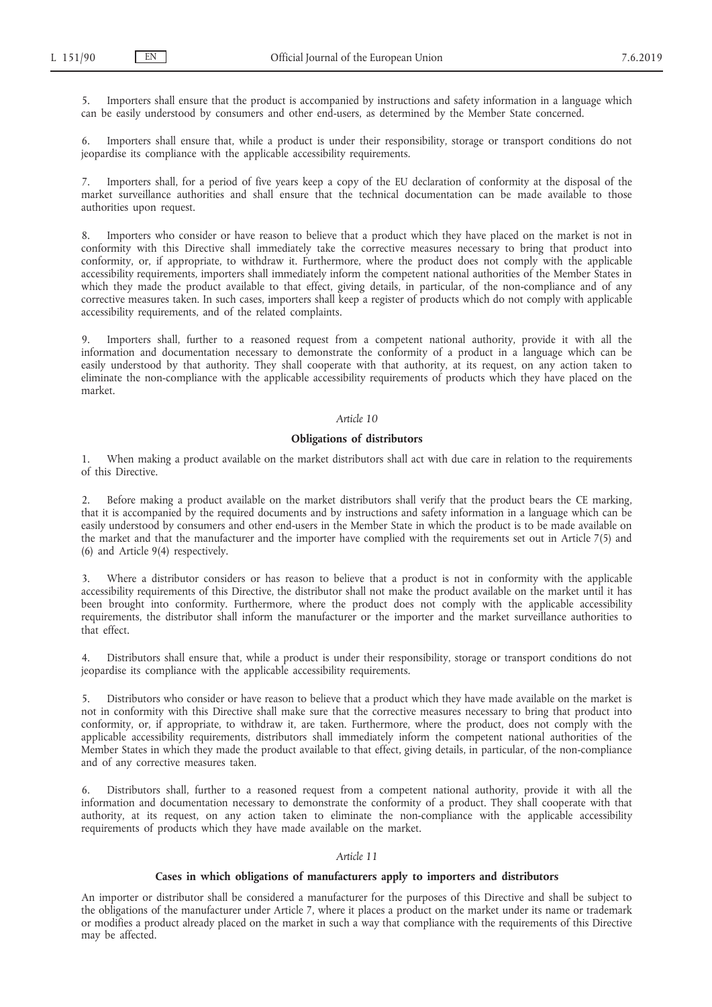5. Importers shall ensure that the product is accompanied by instructions and safety information in a language which can be easily understood by consumers and other end-users, as determined by the Member State concerned.

6. Importers shall ensure that, while a product is under their responsibility, storage or transport conditions do not jeopardise its compliance with the applicable accessibility requirements.

7. Importers shall, for a period of five years keep a copy of the EU declaration of conformity at the disposal of the market surveillance authorities and shall ensure that the technical documentation can be made available to those authorities upon request.

8. Importers who consider or have reason to believe that a product which they have placed on the market is not in conformity with this Directive shall immediately take the corrective measures necessary to bring that product into conformity, or, if appropriate, to withdraw it. Furthermore, where the product does not comply with the applicable accessibility requirements, importers shall immediately inform the competent national authorities of the Member States in which they made the product available to that effect, giving details, in particular, of the non-compliance and of any corrective measures taken. In such cases, importers shall keep a register of products which do not comply with applicable accessibility requirements, and of the related complaints.

9. Importers shall, further to a reasoned request from a competent national authority, provide it with all the information and documentation necessary to demonstrate the conformity of a product in a language which can be easily understood by that authority. They shall cooperate with that authority, at its request, on any action taken to eliminate the non-compliance with the applicable accessibility requirements of products which they have placed on the market.

#### *Article 10*

## **Obligations of distributors**

1. When making a product available on the market distributors shall act with due care in relation to the requirements of this Directive.

2. Before making a product available on the market distributors shall verify that the product bears the CE marking, that it is accompanied by the required documents and by instructions and safety information in a language which can be easily understood by consumers and other end-users in the Member State in which the product is to be made available on the market and that the manufacturer and the importer have complied with the requirements set out in Article 7(5) and (6) and Article 9(4) respectively.

3. Where a distributor considers or has reason to believe that a product is not in conformity with the applicable accessibility requirements of this Directive, the distributor shall not make the product available on the market until it has been brought into conformity. Furthermore, where the product does not comply with the applicable accessibility requirements, the distributor shall inform the manufacturer or the importer and the market surveillance authorities to that effect.

4. Distributors shall ensure that, while a product is under their responsibility, storage or transport conditions do not jeopardise its compliance with the applicable accessibility requirements.

5. Distributors who consider or have reason to believe that a product which they have made available on the market is not in conformity with this Directive shall make sure that the corrective measures necessary to bring that product into conformity, or, if appropriate, to withdraw it, are taken. Furthermore, where the product, does not comply with the applicable accessibility requirements, distributors shall immediately inform the competent national authorities of the Member States in which they made the product available to that effect, giving details, in particular, of the non-compliance and of any corrective measures taken.

6. Distributors shall, further to a reasoned request from a competent national authority, provide it with all the information and documentation necessary to demonstrate the conformity of a product. They shall cooperate with that authority, at its request, on any action taken to eliminate the non-compliance with the applicable accessibility requirements of products which they have made available on the market.

## *Article 11*

## **Cases in which obligations of manufacturers apply to importers and distributors**

An importer or distributor shall be considered a manufacturer for the purposes of this Directive and shall be subject to the obligations of the manufacturer under Article 7, where it places a product on the market under its name or trademark or modifies a product already placed on the market in such a way that compliance with the requirements of this Directive may be affected.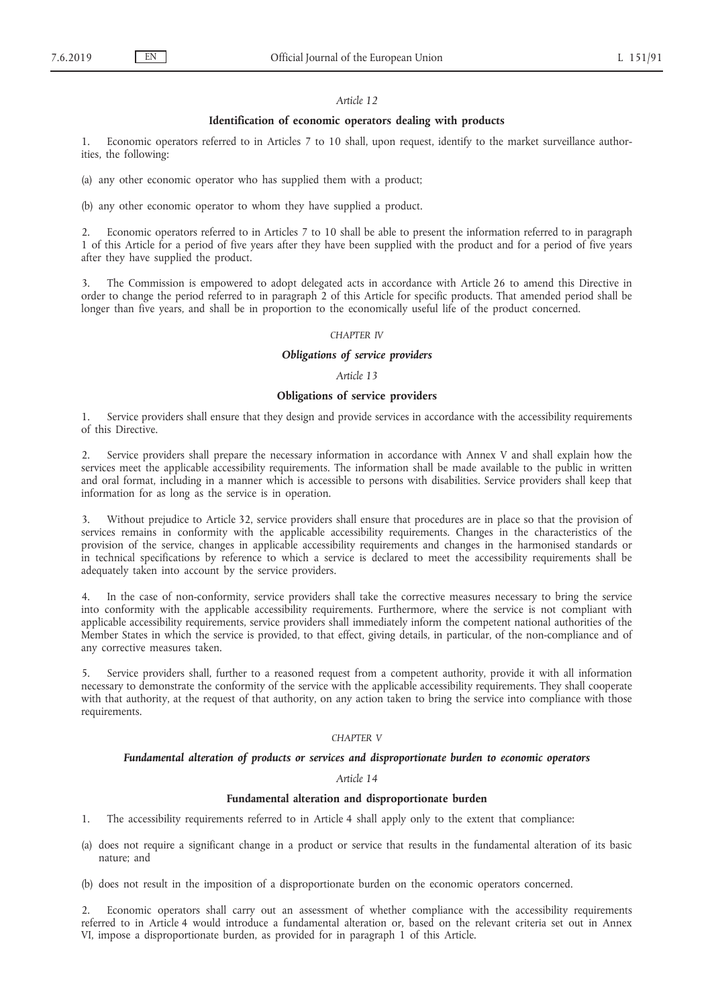#### *Article 12*

### **Identification of economic operators dealing with products**

1. Economic operators referred to in Articles 7 to 10 shall, upon request, identify to the market surveillance authorities, the following:

(a) any other economic operator who has supplied them with a product;

(b) any other economic operator to whom they have supplied a product.

2. Economic operators referred to in Articles 7 to 10 shall be able to present the information referred to in paragraph 1 of this Article for a period of five years after they have been supplied with the product and for a period of five years after they have supplied the product.

3. The Commission is empowered to adopt delegated acts in accordance with Article 26 to amend this Directive in order to change the period referred to in paragraph 2 of this Article for specific products. That amended period shall be longer than five years, and shall be in proportion to the economically useful life of the product concerned.

#### *CHAPTER IV*

#### *Obligations of service providers*

*Article 13*

#### **Obligations of service providers**

1. Service providers shall ensure that they design and provide services in accordance with the accessibility requirements of this Directive.

2. Service providers shall prepare the necessary information in accordance with Annex V and shall explain how the services meet the applicable accessibility requirements. The information shall be made available to the public in written and oral format, including in a manner which is accessible to persons with disabilities. Service providers shall keep that information for as long as the service is in operation.

3. Without prejudice to Article 32, service providers shall ensure that procedures are in place so that the provision of services remains in conformity with the applicable accessibility requirements. Changes in the characteristics of the provision of the service, changes in applicable accessibility requirements and changes in the harmonised standards or in technical specifications by reference to which a service is declared to meet the accessibility requirements shall be adequately taken into account by the service providers.

In the case of non-conformity, service providers shall take the corrective measures necessary to bring the service into conformity with the applicable accessibility requirements. Furthermore, where the service is not compliant with applicable accessibility requirements, service providers shall immediately inform the competent national authorities of the Member States in which the service is provided, to that effect, giving details, in particular, of the non-compliance and of any corrective measures taken.

5. Service providers shall, further to a reasoned request from a competent authority, provide it with all information necessary to demonstrate the conformity of the service with the applicable accessibility requirements. They shall cooperate with that authority, at the request of that authority, on any action taken to bring the service into compliance with those requirements.

## *CHAPTER V*

#### *Fundamental alteration of products or services and disproportionate burden to economic operators*

*Article 14*

#### **Fundamental alteration and disproportionate burden**

- 1. The accessibility requirements referred to in Article 4 shall apply only to the extent that compliance:
- (a) does not require a significant change in a product or service that results in the fundamental alteration of its basic nature; and
- (b) does not result in the imposition of a disproportionate burden on the economic operators concerned.

2. Economic operators shall carry out an assessment of whether compliance with the accessibility requirements referred to in Article 4 would introduce a fundamental alteration or, based on the relevant criteria set out in Annex VI, impose a disproportionate burden, as provided for in paragraph 1 of this Article.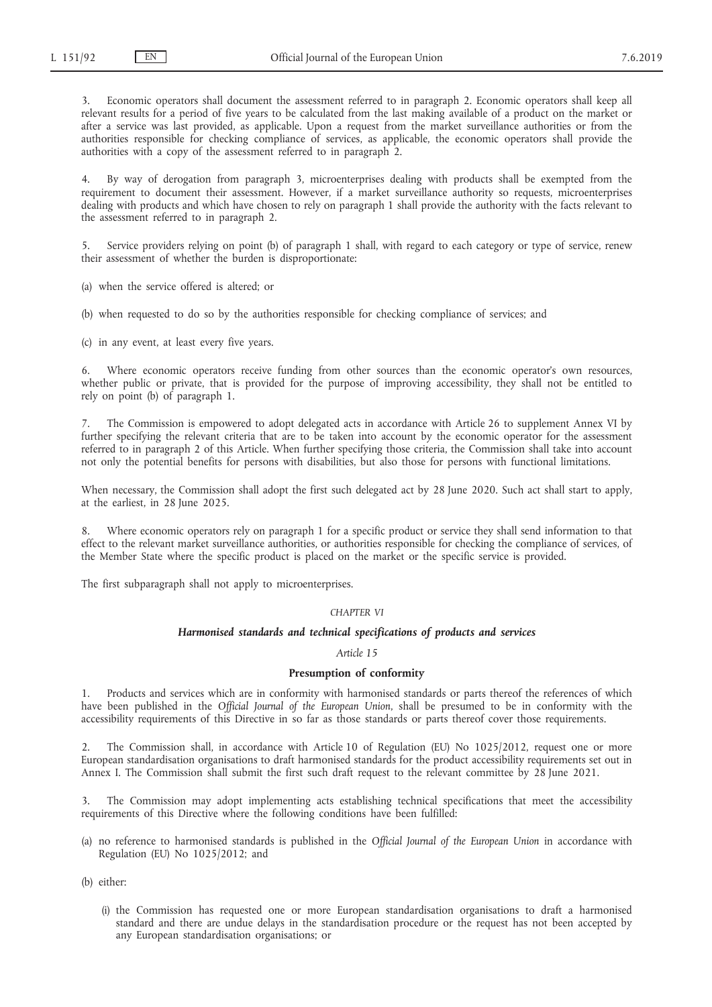Economic operators shall document the assessment referred to in paragraph 2. Economic operators shall keep all relevant results for a period of five years to be calculated from the last making available of a product on the market or after a service was last provided, as applicable. Upon a request from the market surveillance authorities or from the authorities responsible for checking compliance of services, as applicable, the economic operators shall provide the authorities with a copy of the assessment referred to in paragraph 2.

4. By way of derogation from paragraph 3, microenterprises dealing with products shall be exempted from the requirement to document their assessment. However, if a market surveillance authority so requests, microenterprises dealing with products and which have chosen to rely on paragraph 1 shall provide the authority with the facts relevant to the assessment referred to in paragraph 2.

Service providers relying on point (b) of paragraph 1 shall, with regard to each category or type of service, renew their assessment of whether the burden is disproportionate:

(a) when the service offered is altered; or

(b) when requested to do so by the authorities responsible for checking compliance of services; and

(c) in any event, at least every five years.

6. Where economic operators receive funding from other sources than the economic operator's own resources, whether public or private, that is provided for the purpose of improving accessibility, they shall not be entitled to rely on point (b) of paragraph 1.

7. The Commission is empowered to adopt delegated acts in accordance with Article 26 to supplement Annex VI by further specifying the relevant criteria that are to be taken into account by the economic operator for the assessment referred to in paragraph 2 of this Article. When further specifying those criteria, the Commission shall take into account not only the potential benefits for persons with disabilities, but also those for persons with functional limitations.

When necessary, the Commission shall adopt the first such delegated act by 28 June 2020. Such act shall start to apply, at the earliest, in 28 June 2025.

Where economic operators rely on paragraph 1 for a specific product or service they shall send information to that effect to the relevant market surveillance authorities, or authorities responsible for checking the compliance of services, of the Member State where the specific product is placed on the market or the specific service is provided.

The first subparagraph shall not apply to microenterprises.

#### *CHAPTER VI*

### *Harmonised standards and technical specifications of products and services*

## *Article 15*

## **Presumption of conformity**

1. Products and services which are in conformity with harmonised standards or parts thereof the references of which have been published in the *Official Journal of the European Union*, shall be presumed to be in conformity with the accessibility requirements of this Directive in so far as those standards or parts thereof cover those requirements.

2. The Commission shall, in accordance with Article 10 of Regulation (EU) No 1025/2012, request one or more European standardisation organisations to draft harmonised standards for the product accessibility requirements set out in Annex I. The Commission shall submit the first such draft request to the relevant committee by 28 June 2021.

3. The Commission may adopt implementing acts establishing technical specifications that meet the accessibility requirements of this Directive where the following conditions have been fulfilled:

(a) no reference to harmonised standards is published in the *Official Journal of the European Union* in accordance with Regulation (EU) No 1025/2012; and

(b) either:

(i) the Commission has requested one or more European standardisation organisations to draft a harmonised standard and there are undue delays in the standardisation procedure or the request has not been accepted by any European standardisation organisations; or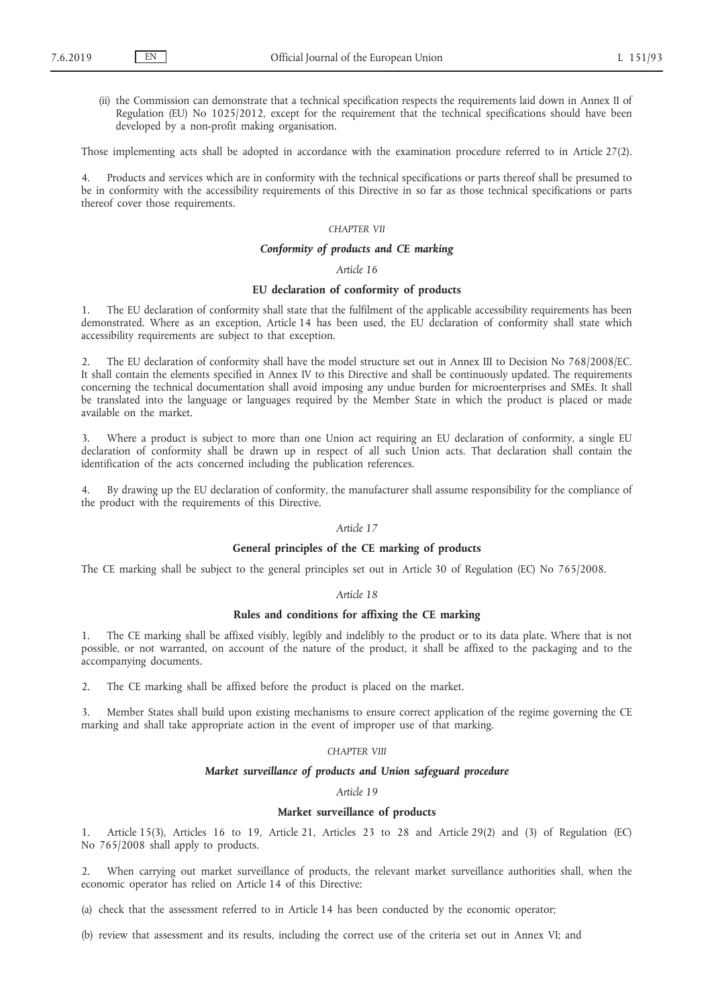(ii) the Commission can demonstrate that a technical specification respects the requirements laid down in Annex II of Regulation (EU) No 1025/2012, except for the requirement that the technical specifications should have been developed by a non-profit making organisation.

Those implementing acts shall be adopted in accordance with the examination procedure referred to in Article 27(2).

4. Products and services which are in conformity with the technical specifications or parts thereof shall be presumed to be in conformity with the accessibility requirements of this Directive in so far as those technical specifications or parts thereof cover those requirements.

## *CHAPTER VII*

## *Conformity of products and CE marking*

#### *Article 16*

## **EU declaration of conformity of products**

1. The EU declaration of conformity shall state that the fulfilment of the applicable accessibility requirements has been demonstrated. Where as an exception, Article 14 has been used, the EU declaration of conformity shall state which accessibility requirements are subject to that exception.

2. The EU declaration of conformity shall have the model structure set out in Annex III to Decision No 768/2008/EC. It shall contain the elements specified in Annex IV to this Directive and shall be continuously updated. The requirements concerning the technical documentation shall avoid imposing any undue burden for microenterprises and SMEs. It shall be translated into the language or languages required by the Member State in which the product is placed or made available on the market.

3. Where a product is subject to more than one Union act requiring an EU declaration of conformity, a single EU declaration of conformity shall be drawn up in respect of all such Union acts. That declaration shall contain the identification of the acts concerned including the publication references.

4. By drawing up the EU declaration of conformity, the manufacturer shall assume responsibility for the compliance of the product with the requirements of this Directive.

#### *Article 17*

## **General principles of the CE marking of products**

The CE marking shall be subject to the general principles set out in Article 30 of Regulation (EC) No 765/2008.

## *Article 18*

## **Rules and conditions for affixing the CE marking**

1. The CE marking shall be affixed visibly, legibly and indelibly to the product or to its data plate. Where that is not possible, or not warranted, on account of the nature of the product, it shall be affixed to the packaging and to the accompanying documents.

2. The CE marking shall be affixed before the product is placed on the market.

3. Member States shall build upon existing mechanisms to ensure correct application of the regime governing the CE marking and shall take appropriate action in the event of improper use of that marking.

#### *CHAPTER VIII*

#### *Market surveillance of products and Union safeguard procedure*

*Article 19*

#### **Market surveillance of products**

1. Article 15(3), Articles 16 to 19, Article 21, Articles 23 to 28 and Article 29(2) and (3) of Regulation (EC) No 765/2008 shall apply to products.

2. When carrying out market surveillance of products, the relevant market surveillance authorities shall, when the economic operator has relied on Article 14 of this Directive:

(a) check that the assessment referred to in Article 14 has been conducted by the economic operator;

(b) review that assessment and its results, including the correct use of the criteria set out in Annex VI; and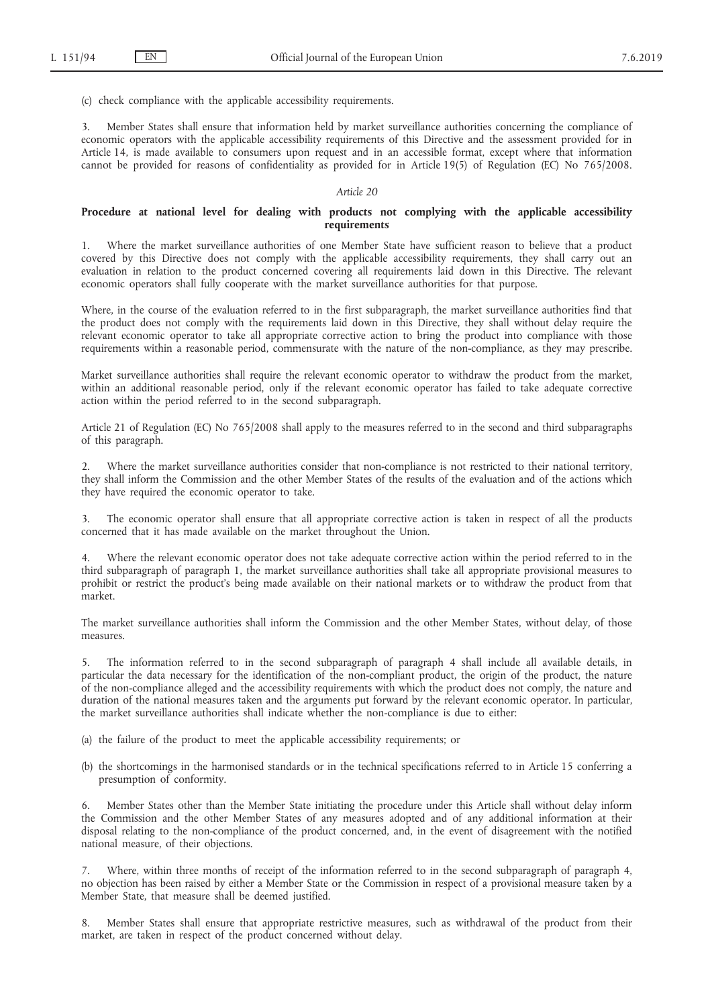(c) check compliance with the applicable accessibility requirements.

3. Member States shall ensure that information held by market surveillance authorities concerning the compliance of economic operators with the applicable accessibility requirements of this Directive and the assessment provided for in Article 14, is made available to consumers upon request and in an accessible format, except where that information cannot be provided for reasons of confidentiality as provided for in Article 19(5) of Regulation (EC) No 765/2008.

## *Article 20*

#### **Procedure at national level for dealing with products not complying with the applicable accessibility requirements**

1. Where the market surveillance authorities of one Member State have sufficient reason to believe that a product covered by this Directive does not comply with the applicable accessibility requirements, they shall carry out an evaluation in relation to the product concerned covering all requirements laid down in this Directive. The relevant economic operators shall fully cooperate with the market surveillance authorities for that purpose.

Where, in the course of the evaluation referred to in the first subparagraph, the market surveillance authorities find that the product does not comply with the requirements laid down in this Directive, they shall without delay require the relevant economic operator to take all appropriate corrective action to bring the product into compliance with those requirements within a reasonable period, commensurate with the nature of the non-compliance, as they may prescribe.

Market surveillance authorities shall require the relevant economic operator to withdraw the product from the market, within an additional reasonable period, only if the relevant economic operator has failed to take adequate corrective action within the period referred to in the second subparagraph.

Article 21 of Regulation (EC) No 765/2008 shall apply to the measures referred to in the second and third subparagraphs of this paragraph.

2. Where the market surveillance authorities consider that non-compliance is not restricted to their national territory, they shall inform the Commission and the other Member States of the results of the evaluation and of the actions which they have required the economic operator to take.

3. The economic operator shall ensure that all appropriate corrective action is taken in respect of all the products concerned that it has made available on the market throughout the Union.

4. Where the relevant economic operator does not take adequate corrective action within the period referred to in the third subparagraph of paragraph 1, the market surveillance authorities shall take all appropriate provisional measures to prohibit or restrict the product's being made available on their national markets or to withdraw the product from that market.

The market surveillance authorities shall inform the Commission and the other Member States, without delay, of those measures.

5. The information referred to in the second subparagraph of paragraph 4 shall include all available details, in particular the data necessary for the identification of the non-compliant product, the origin of the product, the nature of the non-compliance alleged and the accessibility requirements with which the product does not comply, the nature and duration of the national measures taken and the arguments put forward by the relevant economic operator. In particular, the market surveillance authorities shall indicate whether the non-compliance is due to either:

- (a) the failure of the product to meet the applicable accessibility requirements; or
- (b) the shortcomings in the harmonised standards or in the technical specifications referred to in Article 15 conferring a presumption of conformity.

6. Member States other than the Member State initiating the procedure under this Article shall without delay inform the Commission and the other Member States of any measures adopted and of any additional information at their disposal relating to the non-compliance of the product concerned, and, in the event of disagreement with the notified national measure, of their objections.

7. Where, within three months of receipt of the information referred to in the second subparagraph of paragraph 4, no objection has been raised by either a Member State or the Commission in respect of a provisional measure taken by a Member State, that measure shall be deemed justified.

8. Member States shall ensure that appropriate restrictive measures, such as withdrawal of the product from their market, are taken in respect of the product concerned without delay.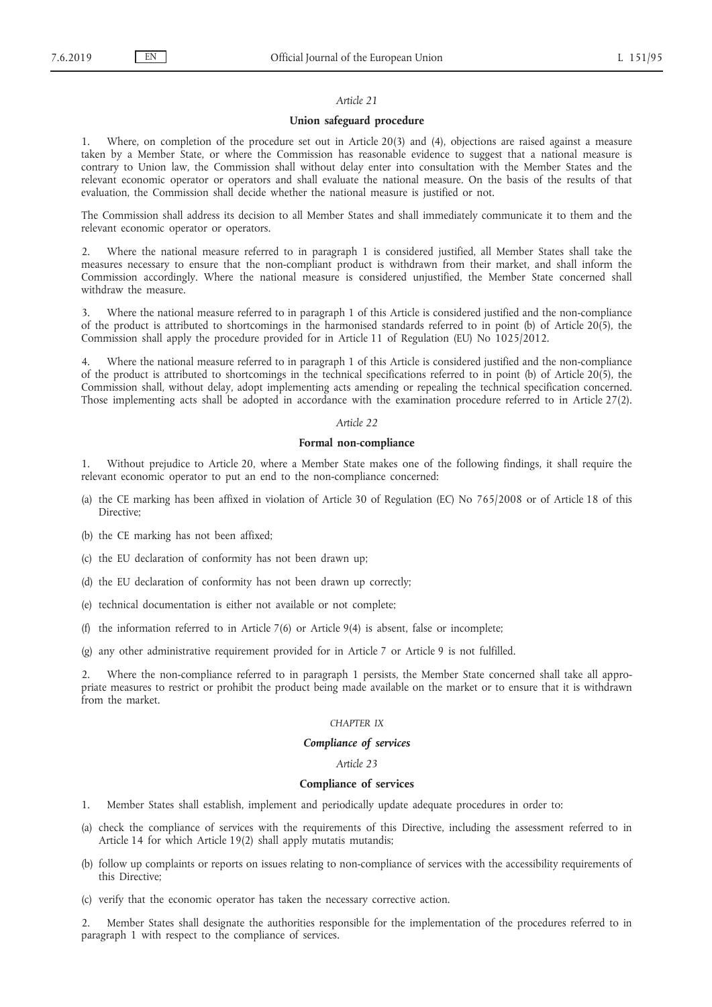#### *Article 21*

#### **Union safeguard procedure**

1. Where, on completion of the procedure set out in Article 20(3) and (4), objections are raised against a measure taken by a Member State, or where the Commission has reasonable evidence to suggest that a national measure is contrary to Union law, the Commission shall without delay enter into consultation with the Member States and the relevant economic operator or operators and shall evaluate the national measure. On the basis of the results of that evaluation, the Commission shall decide whether the national measure is justified or not.

The Commission shall address its decision to all Member States and shall immediately communicate it to them and the relevant economic operator or operators.

2. Where the national measure referred to in paragraph 1 is considered justified, all Member States shall take the measures necessary to ensure that the non-compliant product is withdrawn from their market, and shall inform the Commission accordingly. Where the national measure is considered unjustified, the Member State concerned shall withdraw the measure.

3. Where the national measure referred to in paragraph 1 of this Article is considered justified and the non-compliance of the product is attributed to shortcomings in the harmonised standards referred to in point (b) of Article 20(5), the Commission shall apply the procedure provided for in Article 11 of Regulation (EU) No 1025/2012.

Where the national measure referred to in paragraph 1 of this Article is considered justified and the non-compliance of the product is attributed to shortcomings in the technical specifications referred to in point (b) of Article 20(5), the Commission shall, without delay, adopt implementing acts amending or repealing the technical specification concerned. Those implementing acts shall be adopted in accordance with the examination procedure referred to in Article 27(2).

#### *Article 22*

## **Formal non-compliance**

1. Without prejudice to Article 20, where a Member State makes one of the following findings, it shall require the relevant economic operator to put an end to the non-compliance concerned:

- (a) the CE marking has been affixed in violation of Article 30 of Regulation (EC) No 765/2008 or of Article 18 of this Directive;
- (b) the CE marking has not been affixed;
- (c) the EU declaration of conformity has not been drawn up;
- (d) the EU declaration of conformity has not been drawn up correctly;
- (e) technical documentation is either not available or not complete;
- (f) the information referred to in Article  $7(6)$  or Article  $9(4)$  is absent, false or incomplete;
- (g) any other administrative requirement provided for in Article 7 or Article 9 is not fulfilled.

2. Where the non-compliance referred to in paragraph 1 persists, the Member State concerned shall take all appropriate measures to restrict or prohibit the product being made available on the market or to ensure that it is withdrawn from the market.

## *CHAPTER IX*

## *Compliance of services*

#### *Article 23*

#### **Compliance of services**

- 1. Member States shall establish, implement and periodically update adequate procedures in order to:
- (a) check the compliance of services with the requirements of this Directive, including the assessment referred to in Article 14 for which Article 19(2) shall apply mutatis mutandis;
- (b) follow up complaints or reports on issues relating to non-compliance of services with the accessibility requirements of this Directive;
- (c) verify that the economic operator has taken the necessary corrective action.

2. Member States shall designate the authorities responsible for the implementation of the procedures referred to in paragraph 1 with respect to the compliance of services.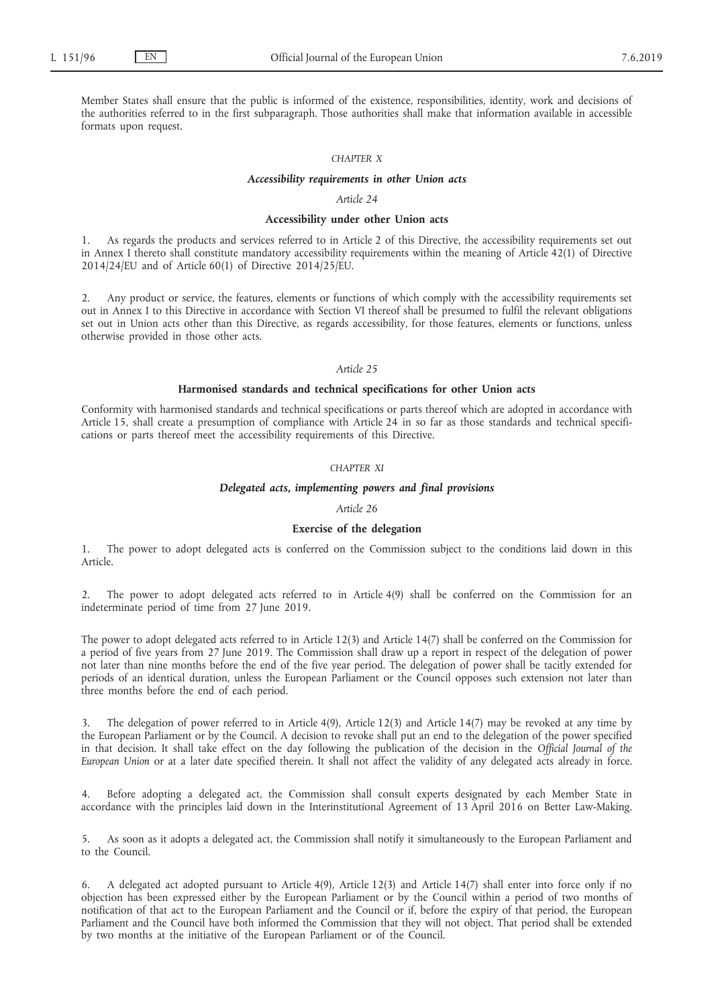Member States shall ensure that the public is informed of the existence, responsibilities, identity, work and decisions of the authorities referred to in the first subparagraph. Those authorities shall make that information available in accessible formats upon request.

## *CHAPTER X*

#### *Accessibility requirements in other Union acts*

### *Article 24*

## **Accessibility under other Union acts**

1. As regards the products and services referred to in Article 2 of this Directive, the accessibility requirements set out in Annex I thereto shall constitute mandatory accessibility requirements within the meaning of Article 42(1) of Directive 2014/24/EU and of Article 60(1) of Directive 2014/25/EU.

Any product or service, the features, elements or functions of which comply with the accessibility requirements set out in Annex I to this Directive in accordance with Section VI thereof shall be presumed to fulfil the relevant obligations set out in Union acts other than this Directive, as regards accessibility, for those features, elements or functions, unless otherwise provided in those other acts.

#### *Article 25*

#### **Harmonised standards and technical specifications for other Union acts**

Conformity with harmonised standards and technical specifications or parts thereof which are adopted in accordance with Article 15, shall create a presumption of compliance with Article 24 in so far as those standards and technical specifications or parts thereof meet the accessibility requirements of this Directive.

## *CHAPTER XI*

## *Delegated acts, implementing powers and final provisions*

## *Article 26*

## **Exercise of the delegation**

1. The power to adopt delegated acts is conferred on the Commission subject to the conditions laid down in this Article.

2. The power to adopt delegated acts referred to in Article 4(9) shall be conferred on the Commission for an indeterminate period of time from 27 June 2019.

The power to adopt delegated acts referred to in Article 12(3) and Article 14(7) shall be conferred on the Commission for a period of five years from 27 June 2019. The Commission shall draw up a report in respect of the delegation of power not later than nine months before the end of the five year period. The delegation of power shall be tacitly extended for periods of an identical duration, unless the European Parliament or the Council opposes such extension not later than three months before the end of each period.

3. The delegation of power referred to in Article 4(9), Article 12(3) and Article 14(7) may be revoked at any time by the European Parliament or by the Council. A decision to revoke shall put an end to the delegation of the power specified in that decision. It shall take effect on the day following the publication of the decision in the *Official Journal of the European Union* or at a later date specified therein. It shall not affect the validity of any delegated acts already in force.

4. Before adopting a delegated act, the Commission shall consult experts designated by each Member State in accordance with the principles laid down in the Interinstitutional Agreement of 13 April 2016 on Better Law-Making.

5. As soon as it adopts a delegated act, the Commission shall notify it simultaneously to the European Parliament and to the Council.

6. A delegated act adopted pursuant to Article 4(9), Article 12(3) and Article 14(7) shall enter into force only if no objection has been expressed either by the European Parliament or by the Council within a period of two months of notification of that act to the European Parliament and the Council or if, before the expiry of that period, the European Parliament and the Council have both informed the Commission that they will not object. That period shall be extended by two months at the initiative of the European Parliament or of the Council.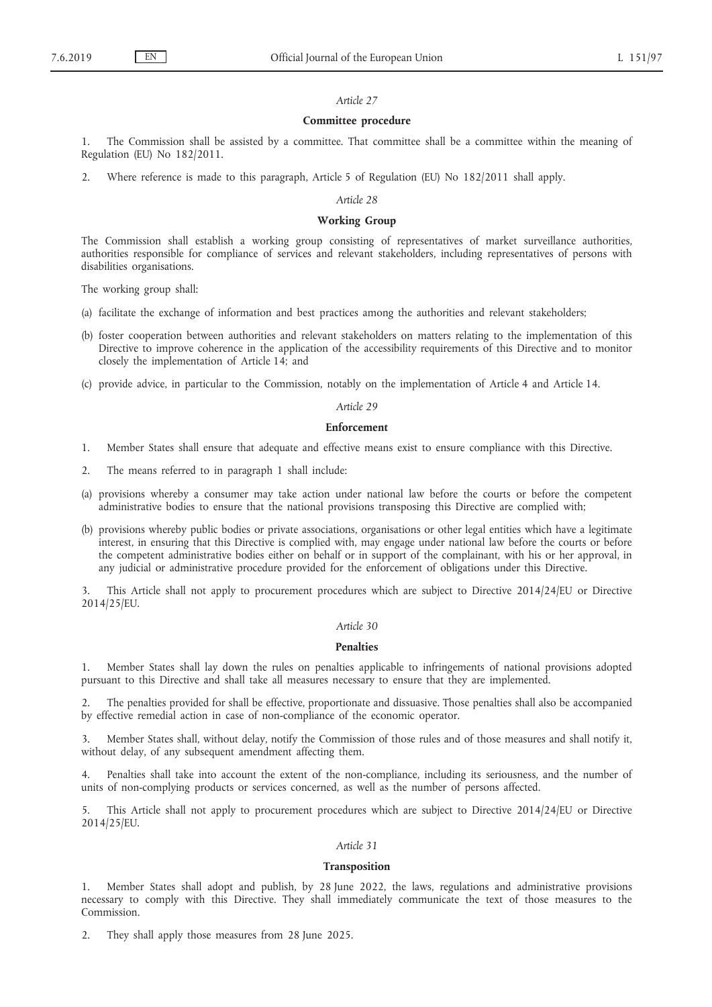#### *Article 27*

### **Committee procedure**

1. The Commission shall be assisted by a committee. That committee shall be a committee within the meaning of Regulation (EU) No 182/2011.

2. Where reference is made to this paragraph, Article 5 of Regulation (EU) No 182/2011 shall apply.

#### *Article 28*

#### **Working Group**

The Commission shall establish a working group consisting of representatives of market surveillance authorities, authorities responsible for compliance of services and relevant stakeholders, including representatives of persons with disabilities organisations.

The working group shall:

- (a) facilitate the exchange of information and best practices among the authorities and relevant stakeholders;
- (b) foster cooperation between authorities and relevant stakeholders on matters relating to the implementation of this Directive to improve coherence in the application of the accessibility requirements of this Directive and to monitor closely the implementation of Article 14; and
- (c) provide advice, in particular to the Commission, notably on the implementation of Article 4 and Article 14.

#### *Article 29*

#### **Enforcement**

- 1. Member States shall ensure that adequate and effective means exist to ensure compliance with this Directive.
- 2. The means referred to in paragraph 1 shall include:
- (a) provisions whereby a consumer may take action under national law before the courts or before the competent administrative bodies to ensure that the national provisions transposing this Directive are complied with;
- (b) provisions whereby public bodies or private associations, organisations or other legal entities which have a legitimate interest, in ensuring that this Directive is complied with, may engage under national law before the courts or before the competent administrative bodies either on behalf or in support of the complainant, with his or her approval, in any judicial or administrative procedure provided for the enforcement of obligations under this Directive.

3. This Article shall not apply to procurement procedures which are subject to Directive 2014/24/EU or Directive 2014/25/EU.

#### *Article 30*

### **Penalties**

1. Member States shall lay down the rules on penalties applicable to infringements of national provisions adopted pursuant to this Directive and shall take all measures necessary to ensure that they are implemented.

2. The penalties provided for shall be effective, proportionate and dissuasive. Those penalties shall also be accompanied by effective remedial action in case of non-compliance of the economic operator.

3. Member States shall, without delay, notify the Commission of those rules and of those measures and shall notify it, without delay, of any subsequent amendment affecting them.

4. Penalties shall take into account the extent of the non-compliance, including its seriousness, and the number of units of non-complying products or services concerned, as well as the number of persons affected.

5. This Article shall not apply to procurement procedures which are subject to Directive 2014/24/EU or Directive 2014/25/EU.

### *Article 31*

## **Transposition**

1. Member States shall adopt and publish, by 28 June 2022, the laws, regulations and administrative provisions necessary to comply with this Directive. They shall immediately communicate the text of those measures to the Commission.

2. They shall apply those measures from 28 June 2025.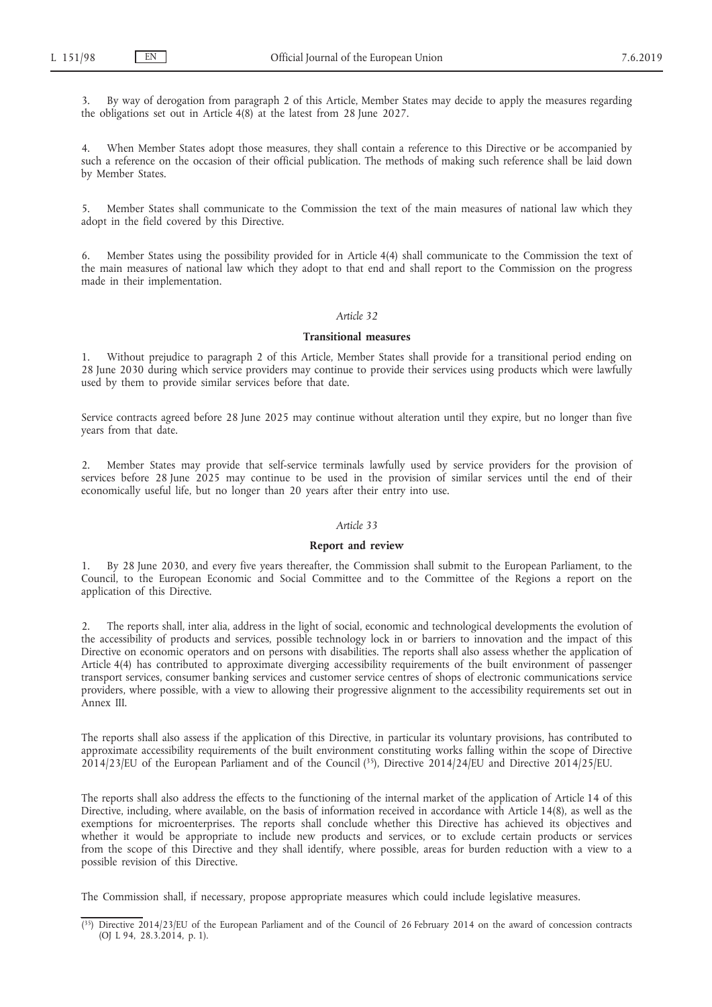3. By way of derogation from paragraph 2 of this Article, Member States may decide to apply the measures regarding the obligations set out in Article 4(8) at the latest from 28 June 2027.

4. When Member States adopt those measures, they shall contain a reference to this Directive or be accompanied by such a reference on the occasion of their official publication. The methods of making such reference shall be laid down by Member States.

5. Member States shall communicate to the Commission the text of the main measures of national law which they adopt in the field covered by this Directive.

6. Member States using the possibility provided for in Article 4(4) shall communicate to the Commission the text of the main measures of national law which they adopt to that end and shall report to the Commission on the progress made in their implementation.

#### *Article 32*

## **Transitional measures**

1. Without prejudice to paragraph 2 of this Article, Member States shall provide for a transitional period ending on 28 June 2030 during which service providers may continue to provide their services using products which were lawfully used by them to provide similar services before that date.

Service contracts agreed before 28 June 2025 may continue without alteration until they expire, but no longer than five years from that date.

2. Member States may provide that self-service terminals lawfully used by service providers for the provision of services before 28 June 2025 may continue to be used in the provision of similar services until the end of their economically useful life, but no longer than 20 years after their entry into use.

#### *Article 33*

#### **Report and review**

1. By 28 June 2030, and every five years thereafter, the Commission shall submit to the European Parliament, to the Council, to the European Economic and Social Committee and to the Committee of the Regions a report on the application of this Directive.

2. The reports shall, inter alia, address in the light of social, economic and technological developments the evolution of the accessibility of products and services, possible technology lock in or barriers to innovation and the impact of this Directive on economic operators and on persons with disabilities. The reports shall also assess whether the application of Article 4(4) has contributed to approximate diverging accessibility requirements of the built environment of passenger transport services, consumer banking services and customer service centres of shops of electronic communications service providers, where possible, with a view to allowing their progressive alignment to the accessibility requirements set out in Annex III.

The reports shall also assess if the application of this Directive, in particular its voluntary provisions, has contributed to approximate accessibility requirements of the built environment constituting works falling within the scope of Directive 2014/23/EU of the European Parliament and of the Council (35), Directive 2014/24/EU and Directive 2014/25/EU.

The reports shall also address the effects to the functioning of the internal market of the application of Article 14 of this Directive, including, where available, on the basis of information received in accordance with Article 14(8), as well as the exemptions for microenterprises. The reports shall conclude whether this Directive has achieved its objectives and whether it would be appropriate to include new products and services, or to exclude certain products or services from the scope of this Directive and they shall identify, where possible, areas for burden reduction with a view to a possible revision of this Directive.

The Commission shall, if necessary, propose appropriate measures which could include legislative measures.

 $(35)$  Directive 2014/23/EU of the European Parliament and of the Council of 26 February 2014 on the award of concession contracts (OJ L 94, 28.3.2014, p. 1).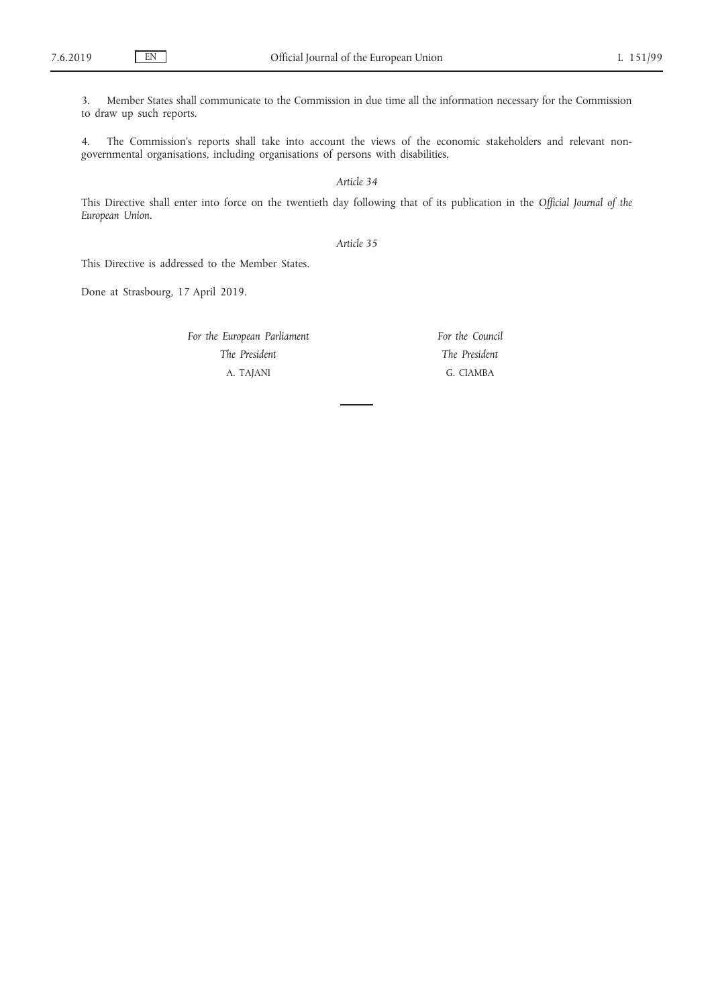3. Member States shall communicate to the Commission in due time all the information necessary for the Commission to draw up such reports.

4. The Commission's reports shall take into account the views of the economic stakeholders and relevant nongovernmental organisations, including organisations of persons with disabilities.

*Article 34*

This Directive shall enter into force on the twentieth day following that of its publication in the *Official Journal of the European Union*.

*Article 35*

This Directive is addressed to the Member States.

Done at Strasbourg, 17 April 2019.

*For the European Parliament The President* A. TAJANI

*For the Council The President* G. CIAMBA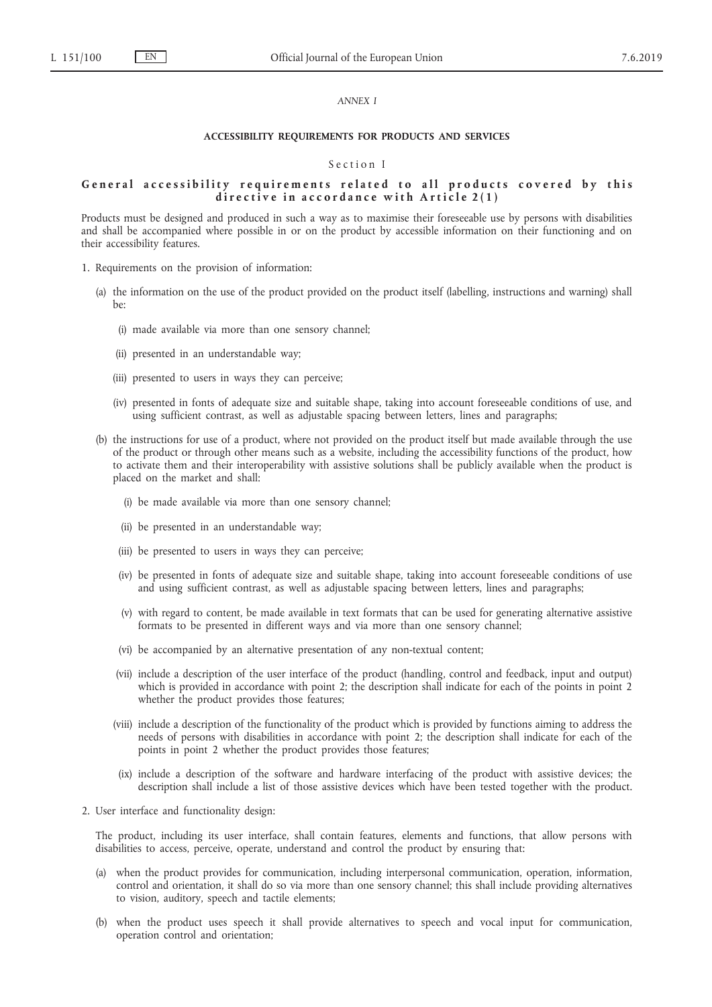#### *ANNEX I*

## **ACCESSIBILITY REQUIREMENTS FOR PRODUCTS AND SERVICES**

## Section I

### General accessibility requirements related to all products covered by this directive in accordance with Article 2(1)

Products must be designed and produced in such a way as to maximise their foreseeable use by persons with disabilities and shall be accompanied where possible in or on the product by accessible information on their functioning and on their accessibility features.

- 1. Requirements on the provision of information:
	- (a) the information on the use of the product provided on the product itself (labelling, instructions and warning) shall be:
		- (i) made available via more than one sensory channel;
		- (ii) presented in an understandable way;
		- (iii) presented to users in ways they can perceive;
		- (iv) presented in fonts of adequate size and suitable shape, taking into account foreseeable conditions of use, and using sufficient contrast, as well as adjustable spacing between letters, lines and paragraphs;
	- (b) the instructions for use of a product, where not provided on the product itself but made available through the use of the product or through other means such as a website, including the accessibility functions of the product, how to activate them and their interoperability with assistive solutions shall be publicly available when the product is placed on the market and shall:
		- (i) be made available via more than one sensory channel;
		- (ii) be presented in an understandable way;
		- (iii) be presented to users in ways they can perceive;
		- (iv) be presented in fonts of adequate size and suitable shape, taking into account foreseeable conditions of use and using sufficient contrast, as well as adjustable spacing between letters, lines and paragraphs;
		- (v) with regard to content, be made available in text formats that can be used for generating alternative assistive formats to be presented in different ways and via more than one sensory channel;
		- (vi) be accompanied by an alternative presentation of any non-textual content;
		- (vii) include a description of the user interface of the product (handling, control and feedback, input and output) which is provided in accordance with point 2; the description shall indicate for each of the points in point 2 whether the product provides those features;
		- (viii) include a description of the functionality of the product which is provided by functions aiming to address the needs of persons with disabilities in accordance with point 2; the description shall indicate for each of the points in point 2 whether the product provides those features;
		- (ix) include a description of the software and hardware interfacing of the product with assistive devices; the description shall include a list of those assistive devices which have been tested together with the product.
- 2. User interface and functionality design:

The product, including its user interface, shall contain features, elements and functions, that allow persons with disabilities to access, perceive, operate, understand and control the product by ensuring that:

- (a) when the product provides for communication, including interpersonal communication, operation, information, control and orientation, it shall do so via more than one sensory channel; this shall include providing alternatives to vision, auditory, speech and tactile elements;
- (b) when the product uses speech it shall provide alternatives to speech and vocal input for communication, operation control and orientation;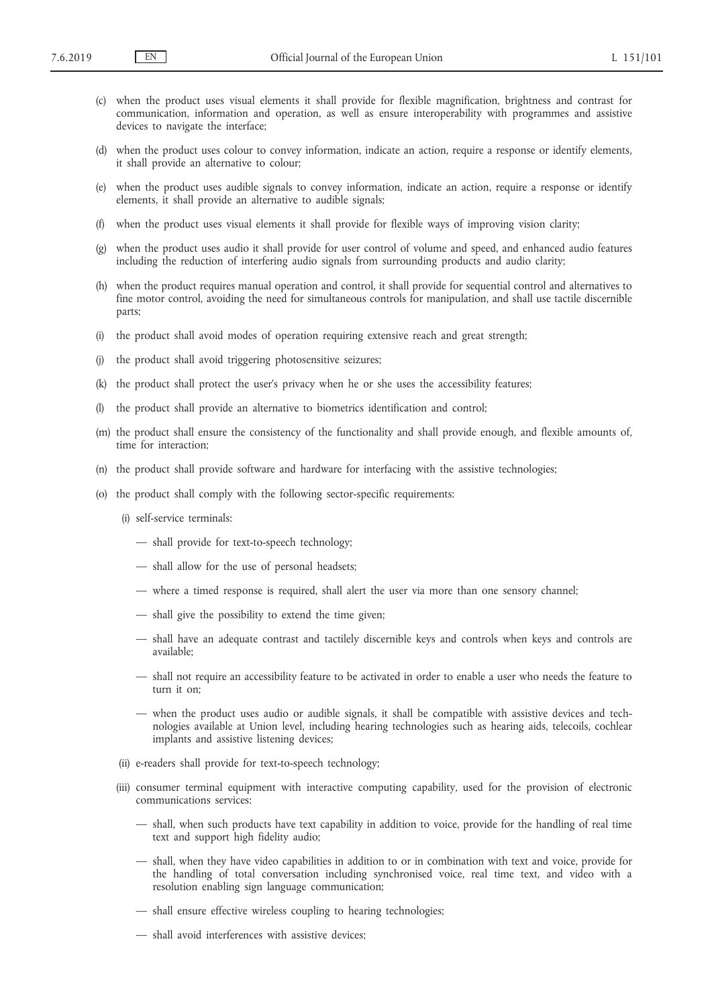- (c) when the product uses visual elements it shall provide for flexible magnification, brightness and contrast for communication, information and operation, as well as ensure interoperability with programmes and assistive devices to navigate the interface;
- (d) when the product uses colour to convey information, indicate an action, require a response or identify elements, it shall provide an alternative to colour;
- (e) when the product uses audible signals to convey information, indicate an action, require a response or identify elements, it shall provide an alternative to audible signals;
- when the product uses visual elements it shall provide for flexible ways of improving vision clarity;
- (g) when the product uses audio it shall provide for user control of volume and speed, and enhanced audio features including the reduction of interfering audio signals from surrounding products and audio clarity;
- (h) when the product requires manual operation and control, it shall provide for sequential control and alternatives to fine motor control, avoiding the need for simultaneous controls for manipulation, and shall use tactile discernible parts;
- (i) the product shall avoid modes of operation requiring extensive reach and great strength;
- (j) the product shall avoid triggering photosensitive seizures;
- (k) the product shall protect the user's privacy when he or she uses the accessibility features;
- (l) the product shall provide an alternative to biometrics identification and control;
- (m) the product shall ensure the consistency of the functionality and shall provide enough, and flexible amounts of, time for interaction;
- (n) the product shall provide software and hardware for interfacing with the assistive technologies;
- (o) the product shall comply with the following sector-specific requirements:
	- (i) self-service terminals:
		- shall provide for text-to-speech technology;
		- shall allow for the use of personal headsets;
		- where a timed response is required, shall alert the user via more than one sensory channel;
		- shall give the possibility to extend the time given;
		- shall have an adequate contrast and tactilely discernible keys and controls when keys and controls are available;
		- shall not require an accessibility feature to be activated in order to enable a user who needs the feature to turn it on;
		- when the product uses audio or audible signals, it shall be compatible with assistive devices and technologies available at Union level, including hearing technologies such as hearing aids, telecoils, cochlear implants and assistive listening devices;
	- (ii) e-readers shall provide for text-to-speech technology;
	- (iii) consumer terminal equipment with interactive computing capability, used for the provision of electronic communications services:
		- shall, when such products have text capability in addition to voice, provide for the handling of real time text and support high fidelity audio;
		- shall, when they have video capabilities in addition to or in combination with text and voice, provide for the handling of total conversation including synchronised voice, real time text, and video with a resolution enabling sign language communication;
		- shall ensure effective wireless coupling to hearing technologies;
		- shall avoid interferences with assistive devices;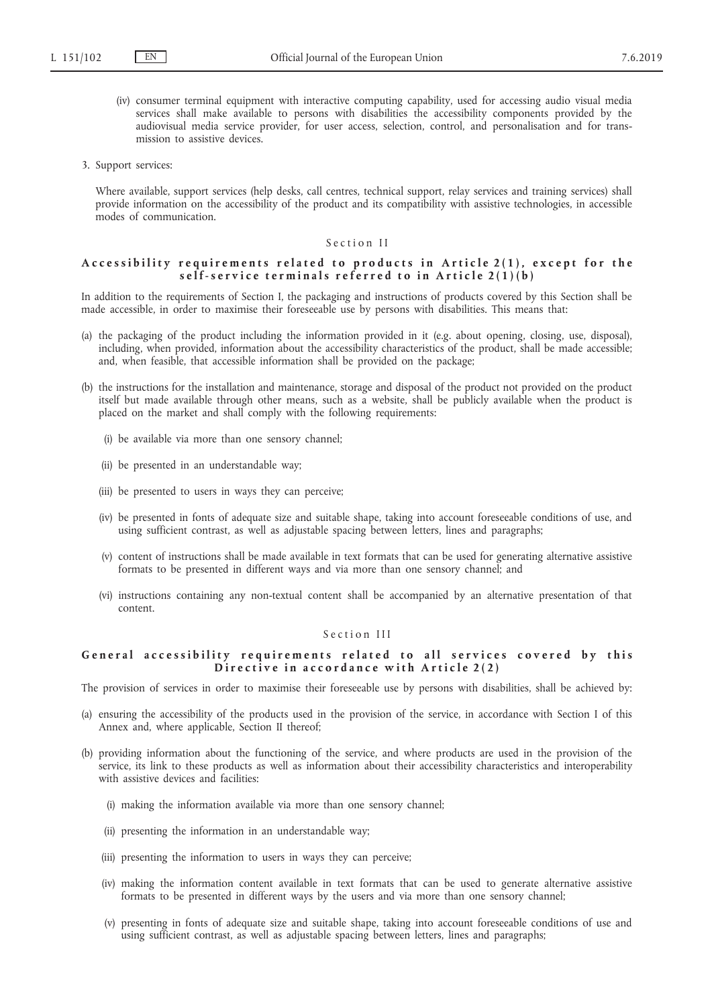- (iv) consumer terminal equipment with interactive computing capability, used for accessing audio visual media services shall make available to persons with disabilities the accessibility components provided by the audiovisual media service provider, for user access, selection, control, and personalisation and for transmission to assistive devices.
- 3. Support services:

Where available, support services (help desks, call centres, technical support, relay services and training services) shall provide information on the accessibility of the product and its compatibility with assistive technologies, in accessible modes of communication.

## Section II

## Accessibility requirements related to products in Article 2(1), except for the self-service terminals referred to in Article 2(1)(b)

In addition to the requirements of Section I, the packaging and instructions of products covered by this Section shall be made accessible, in order to maximise their foreseeable use by persons with disabilities. This means that:

- (a) the packaging of the product including the information provided in it (e.g. about opening, closing, use, disposal), including, when provided, information about the accessibility characteristics of the product, shall be made accessible; and, when feasible, that accessible information shall be provided on the package;
- (b) the instructions for the installation and maintenance, storage and disposal of the product not provided on the product itself but made available through other means, such as a website, shall be publicly available when the product is placed on the market and shall comply with the following requirements:
	- (i) be available via more than one sensory channel;
	- (ii) be presented in an understandable way;
	- (iii) be presented to users in ways they can perceive;
	- (iv) be presented in fonts of adequate size and suitable shape, taking into account foreseeable conditions of use, and using sufficient contrast, as well as adjustable spacing between letters, lines and paragraphs;
	- (v) content of instructions shall be made available in text formats that can be used for generating alternative assistive formats to be presented in different ways and via more than one sensory channel; and
	- (vi) instructions containing any non-textual content shall be accompanied by an alternative presentation of that content.

## Section III

## General accessibility requirements related to all services covered by this Directive in accordance with Article 2(2)

The provision of services in order to maximise their foreseeable use by persons with disabilities, shall be achieved by:

- (a) ensuring the accessibility of the products used in the provision of the service, in accordance with Section I of this Annex and, where applicable, Section II thereof;
- (b) providing information about the functioning of the service, and where products are used in the provision of the service, its link to these products as well as information about their accessibility characteristics and interoperability with assistive devices and facilities:
	- (i) making the information available via more than one sensory channel;
	- (ii) presenting the information in an understandable way;
	- (iii) presenting the information to users in ways they can perceive;
	- (iv) making the information content available in text formats that can be used to generate alternative assistive formats to be presented in different ways by the users and via more than one sensory channel;
	- (v) presenting in fonts of adequate size and suitable shape, taking into account foreseeable conditions of use and using sufficient contrast, as well as adjustable spacing between letters, lines and paragraphs;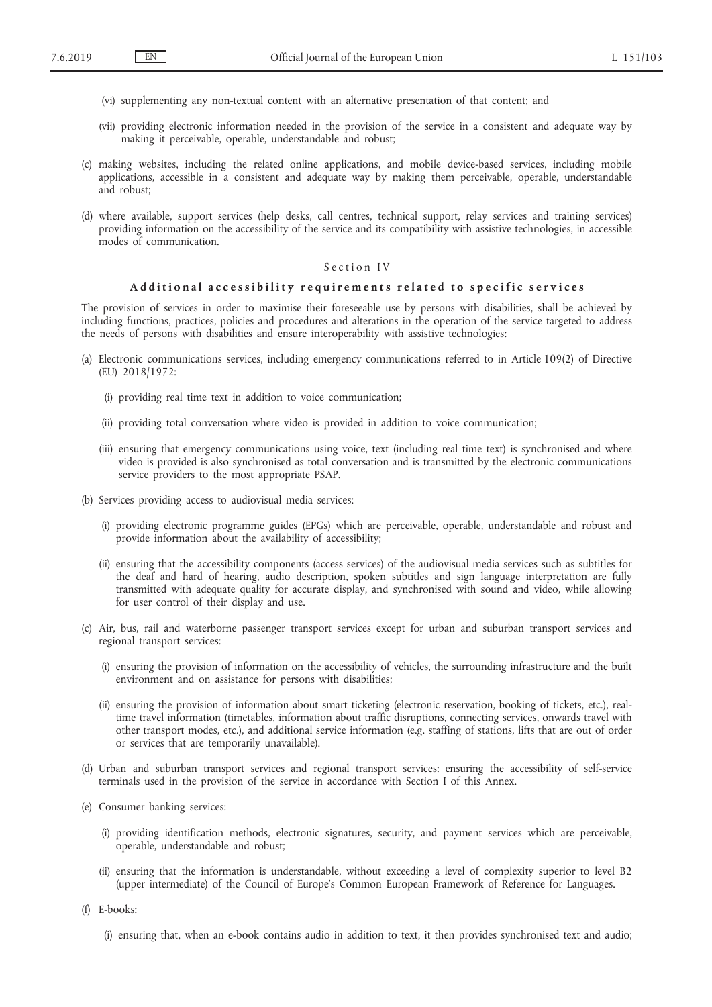- (vi) supplementing any non-textual content with an alternative presentation of that content; and
- (vii) providing electronic information needed in the provision of the service in a consistent and adequate way by making it perceivable, operable, understandable and robust;
- (c) making websites, including the related online applications, and mobile device-based services, including mobile applications, accessible in a consistent and adequate way by making them perceivable, operable, understandable and robust;
- (d) where available, support services (help desks, call centres, technical support, relay services and training services) providing information on the accessibility of the service and its compatibility with assistive technologies, in accessible modes of communication.

## Section IV

#### Additional accessibility requirements related to specific services

The provision of services in order to maximise their foreseeable use by persons with disabilities, shall be achieved by including functions, practices, policies and procedures and alterations in the operation of the service targeted to address the needs of persons with disabilities and ensure interoperability with assistive technologies:

- (a) Electronic communications services, including emergency communications referred to in Article 109(2) of Directive (EU) 2018/1972:
	- (i) providing real time text in addition to voice communication;
	- (ii) providing total conversation where video is provided in addition to voice communication;
	- (iii) ensuring that emergency communications using voice, text (including real time text) is synchronised and where video is provided is also synchronised as total conversation and is transmitted by the electronic communications service providers to the most appropriate PSAP.
- (b) Services providing access to audiovisual media services:
	- (i) providing electronic programme guides (EPGs) which are perceivable, operable, understandable and robust and provide information about the availability of accessibility;
	- (ii) ensuring that the accessibility components (access services) of the audiovisual media services such as subtitles for the deaf and hard of hearing, audio description, spoken subtitles and sign language interpretation are fully transmitted with adequate quality for accurate display, and synchronised with sound and video, while allowing for user control of their display and use.
- (c) Air, bus, rail and waterborne passenger transport services except for urban and suburban transport services and regional transport services:
	- (i) ensuring the provision of information on the accessibility of vehicles, the surrounding infrastructure and the built environment and on assistance for persons with disabilities;
	- (ii) ensuring the provision of information about smart ticketing (electronic reservation, booking of tickets, etc.), realtime travel information (timetables, information about traffic disruptions, connecting services, onwards travel with other transport modes, etc.), and additional service information (e.g. staffing of stations, lifts that are out of order or services that are temporarily unavailable).
- (d) Urban and suburban transport services and regional transport services: ensuring the accessibility of self-service terminals used in the provision of the service in accordance with Section I of this Annex.
- (e) Consumer banking services:
	- (i) providing identification methods, electronic signatures, security, and payment services which are perceivable, operable, understandable and robust;
	- (ii) ensuring that the information is understandable, without exceeding a level of complexity superior to level B2 (upper intermediate) of the Council of Europe's Common European Framework of Reference for Languages.
- (f) E-books:
	- (i) ensuring that, when an e-book contains audio in addition to text, it then provides synchronised text and audio;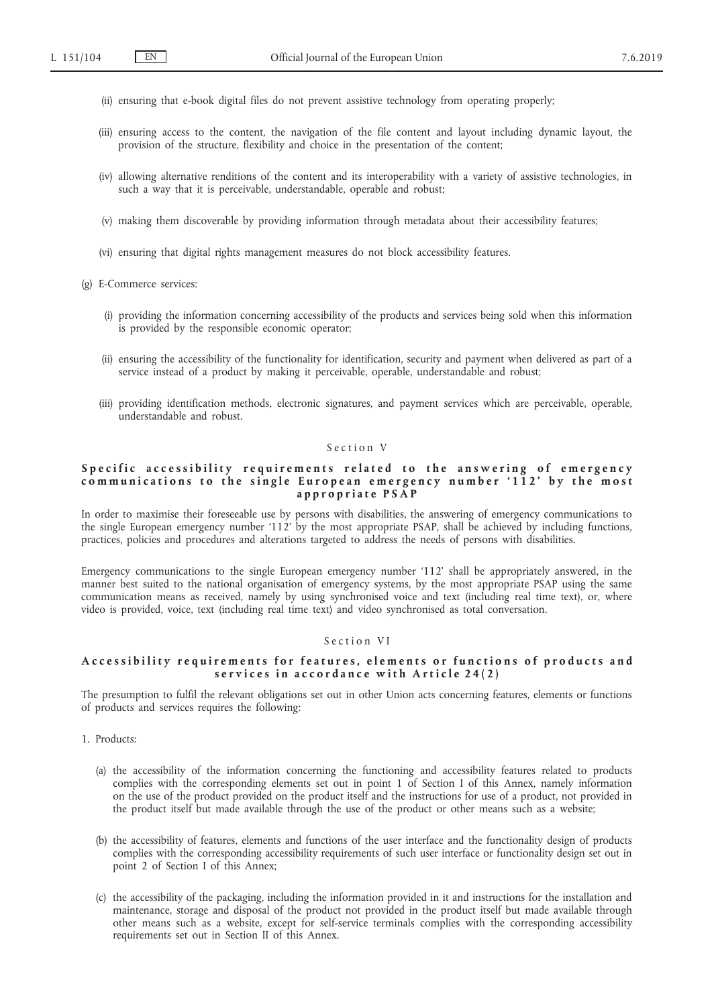- (ii) ensuring that e-book digital files do not prevent assistive technology from operating properly;
- (iii) ensuring access to the content, the navigation of the file content and layout including dynamic layout, the provision of the structure, flexibility and choice in the presentation of the content;
- (iv) allowing alternative renditions of the content and its interoperability with a variety of assistive technologies, in such a way that it is perceivable, understandable, operable and robust;
- (v) making them discoverable by providing information through metadata about their accessibility features;
- (vi) ensuring that digital rights management measures do not block accessibility features.
- (g) E-Commerce services:
	- (i) providing the information concerning accessibility of the products and services being sold when this information is provided by the responsible economic operator;
	- (ii) ensuring the accessibility of the functionality for identification, security and payment when delivered as part of a service instead of a product by making it perceivable, operable, understandable and robust;
	- (iii) providing identification methods, electronic signatures, and payment services which are perceivable, operable, understandable and robust.

## Section V

## Specific accessibility requirements related to the answering of emergency communications to the single European emergency number '112' by the most **a p p r o p r i a t e P S A P**

In order to maximise their foreseeable use by persons with disabilities, the answering of emergency communications to the single European emergency number '112' by the most appropriate PSAP, shall be achieved by including functions, practices, policies and procedures and alterations targeted to address the needs of persons with disabilities.

Emergency communications to the single European emergency number '112' shall be appropriately answered, in the manner best suited to the national organisation of emergency systems, by the most appropriate PSAP using the same communication means as received, namely by using synchronised voice and text (including real time text), or, where video is provided, voice, text (including real time text) and video synchronised as total conversation.

#### Section VI

## Accessibility requirements for features, elements or functions of products and s ervices in accordance with Article 24(2)

The presumption to fulfil the relevant obligations set out in other Union acts concerning features, elements or functions of products and services requires the following:

- 1. Products:
	- (a) the accessibility of the information concerning the functioning and accessibility features related to products complies with the corresponding elements set out in point 1 of Section I of this Annex, namely information on the use of the product provided on the product itself and the instructions for use of a product, not provided in the product itself but made available through the use of the product or other means such as a website;
	- (b) the accessibility of features, elements and functions of the user interface and the functionality design of products complies with the corresponding accessibility requirements of such user interface or functionality design set out in point 2 of Section I of this Annex;
	- (c) the accessibility of the packaging, including the information provided in it and instructions for the installation and maintenance, storage and disposal of the product not provided in the product itself but made available through other means such as a website, except for self-service terminals complies with the corresponding accessibility requirements set out in Section II of this Annex.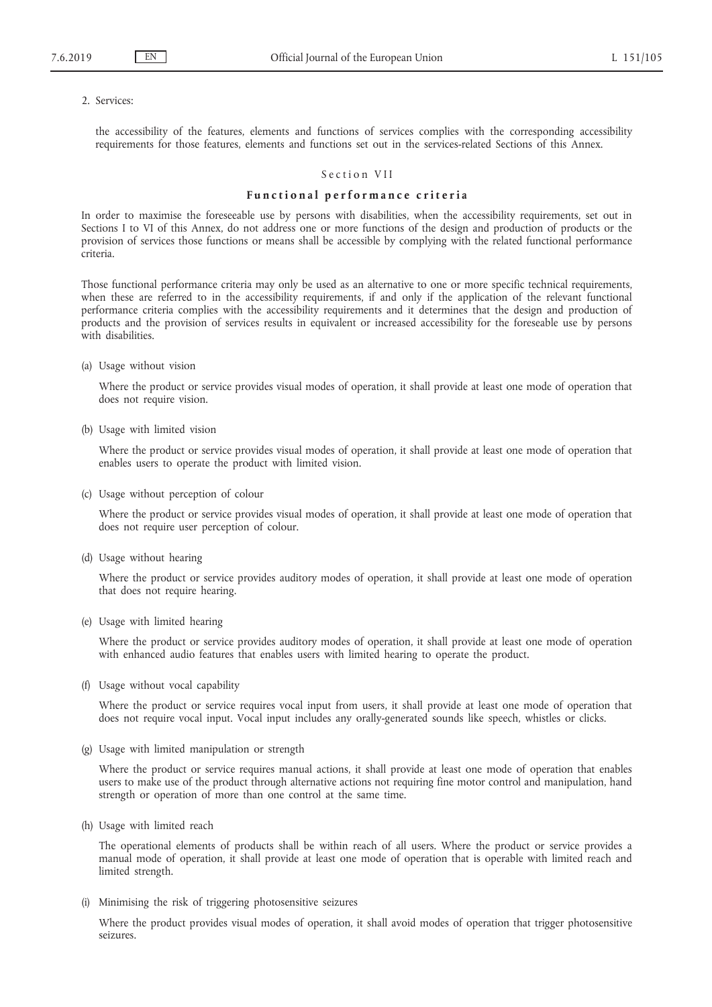#### 2. Services:

the accessibility of the features, elements and functions of services complies with the corresponding accessibility requirements for those features, elements and functions set out in the services-related Sections of this Annex.

#### Section VII

## Functional performance criteria

In order to maximise the foreseeable use by persons with disabilities, when the accessibility requirements, set out in Sections I to VI of this Annex, do not address one or more functions of the design and production of products or the provision of services those functions or means shall be accessible by complying with the related functional performance criteria.

Those functional performance criteria may only be used as an alternative to one or more specific technical requirements, when these are referred to in the accessibility requirements, if and only if the application of the relevant functional performance criteria complies with the accessibility requirements and it determines that the design and production of products and the provision of services results in equivalent or increased accessibility for the foreseable use by persons with disabilities.

(a) Usage without vision

Where the product or service provides visual modes of operation, it shall provide at least one mode of operation that does not require vision.

(b) Usage with limited vision

Where the product or service provides visual modes of operation, it shall provide at least one mode of operation that enables users to operate the product with limited vision.

(c) Usage without perception of colour

Where the product or service provides visual modes of operation, it shall provide at least one mode of operation that does not require user perception of colour.

(d) Usage without hearing

Where the product or service provides auditory modes of operation, it shall provide at least one mode of operation that does not require hearing.

(e) Usage with limited hearing

Where the product or service provides auditory modes of operation, it shall provide at least one mode of operation with enhanced audio features that enables users with limited hearing to operate the product.

(f) Usage without vocal capability

Where the product or service requires vocal input from users, it shall provide at least one mode of operation that does not require vocal input. Vocal input includes any orally-generated sounds like speech, whistles or clicks.

(g) Usage with limited manipulation or strength

Where the product or service requires manual actions, it shall provide at least one mode of operation that enables users to make use of the product through alternative actions not requiring fine motor control and manipulation, hand strength or operation of more than one control at the same time.

(h) Usage with limited reach

The operational elements of products shall be within reach of all users. Where the product or service provides a manual mode of operation, it shall provide at least one mode of operation that is operable with limited reach and limited strength.

(i) Minimising the risk of triggering photosensitive seizures

Where the product provides visual modes of operation, it shall avoid modes of operation that trigger photosensitive seizures.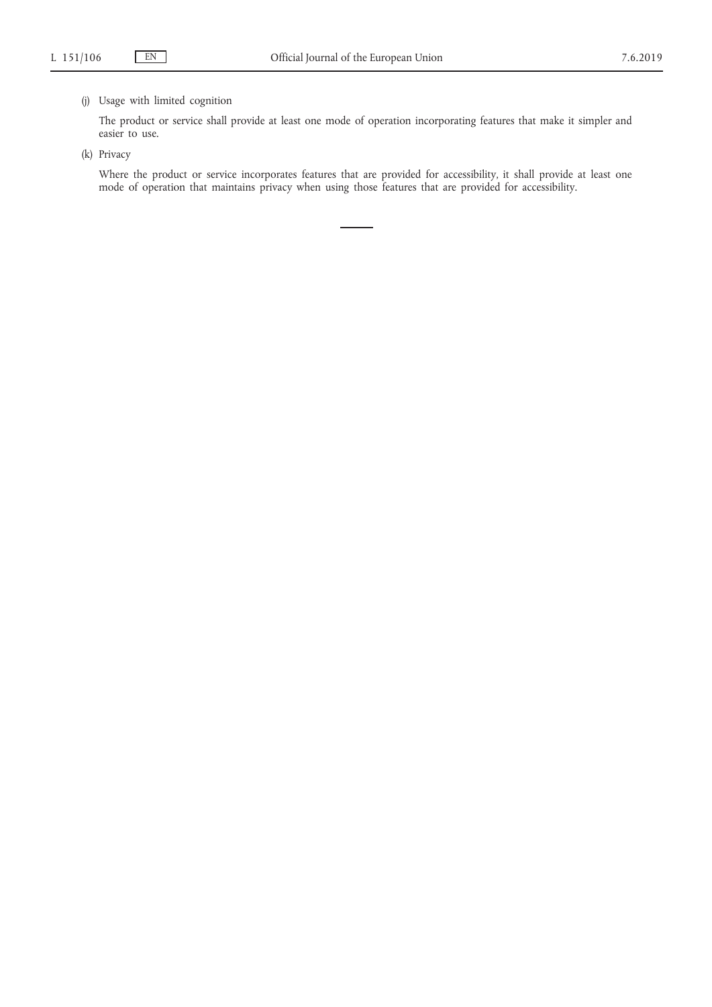## (j) Usage with limited cognition

The product or service shall provide at least one mode of operation incorporating features that make it simpler and easier to use.

(k) Privacy

Where the product or service incorporates features that are provided for accessibility, it shall provide at least one mode of operation that maintains privacy when using those features that are provided for accessibility.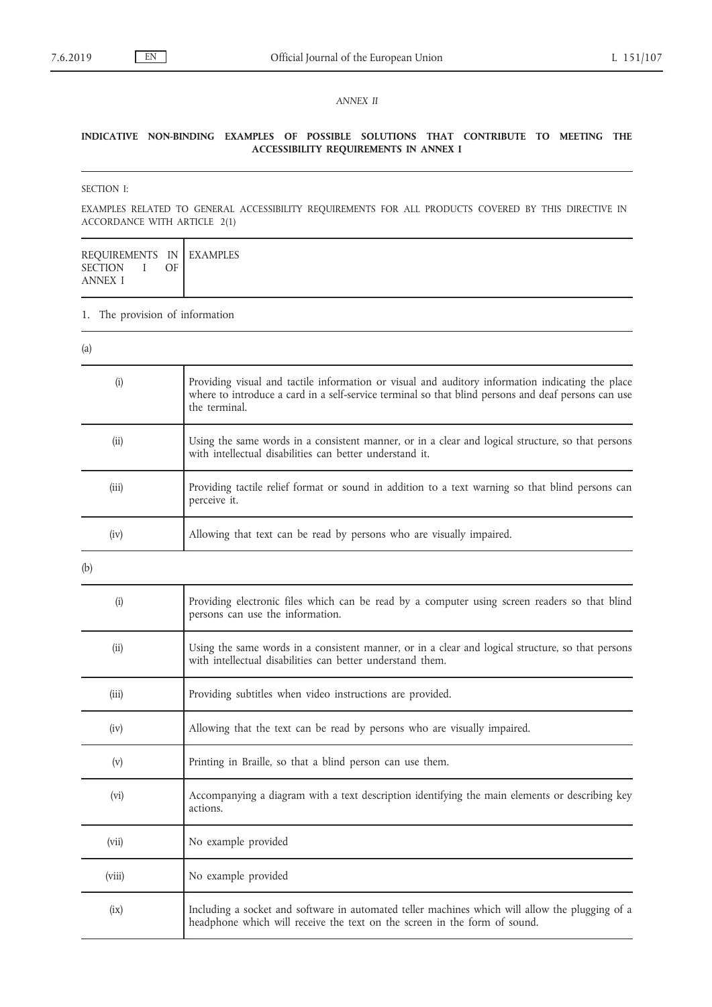## *ANNEX II*

## **INDICATIVE NON-BINDING EXAMPLES OF POSSIBLE SOLUTIONS THAT CONTRIBUTE TO MEETING THE ACCESSIBILITY REQUIREMENTS IN ANNEX I**

## SECTION I:

EXAMPLES RELATED TO GENERAL ACCESSIBILITY REQUIREMENTS FOR ALL PRODUCTS COVERED BY THIS DIRECTIVE IN ACCORDANCE WITH ARTICLE 2(1)

| REQUIREMENTS IN EXAMPLES<br><b>SECTION</b><br>OF<br><b>ANNEX I</b> |  |
|--------------------------------------------------------------------|--|
|--------------------------------------------------------------------|--|

## 1. The provision of information

| (a)    |                                                                                                                                                                                                                          |
|--------|--------------------------------------------------------------------------------------------------------------------------------------------------------------------------------------------------------------------------|
| (i)    | Providing visual and tactile information or visual and auditory information indicating the place<br>where to introduce a card in a self-service terminal so that blind persons and deaf persons can use<br>the terminal. |
| (ii)   | Using the same words in a consistent manner, or in a clear and logical structure, so that persons<br>with intellectual disabilities can better understand it.                                                            |
| (iii)  | Providing tactile relief format or sound in addition to a text warning so that blind persons can<br>perceive it.                                                                                                         |
| (iv)   | Allowing that text can be read by persons who are visually impaired.                                                                                                                                                     |
| (b)    |                                                                                                                                                                                                                          |
| (i)    | Providing electronic files which can be read by a computer using screen readers so that blind<br>persons can use the information.                                                                                        |
| (ii)   | Using the same words in a consistent manner, or in a clear and logical structure, so that persons<br>with intellectual disabilities can better understand them.                                                          |
| (iii)  | Providing subtitles when video instructions are provided.                                                                                                                                                                |
| (iv)   | Allowing that the text can be read by persons who are visually impaired.                                                                                                                                                 |
| (v)    | Printing in Braille, so that a blind person can use them.                                                                                                                                                                |
| (vi)   | Accompanying a diagram with a text description identifying the main elements or describing key<br>actions.                                                                                                               |
| (vii)  | No example provided                                                                                                                                                                                                      |
| (viii) | No example provided                                                                                                                                                                                                      |
| (ix)   | Including a socket and software in automated teller machines which will allow the plugging of a<br>headphone which will receive the text on the screen in the form of sound.                                             |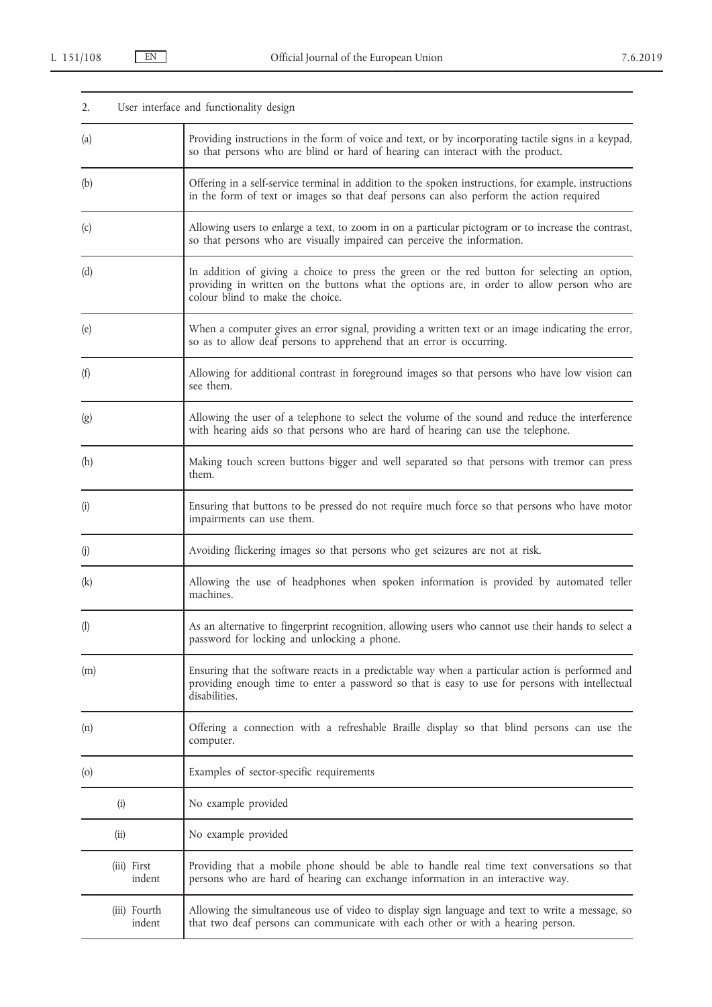| 2.                         | User interface and functionality design                                                                                                                                                                                        |
|----------------------------|--------------------------------------------------------------------------------------------------------------------------------------------------------------------------------------------------------------------------------|
| (a)                        | Providing instructions in the form of voice and text, or by incorporating tactile signs in a keypad,<br>so that persons who are blind or hard of hearing can interact with the product.                                        |
| (b)                        | Offering in a self-service terminal in addition to the spoken instructions, for example, instructions<br>in the form of text or images so that deaf persons can also perform the action required                               |
| (c)                        | Allowing users to enlarge a text, to zoom in on a particular pictogram or to increase the contrast,<br>so that persons who are visually impaired can perceive the information.                                                 |
| (d)                        | In addition of giving a choice to press the green or the red button for selecting an option,<br>providing in written on the buttons what the options are, in order to allow person who are<br>colour blind to make the choice. |
| (e)                        | When a computer gives an error signal, providing a written text or an image indicating the error,<br>so as to allow deaf persons to apprehend that an error is occurring.                                                      |
| (f)                        | Allowing for additional contrast in foreground images so that persons who have low vision can<br>see them.                                                                                                                     |
| (g)                        | Allowing the user of a telephone to select the volume of the sound and reduce the interference<br>with hearing aids so that persons who are hard of hearing can use the telephone.                                             |
| (h)                        | Making touch screen buttons bigger and well separated so that persons with tremor can press<br>them.                                                                                                                           |
| (i)                        | Ensuring that buttons to be pressed do not require much force so that persons who have motor<br>impairments can use them.                                                                                                      |
| (j)                        | Avoiding flickering images so that persons who get seizures are not at risk.                                                                                                                                                   |
| (k)                        | Allowing the use of headphones when spoken information is provided by automated teller<br>machines.                                                                                                                            |
| $\left( \mathbf{l}\right)$ | As an alternative to fingerprint recognition, allowing users who cannot use their hands to select a<br>password for locking and unlocking a phone.                                                                             |
| (m)                        | Ensuring that the software reacts in a predictable way when a particular action is performed and<br>providing enough time to enter a password so that is easy to use for persons with intellectual<br>disabilities.            |
| (n)                        | Offering a connection with a refreshable Braille display so that blind persons can use the<br>computer.                                                                                                                        |
| $\left($ o $\right)$       | Examples of sector-specific requirements                                                                                                                                                                                       |
| (i)                        | No example provided                                                                                                                                                                                                            |
| (ii)                       | No example provided                                                                                                                                                                                                            |
| (iii) First<br>indent      | Providing that a mobile phone should be able to handle real time text conversations so that<br>persons who are hard of hearing can exchange information in an interactive way.                                                 |
| (iii) Fourth<br>indent     | Allowing the simultaneous use of video to display sign language and text to write a message, so<br>that two deaf persons can communicate with each other or with a hearing person.                                             |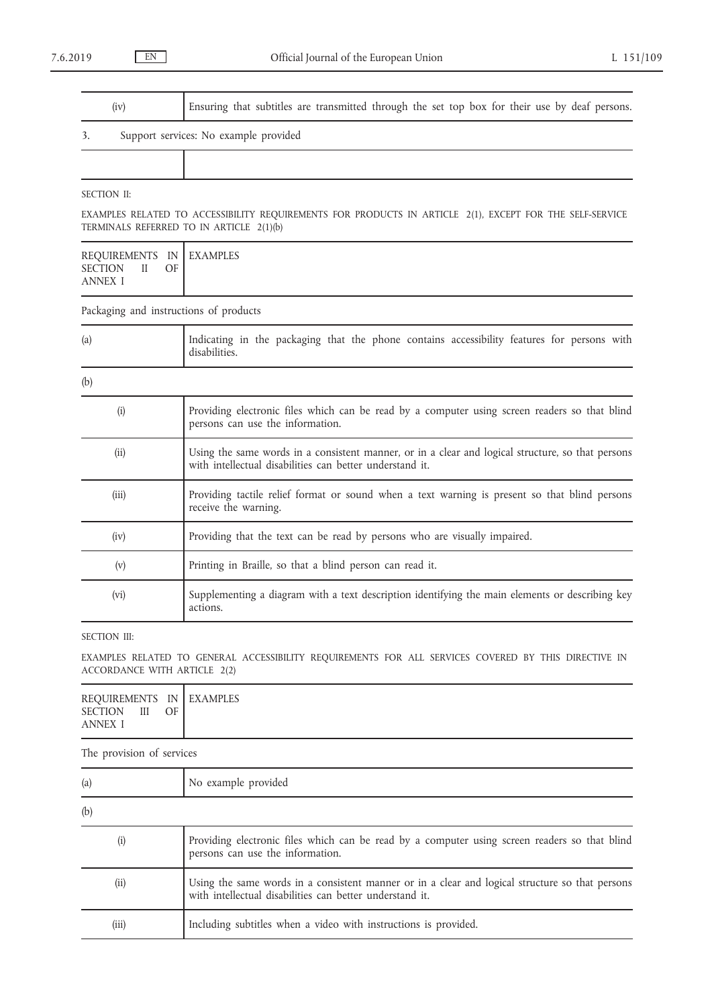| (iv) | Ensuring that subtitles are transmitted through the set top box for their use by deaf persons. |
|------|------------------------------------------------------------------------------------------------|

## 3. Support services: No example provided

## SECTION II:

EXAMPLES RELATED TO ACCESSIBILITY REQUIREMENTS FOR PRODUCTS IN ARTICLE 2(1), EXCEPT FOR THE SELF-SERVICE TERMINALS REFERRED TO IN ARTICLE 2(1)(b)

| REQUIREMENTS IN EXAMPLES                         |    |  |
|--------------------------------------------------|----|--|
| <b>SECTION</b><br>$\mathbf{H}$<br><b>ANNEX I</b> | OF |  |

Packaging and instructions of products

| (a)   | Indicating in the packaging that the phone contains accessibility features for persons with<br>disabilities.                                                  |
|-------|---------------------------------------------------------------------------------------------------------------------------------------------------------------|
| (b)   |                                                                                                                                                               |
| (i)   | Providing electronic files which can be read by a computer using screen readers so that blind<br>persons can use the information.                             |
| (i)   | Using the same words in a consistent manner, or in a clear and logical structure, so that persons<br>with intellectual disabilities can better understand it. |
| (iii) | Providing tactile relief format or sound when a text warning is present so that blind persons<br>receive the warning.                                         |
| (iv)  | Providing that the text can be read by persons who are visually impaired.                                                                                     |
| (v)   | Printing in Braille, so that a blind person can read it.                                                                                                      |
| (vi)  | Supplementing a diagram with a text description identifying the main elements or describing key<br>actions.                                                   |

## SECTION III:

EXAMPLES RELATED TO GENERAL ACCESSIBILITY REQUIREMENTS FOR ALL SERVICES COVERED BY THIS DIRECTIVE IN ACCORDANCE WITH ARTICLE 2(2)

| REQUIREMENTS IN EXAMPLES                  |    |  |
|-------------------------------------------|----|--|
| <b>SECTION</b><br>$\overline{\mathbf{H}}$ | OF |  |
| <b>ANNEX I</b>                            |    |  |

The provision of services

| (a)               | No example provided                                                                                                                                         |
|-------------------|-------------------------------------------------------------------------------------------------------------------------------------------------------------|
| (b)               |                                                                                                                                                             |
| $\left( 1\right)$ | Providing electronic files which can be read by a computer using screen readers so that blind<br>persons can use the information.                           |
| (i)               | Using the same words in a consistent manner or in a clear and logical structure so that persons<br>with intellectual disabilities can better understand it. |
| (iii)             | Including subtitles when a video with instructions is provided.                                                                                             |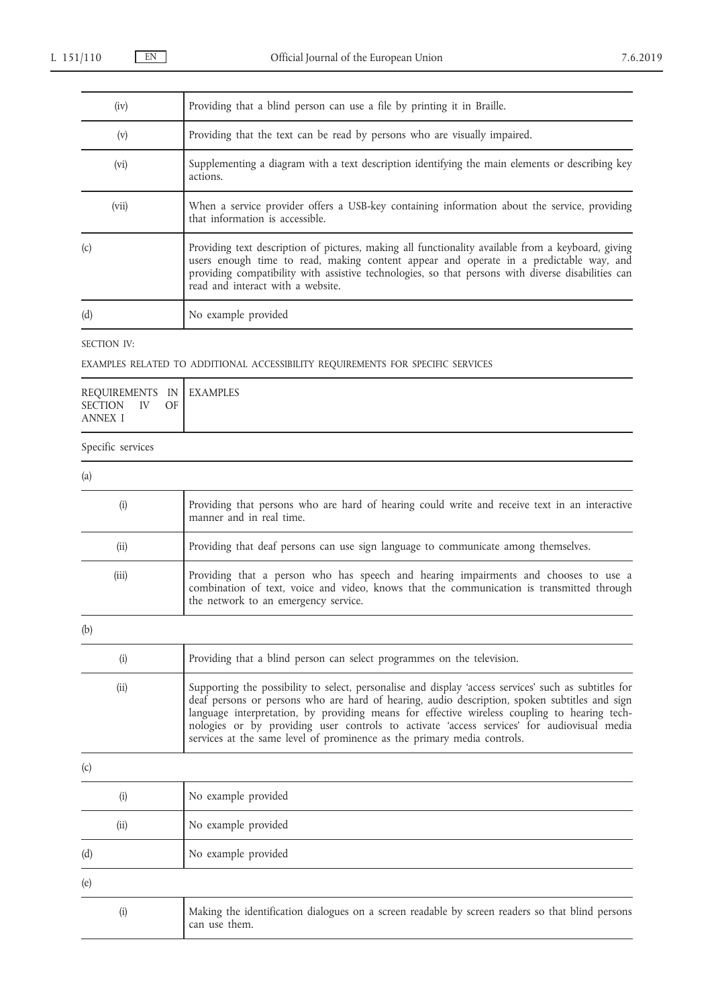| (iv)  | Providing that a blind person can use a file by printing it in Braille.                                                                                                                                                                                                                                                                 |
|-------|-----------------------------------------------------------------------------------------------------------------------------------------------------------------------------------------------------------------------------------------------------------------------------------------------------------------------------------------|
| (v)   | Providing that the text can be read by persons who are visually impaired.                                                                                                                                                                                                                                                               |
| (vi)  | Supplementing a diagram with a text description identifying the main elements or describing key<br>actions.                                                                                                                                                                                                                             |
| (vii) | When a service provider offers a USB-key containing information about the service, providing<br>that information is accessible.                                                                                                                                                                                                         |
| (c)   | Providing text description of pictures, making all functionality available from a keyboard, giving<br>users enough time to read, making content appear and operate in a predictable way, and<br>providing compatibility with assistive technologies, so that persons with diverse disabilities can<br>read and interact with a website. |
| (d)   | No example provided                                                                                                                                                                                                                                                                                                                     |

SECTION IV:

# EXAMPLES RELATED TO ADDITIONAL ACCESSIBILITY REQUIREMENTS FOR SPECIFIC SERVICES

| REQUIREMENTS IN EXAMPLES<br>SECTION IV OF<br>ANNEX I |  |
|------------------------------------------------------|--|
| Specific services                                    |  |

| (a)   |                                                                                                                                                                                                                          |
|-------|--------------------------------------------------------------------------------------------------------------------------------------------------------------------------------------------------------------------------|
| (i)   | Providing that persons who are hard of hearing could write and receive text in an interactive<br>manner and in real time.                                                                                                |
| (ii)  | Providing that deaf persons can use sign language to communicate among themselves.                                                                                                                                       |
| (iii) | Providing that a person who has speech and hearing impairments and chooses to use a<br>combination of text, voice and video, knows that the communication is transmitted through<br>the network to an emergency service. |
| (b)   |                                                                                                                                                                                                                          |
| (i)   | Providing that a blind person can select programmes on the television.                                                                                                                                                   |
| (ii)  | Supporting the possibility to select, personalise and display 'access services' such as subtitles for<br>deaf persons or persons who are hard of hearing, audio description, spoken subtitles and sign                   |

| acar persons or persons who are hard or hearing, additional description, spoken subtities and sign |
|----------------------------------------------------------------------------------------------------|
| language interpretation, by providing means for effective wireless coupling to hearing tech-       |
| nologies or by providing user controls to activate 'access services' for audiovisual media         |
| services at the same level of prominence as the primary media controls.                            |
|                                                                                                    |
|                                                                                                    |

| (c)  |                                                                                                                   |
|------|-------------------------------------------------------------------------------------------------------------------|
| (i)  | No example provided                                                                                               |
| (ii) | No example provided                                                                                               |
| (d)  | No example provided                                                                                               |
| (e)  |                                                                                                                   |
| (i)  | Making the identification dialogues on a screen readable by screen readers so that blind persons<br>can use them. |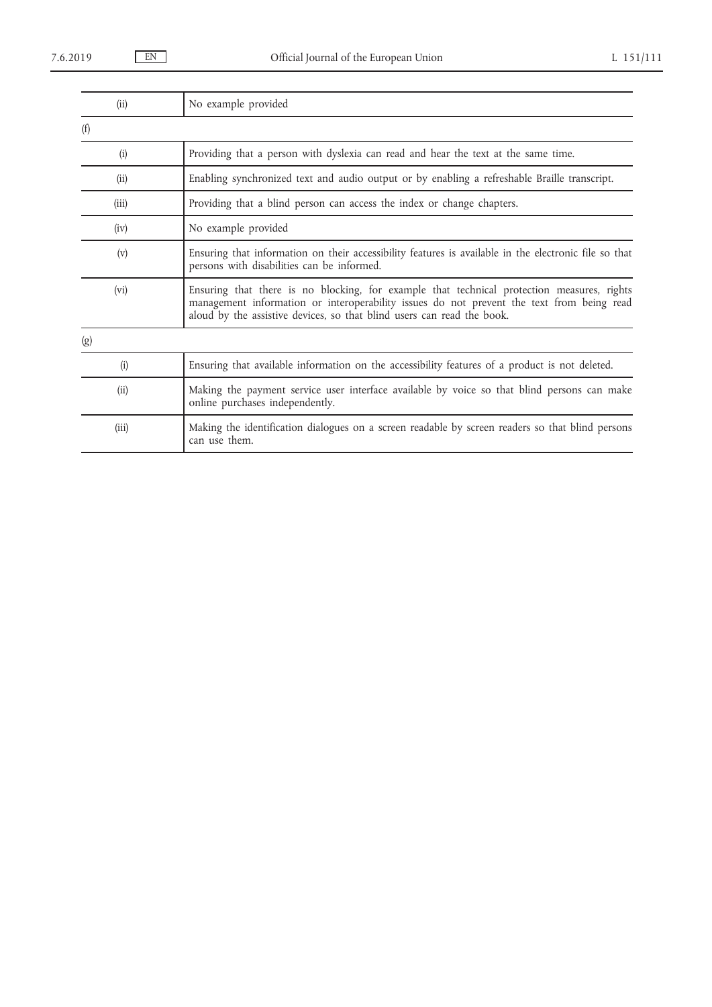| (ii)  | No example provided                                                                                                                                                                                                                                               |
|-------|-------------------------------------------------------------------------------------------------------------------------------------------------------------------------------------------------------------------------------------------------------------------|
| (f)   |                                                                                                                                                                                                                                                                   |
| (i)   | Providing that a person with dyslexia can read and hear the text at the same time.                                                                                                                                                                                |
| (ii)  | Enabling synchronized text and audio output or by enabling a refreshable Braille transcript.                                                                                                                                                                      |
| (iii) | Providing that a blind person can access the index or change chapters.                                                                                                                                                                                            |
| (iv)  | No example provided                                                                                                                                                                                                                                               |
| (v)   | Ensuring that information on their accessibility features is available in the electronic file so that<br>persons with disabilities can be informed.                                                                                                               |
| (vi)  | Ensuring that there is no blocking, for example that technical protection measures, rights<br>management information or interoperability issues do not prevent the text from being read<br>aloud by the assistive devices, so that blind users can read the book. |
| (g)   |                                                                                                                                                                                                                                                                   |
| (i)   | Ensuring that available information on the accessibility features of a product is not deleted.                                                                                                                                                                    |
| (ii)  | Making the payment service user interface available by voice so that blind persons can make<br>online purchases independently.                                                                                                                                    |
| (iii) | Making the identification dialogues on a screen readable by screen readers so that blind persons<br>can use them.                                                                                                                                                 |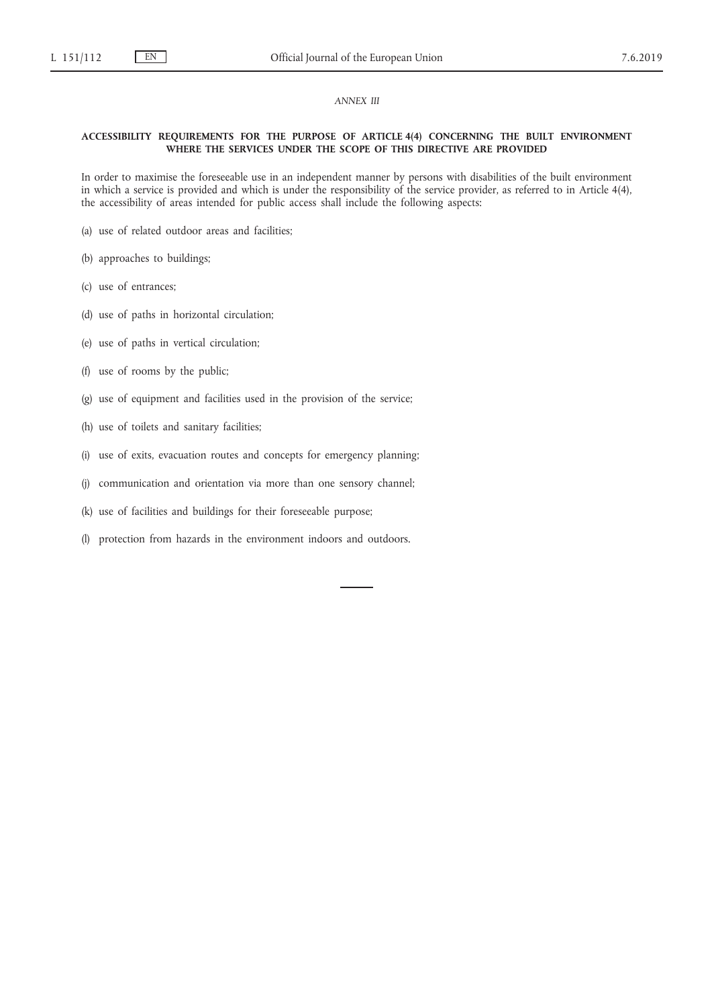#### *ANNEX III*

## **ACCESSIBILITY REQUIREMENTS FOR THE PURPOSE OF ARTICLE 4(4) CONCERNING THE BUILT ENVIRONMENT WHERE THE SERVICES UNDER THE SCOPE OF THIS DIRECTIVE ARE PROVIDED**

In order to maximise the foreseeable use in an independent manner by persons with disabilities of the built environment in which a service is provided and which is under the responsibility of the service provider, as referred to in Article 4(4), the accessibility of areas intended for public access shall include the following aspects:

- (a) use of related outdoor areas and facilities;
- (b) approaches to buildings;
- (c) use of entrances;
- (d) use of paths in horizontal circulation;
- (e) use of paths in vertical circulation;
- (f) use of rooms by the public;
- (g) use of equipment and facilities used in the provision of the service;
- (h) use of toilets and sanitary facilities;
- (i) use of exits, evacuation routes and concepts for emergency planning;
- (j) communication and orientation via more than one sensory channel;
- (k) use of facilities and buildings for their foreseeable purpose;
- (l) protection from hazards in the environment indoors and outdoors.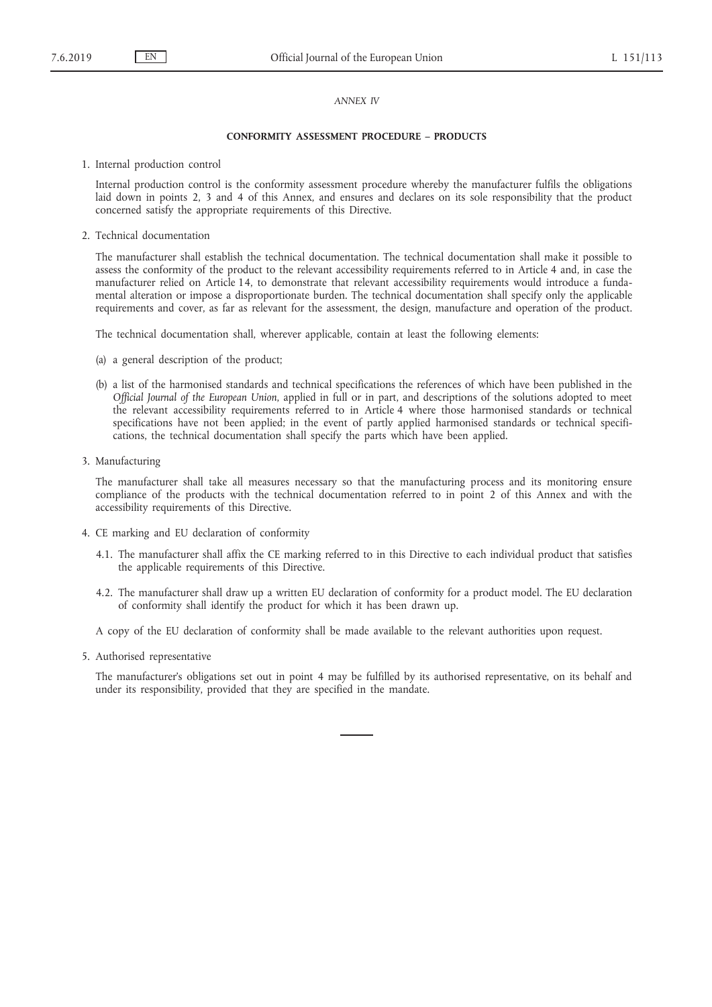### *ANNEX IV*

## **CONFORMITY ASSESSMENT PROCEDURE – PRODUCTS**

1. Internal production control

Internal production control is the conformity assessment procedure whereby the manufacturer fulfils the obligations laid down in points 2, 3 and 4 of this Annex, and ensures and declares on its sole responsibility that the product concerned satisfy the appropriate requirements of this Directive.

2. Technical documentation

The manufacturer shall establish the technical documentation. The technical documentation shall make it possible to assess the conformity of the product to the relevant accessibility requirements referred to in Article 4 and, in case the manufacturer relied on Article 14, to demonstrate that relevant accessibility requirements would introduce a fundamental alteration or impose a disproportionate burden. The technical documentation shall specify only the applicable requirements and cover, as far as relevant for the assessment, the design, manufacture and operation of the product.

The technical documentation shall, wherever applicable, contain at least the following elements:

- (a) a general description of the product;
- (b) a list of the harmonised standards and technical specifications the references of which have been published in the *Official Journal of the European Union*, applied in full or in part, and descriptions of the solutions adopted to meet the relevant accessibility requirements referred to in Article 4 where those harmonised standards or technical specifications have not been applied; in the event of partly applied harmonised standards or technical specifications, the technical documentation shall specify the parts which have been applied.
- 3. Manufacturing

The manufacturer shall take all measures necessary so that the manufacturing process and its monitoring ensure compliance of the products with the technical documentation referred to in point 2 of this Annex and with the accessibility requirements of this Directive.

- 4. CE marking and EU declaration of conformity
	- 4.1. The manufacturer shall affix the CE marking referred to in this Directive to each individual product that satisfies the applicable requirements of this Directive.
	- 4.2. The manufacturer shall draw up a written EU declaration of conformity for a product model. The EU declaration of conformity shall identify the product for which it has been drawn up.

A copy of the EU declaration of conformity shall be made available to the relevant authorities upon request.

5. Authorised representative

The manufacturer's obligations set out in point 4 may be fulfilled by its authorised representative, on its behalf and under its responsibility, provided that they are specified in the mandate.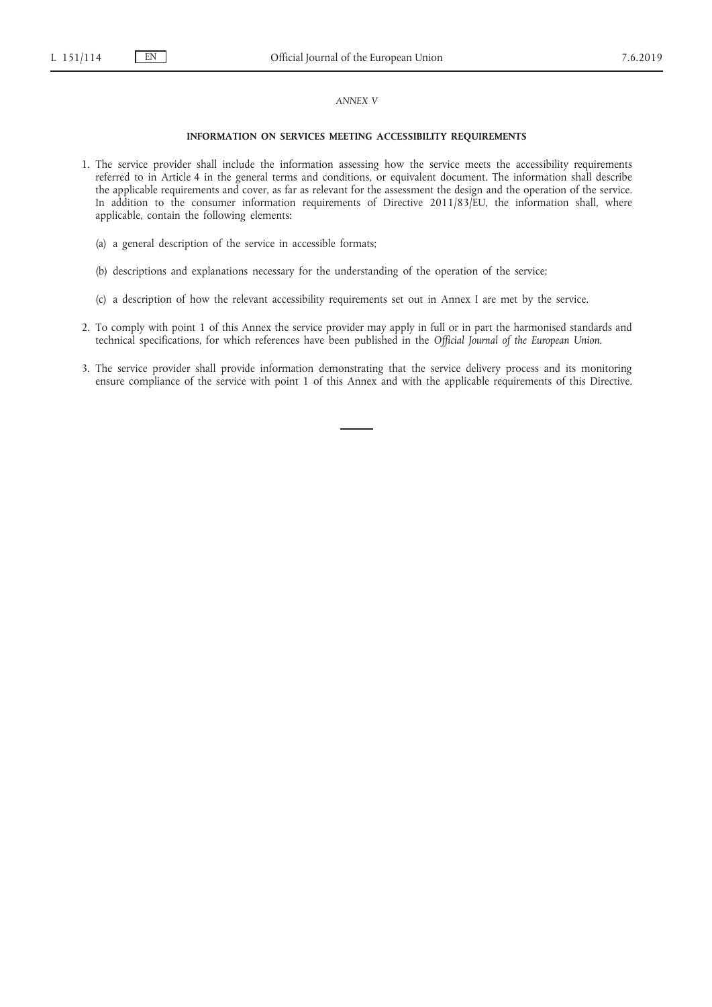#### *ANNEX V*

## **INFORMATION ON SERVICES MEETING ACCESSIBILITY REQUIREMENTS**

- 1. The service provider shall include the information assessing how the service meets the accessibility requirements referred to in Article 4 in the general terms and conditions, or equivalent document. The information shall describe the applicable requirements and cover, as far as relevant for the assessment the design and the operation of the service. In addition to the consumer information requirements of Directive 2011/83/EU, the information shall, where applicable, contain the following elements:
	- (a) a general description of the service in accessible formats;
	- (b) descriptions and explanations necessary for the understanding of the operation of the service;
	- (c) a description of how the relevant accessibility requirements set out in Annex I are met by the service.
- 2. To comply with point 1 of this Annex the service provider may apply in full or in part the harmonised standards and technical specifications, for which references have been published in the *Official Journal of the European Union*.
- 3. The service provider shall provide information demonstrating that the service delivery process and its monitoring ensure compliance of the service with point 1 of this Annex and with the applicable requirements of this Directive.